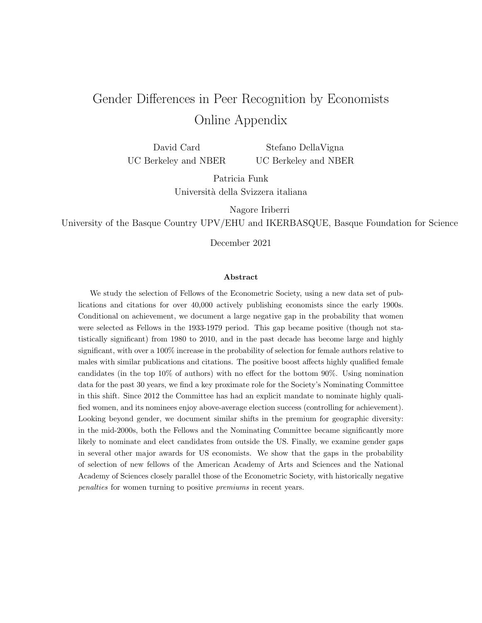# Gender Differences in Peer Recognition by Economists Online Appendix

David Card UC Berkeley and NBER Stefano DellaVigna UC Berkeley and NBER

> Patricia Funk Universit`a della Svizzera italiana

> > Nagore Iriberri

University of the Basque Country UPV/EHU and IKERBASQUE, Basque Foundation for Science

December 2021

#### Abstract

We study the selection of Fellows of the Econometric Society, using a new data set of publications and citations for over 40,000 actively publishing economists since the early 1900s. Conditional on achievement, we document a large negative gap in the probability that women were selected as Fellows in the 1933-1979 period. This gap became positive (though not statistically significant) from 1980 to 2010, and in the past decade has become large and highly significant, with over a 100% increase in the probability of selection for female authors relative to males with similar publications and citations. The positive boost affects highly qualified female candidates (in the top 10% of authors) with no effect for the bottom 90%. Using nomination data for the past 30 years, we find a key proximate role for the Society's Nominating Committee in this shift. Since 2012 the Committee has had an explicit mandate to nominate highly qualified women, and its nominees enjoy above-average election success (controlling for achievement). Looking beyond gender, we document similar shifts in the premium for geographic diversity: in the mid-2000s, both the Fellows and the Nominating Committee became significantly more likely to nominate and elect candidates from outside the US. Finally, we examine gender gaps in several other major awards for US economists. We show that the gaps in the probability of selection of new fellows of the American Academy of Arts and Sciences and the National Academy of Sciences closely parallel those of the Econometric Society, with historically negative penalties for women turning to positive premiums in recent years.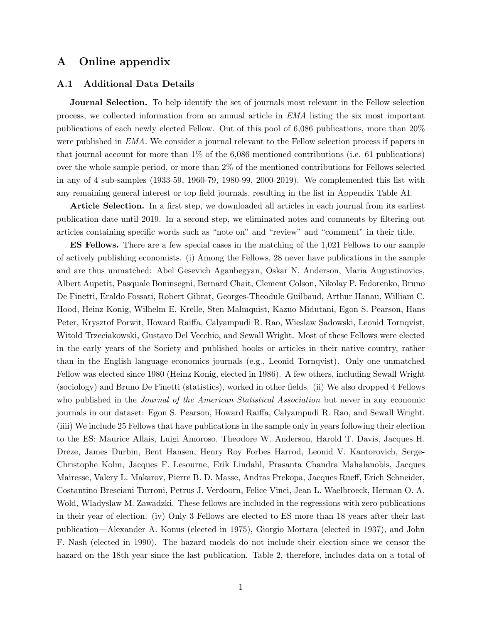## A Online appendix

#### A.1 Additional Data Details

**Journal Selection.** To help identify the set of journals most relevant in the Fellow selection process, we collected information from an annual article in EMA listing the six most important publications of each newly elected Fellow. Out of this pool of 6,086 publications, more than 20% were published in EMA. We consider a journal relevant to the Fellow selection process if papers in that journal account for more than 1% of the 6,086 mentioned contributions (i.e. 61 publications) over the whole sample period, or more than 2% of the mentioned contributions for Fellows selected in any of 4 sub-samples (1933-59, 1960-79, 1980-99, 2000-2019). We complemented this list with any remaining general interest or top field journals, resulting in the list in Appendix Table AI.

Article Selection. In a first step, we downloaded all articles in each journal from its earliest publication date until 2019. In a second step, we eliminated notes and comments by filtering out articles containing specific words such as "note on" and "review" and "comment" in their title.

ES Fellows. There are a few special cases in the matching of the 1,021 Fellows to our sample of actively publishing economists. (i) Among the Fellows, 28 never have publications in the sample and are thus unmatched: Abel Gesevich Aganbegyan, Oskar N. Anderson, Maria Augustinovics, Albert Aupetit, Pasquale Boninsegni, Bernard Chait, Clement Colson, Nikolay P. Fedorenko, Bruno De Finetti, Eraldo Fossati, Robert Gibrat, Georges-Theodule Guilbaud, Arthur Hanau, William C. Hood, Heinz Konig, Wilhelm E. Krelle, Sten Malmquist, Kazuo Midutani, Egon S. Pearson, Hans Peter, Krysztof Porwit, Howard Raiffa, Calyampudi R. Rao, Wieslaw Sadowski, Leonid Tornqvist, Witold Trzeciakowski, Gustavo Del Vecchio, and Sewall Wright. Most of these Fellows were elected in the early years of the Society and published books or articles in their native country, rather than in the English language economics journals (e.g., Leonid Tornqvist). Only one unmatched Fellow was elected since 1980 (Heinz Konig, elected in 1986). A few others, including Sewall Wright (sociology) and Bruno De Finetti (statistics), worked in other fields. (ii) We also dropped 4 Fellows who published in the *Journal of the American Statistical Association* but never in any economic journals in our dataset: Egon S. Pearson, Howard Raiffa, Calyampudi R. Rao, and Sewall Wright. (iiii) We include 25 Fellows that have publications in the sample only in years following their election to the ES: Maurice Allais, Luigi Amoroso, Theodore W. Anderson, Harold T. Davis, Jacques H. Dreze, James Durbin, Bent Hansen, Henry Roy Forbes Harrod, Leonid V. Kantorovich, Serge-Christophe Kolm, Jacques F. Lesourne, Erik Lindahl, Prasanta Chandra Mahalanobis, Jacques Mairesse, Valery L. Makarov, Pierre B. D. Masse, Andras Prekopa, Jacques Rueff, Erich Schneider, Costantino Bresciani Turroni, Petrus J. Verdoorn, Felice Vinci, Jean L. Waelbroeck, Herman O. A. Wold, Wladyslaw M. Zawadzki. These fellows are included in the regressions with zero publications in their year of election. (iv) Only 3 Fellows are elected to ES more than 18 years after their last publication—Alexander A. Konus (elected in 1975), Giorgio Mortara (elected in 1937), and John F. Nash (elected in 1990). The hazard models do not include their election since we censor the hazard on the 18th year since the last publication. Table 2, therefore, includes data on a total of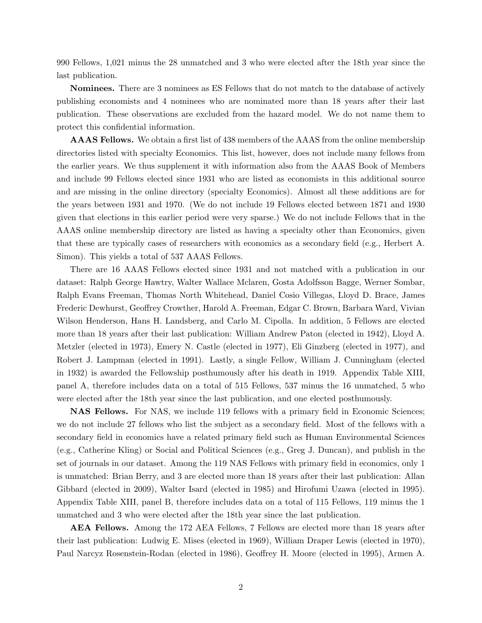990 Fellows, 1,021 minus the 28 unmatched and 3 who were elected after the 18th year since the last publication.

Nominees. There are 3 nominees as ES Fellows that do not match to the database of actively publishing economists and 4 nominees who are nominated more than 18 years after their last publication. These observations are excluded from the hazard model. We do not name them to protect this confidential information.

AAAS Fellows. We obtain a first list of 438 members of the AAAS from the online membership directories listed with specialty Economics. This list, however, does not include many fellows from the earlier years. We thus supplement it with information also from the AAAS Book of Members and include 99 Fellows elected since 1931 who are listed as economists in this additional source and are missing in the online directory (specialty Economics). Almost all these additions are for the years between 1931 and 1970. (We do not include 19 Fellows elected between 1871 and 1930 given that elections in this earlier period were very sparse.) We do not include Fellows that in the AAAS online membership directory are listed as having a specialty other than Economics, given that these are typically cases of researchers with economics as a secondary field (e.g., Herbert A. Simon). This yields a total of 537 AAAS Fellows.

There are 16 AAAS Fellows elected since 1931 and not matched with a publication in our dataset: Ralph George Hawtry, Walter Wallace Mclaren, Gosta Adolfsson Bagge, Werner Sombar, Ralph Evans Freeman, Thomas North Whitehead, Daniel Cosio Villegas, Lloyd D. Brace, James Frederic Dewhurst, Geoffrey Crowther, Harold A. Freeman, Edgar C. Brown, Barbara Ward, Vivian Wilson Henderson, Hans H. Landsberg, and Carlo M. Cipolla. In addition, 5 Fellows are elected more than 18 years after their last publication: William Andrew Paton (elected in 1942), Lloyd A. Metzler (elected in 1973), Emery N. Castle (elected in 1977), Eli Ginzberg (elected in 1977), and Robert J. Lampman (elected in 1991). Lastly, a single Fellow, William J. Cunningham (elected in 1932) is awarded the Fellowship posthumously after his death in 1919. Appendix Table XIII, panel A, therefore includes data on a total of 515 Fellows, 537 minus the 16 unmatched, 5 who were elected after the 18th year since the last publication, and one elected posthumously.

NAS Fellows. For NAS, we include 119 fellows with a primary field in Economic Sciences; we do not include 27 fellows who list the subject as a secondary field. Most of the fellows with a secondary field in economics have a related primary field such as Human Environmental Sciences (e.g., Catherine Kling) or Social and Political Sciences (e.g., Greg J. Duncan), and publish in the set of journals in our dataset. Among the 119 NAS Fellows with primary field in economics, only 1 is unmatched: Brian Berry, and 3 are elected more than 18 years after their last publication: Allan Gibbard (elected in 2009), Walter Isard (elected in 1985) and Hirofumi Uzawa (elected in 1995). Appendix Table XIII, panel B, therefore includes data on a total of 115 Fellows, 119 minus the 1 unmatched and 3 who were elected after the 18th year since the last publication.

AEA Fellows. Among the 172 AEA Fellows, 7 Fellows are elected more than 18 years after their last publication: Ludwig E. Mises (elected in 1969), William Draper Lewis (elected in 1970), Paul Narcyz Rosenstein-Rodan (elected in 1986), Geoffrey H. Moore (elected in 1995), Armen A.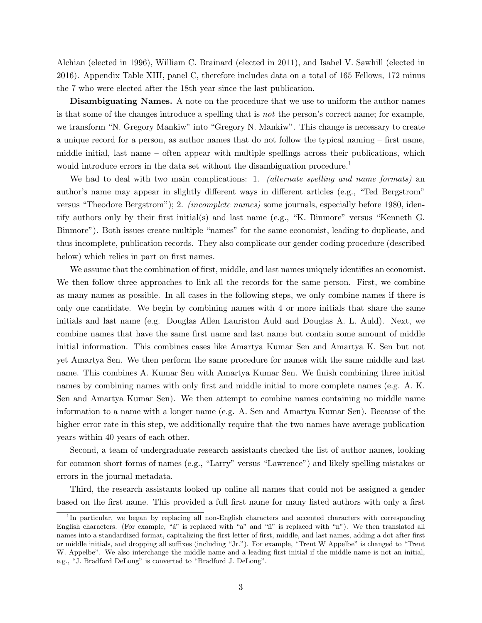Alchian (elected in 1996), William C. Brainard (elected in 2011), and Isabel V. Sawhill (elected in 2016). Appendix Table XIII, panel C, therefore includes data on a total of 165 Fellows, 172 minus the 7 who were elected after the 18th year since the last publication.

Disambiguating Names. A note on the procedure that we use to uniform the author names is that some of the changes introduce a spelling that is not the person's correct name; for example, we transform "N. Gregory Mankiw" into "Gregory N. Mankiw". This change is necessary to create a unique record for a person, as author names that do not follow the typical naming – first name, middle initial, last name – often appear with multiple spellings across their publications, which would introduce errors in the data set without the disambiguation procedure.<sup>1</sup>

We had to deal with two main complications: 1. (alternate spelling and name formats) and author's name may appear in slightly different ways in different articles (e.g., "Ted Bergstrom" versus "Theodore Bergstrom"); 2. (incomplete names) some journals, especially before 1980, identify authors only by their first initial(s) and last name (e.g., "K. Binmore" versus "Kenneth G. Binmore"). Both issues create multiple "names" for the same economist, leading to duplicate, and thus incomplete, publication records. They also complicate our gender coding procedure (described below) which relies in part on first names.

We assume that the combination of first, middle, and last names uniquely identifies an economist. We then follow three approaches to link all the records for the same person. First, we combine as many names as possible. In all cases in the following steps, we only combine names if there is only one candidate. We begin by combining names with 4 or more initials that share the same initials and last name (e.g. Douglas Allen Lauriston Auld and Douglas A. L. Auld). Next, we combine names that have the same first name and last name but contain some amount of middle initial information. This combines cases like Amartya Kumar Sen and Amartya K. Sen but not yet Amartya Sen. We then perform the same procedure for names with the same middle and last name. This combines A. Kumar Sen with Amartya Kumar Sen. We finish combining three initial names by combining names with only first and middle initial to more complete names (e.g. A. K. Sen and Amartya Kumar Sen). We then attempt to combine names containing no middle name information to a name with a longer name (e.g. A. Sen and Amartya Kumar Sen). Because of the higher error rate in this step, we additionally require that the two names have average publication years within 40 years of each other.

Second, a team of undergraduate research assistants checked the list of author names, looking for common short forms of names (e.g., "Larry" versus "Lawrence") and likely spelling mistakes or errors in the journal metadata.

Third, the research assistants looked up online all names that could not be assigned a gender based on the first name. This provided a full first name for many listed authors with only a first

<sup>&</sup>lt;sup>1</sup>In particular, we began by replacing all non-English characters and accented characters with corresponding English characters. (For example, " $a''$  is replaced with "a" and " $\tilde{n}$ " is replaced with "n"). We then translated all names into a standardized format, capitalizing the first letter of first, middle, and last names, adding a dot after first or middle initials, and dropping all suffixes (including "Jr."). For example, "Trent W Appelbe" is changed to "Trent W. Appelbe". We also interchange the middle name and a leading first initial if the middle name is not an initial, e.g., "J. Bradford DeLong" is converted to "Bradford J. DeLong".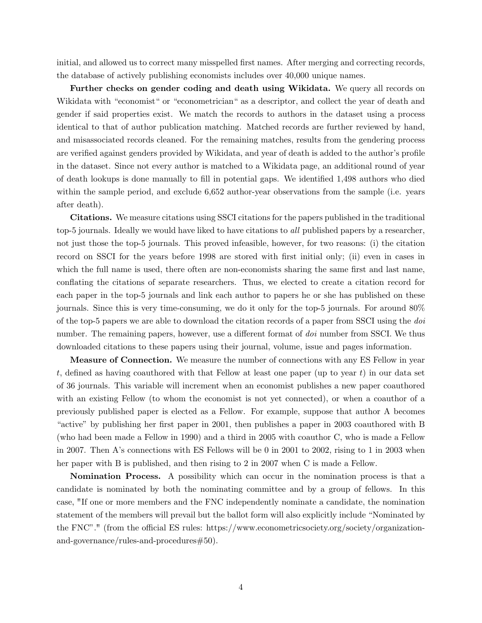initial, and allowed us to correct many misspelled first names. After merging and correcting records, the database of actively publishing economists includes over 40,000 unique names.

Further checks on gender coding and death using Wikidata. We query all records on Wikidata with "economist" or "econometrician" as a descriptor, and collect the year of death and gender if said properties exist. We match the records to authors in the dataset using a process identical to that of author publication matching. Matched records are further reviewed by hand, and misassociated records cleaned. For the remaining matches, results from the gendering process are verified against genders provided by Wikidata, and year of death is added to the author's profile in the dataset. Since not every author is matched to a Wikidata page, an additional round of year of death lookups is done manually to fill in potential gaps. We identified 1,498 authors who died within the sample period, and exclude 6,652 author-year observations from the sample (i.e. years after death).

Citations. We measure citations using SSCI citations for the papers published in the traditional top-5 journals. Ideally we would have liked to have citations to all published papers by a researcher, not just those the top-5 journals. This proved infeasible, however, for two reasons: (i) the citation record on SSCI for the years before 1998 are stored with first initial only; (ii) even in cases in which the full name is used, there often are non-economists sharing the same first and last name, conflating the citations of separate researchers. Thus, we elected to create a citation record for each paper in the top-5 journals and link each author to papers he or she has published on these journals. Since this is very time-consuming, we do it only for the top-5 journals. For around 80% of the top-5 papers we are able to download the citation records of a paper from SSCI using the doi number. The remaining papers, however, use a different format of *doi* number from SSCI. We thus downloaded citations to these papers using their journal, volume, issue and pages information.

Measure of Connection. We measure the number of connections with any ES Fellow in year t, defined as having coauthored with that Fellow at least one paper (up to year t) in our data set of 36 journals. This variable will increment when an economist publishes a new paper coauthored with an existing Fellow (to whom the economist is not yet connected), or when a coauthor of a previously published paper is elected as a Fellow. For example, suppose that author A becomes "active" by publishing her first paper in 2001, then publishes a paper in 2003 coauthored with B (who had been made a Fellow in 1990) and a third in 2005 with coauthor C, who is made a Fellow in 2007. Then A's connections with ES Fellows will be 0 in 2001 to 2002, rising to 1 in 2003 when her paper with B is published, and then rising to 2 in 2007 when C is made a Fellow.

Nomination Process. A possibility which can occur in the nomination process is that a candidate is nominated by both the nominating committee and by a group of fellows. In this case, "If one or more members and the FNC independently nominate a candidate, the nomination statement of the members will prevail but the ballot form will also explicitly include "Nominated by the FNC"." (from the official ES rules: https://www.econometricsociety.org/society/organizationand-governance/rules-and-procedures#50).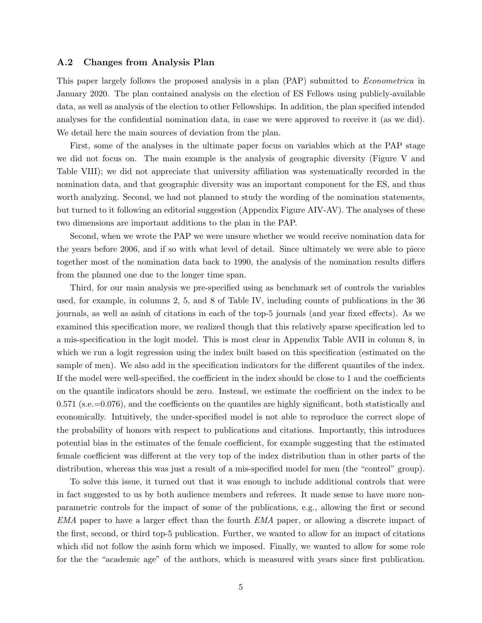#### A.2 Changes from Analysis Plan

This paper largely follows the proposed analysis in a plan (PAP) submitted to *Econometrica* in January 2020. The plan contained analysis on the election of ES Fellows using publicly-available data, as well as analysis of the election to other Fellowships. In addition, the plan specified intended analyses for the confidential nomination data, in case we were approved to receive it (as we did). We detail here the main sources of deviation from the plan.

First, some of the analyses in the ultimate paper focus on variables which at the PAP stage we did not focus on. The main example is the analysis of geographic diversity (Figure V and Table VIII); we did not appreciate that university affiliation was systematically recorded in the nomination data, and that geographic diversity was an important component for the ES, and thus worth analyzing. Second, we had not planned to study the wording of the nomination statements, but turned to it following an editorial suggestion (Appendix Figure AIV-AV). The analyses of these two dimensions are important additions to the plan in the PAP.

Second, when we wrote the PAP we were unsure whether we would receive nomination data for the years before 2006, and if so with what level of detail. Since ultimately we were able to piece together most of the nomination data back to 1990, the analysis of the nomination results differs from the planned one due to the longer time span.

Third, for our main analysis we pre-specified using as benchmark set of controls the variables used, for example, in columns 2, 5, and 8 of Table IV, including counts of publications in the 36 journals, as well as asinh of citations in each of the top-5 journals (and year fixed effects). As we examined this specification more, we realized though that this relatively sparse specification led to a mis-specification in the logit model. This is most clear in Appendix Table AVII in column 8, in which we run a logit regression using the index built based on this specification (estimated on the sample of men). We also add in the specification indicators for the different quantiles of the index. If the model were well-specified, the coefficient in the index should be close to 1 and the coefficients on the quantile indicators should be zero. Instead, we estimate the coefficient on the index to be  $0.571$  (s.e.  $=0.076$ ), and the coefficients on the quantiles are highly significant, both statistically and economically. Intuitively, the under-specified model is not able to reproduce the correct slope of the probability of honors with respect to publications and citations. Importantly, this introduces potential bias in the estimates of the female coefficient, for example suggesting that the estimated female coefficient was different at the very top of the index distribution than in other parts of the distribution, whereas this was just a result of a mis-specified model for men (the "control" group).

To solve this issue, it turned out that it was enough to include additional controls that were in fact suggested to us by both audience members and referees. It made sense to have more nonparametric controls for the impact of some of the publications, e.g., allowing the first or second EMA paper to have a larger effect than the fourth EMA paper, or allowing a discrete impact of the first, second, or third top-5 publication. Further, we wanted to allow for an impact of citations which did not follow the asinh form which we imposed. Finally, we wanted to allow for some role for the the "academic age" of the authors, which is measured with years since first publication.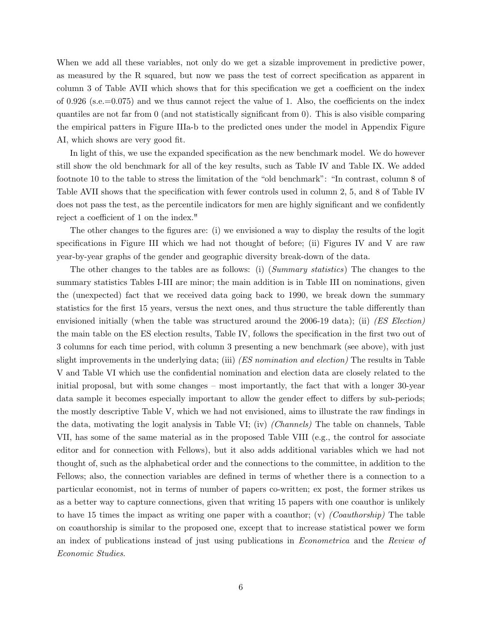When we add all these variables, not only do we get a sizable improvement in predictive power, as measured by the R squared, but now we pass the test of correct specification as apparent in column 3 of Table AVII which shows that for this specification we get a coefficient on the index of 0.926 (s.e.=0.075) and we thus cannot reject the value of 1. Also, the coefficients on the index quantiles are not far from 0 (and not statistically significant from 0). This is also visible comparing the empirical patters in Figure IIIa-b to the predicted ones under the model in Appendix Figure AI, which shows are very good fit.

In light of this, we use the expanded specification as the new benchmark model. We do however still show the old benchmark for all of the key results, such as Table IV and Table IX. We added footnote 10 to the table to stress the limitation of the "old benchmark": "In contrast, column 8 of Table AVII shows that the specification with fewer controls used in column 2, 5, and 8 of Table IV does not pass the test, as the percentile indicators for men are highly significant and we confidently reject a coefficient of 1 on the index."

The other changes to the figures are: (i) we envisioned a way to display the results of the logit specifications in Figure III which we had not thought of before; (ii) Figures IV and V are raw year-by-year graphs of the gender and geographic diversity break-down of the data.

The other changes to the tables are as follows: (i) (Summary statistics) The changes to the summary statistics Tables I-III are minor; the main addition is in Table III on nominations, given the (unexpected) fact that we received data going back to 1990, we break down the summary statistics for the first 15 years, versus the next ones, and thus structure the table differently than envisioned initially (when the table was structured around the 2006-19 data); (ii) (ES Election) the main table on the ES election results, Table IV, follows the specification in the first two out of 3 columns for each time period, with column 3 presenting a new benchmark (see above), with just slight improvements in the underlying data; (iii) (ES nomination and election) The results in Table V and Table VI which use the confidential nomination and election data are closely related to the initial proposal, but with some changes – most importantly, the fact that with a longer 30-year data sample it becomes especially important to allow the gender effect to differs by sub-periods; the mostly descriptive Table V, which we had not envisioned, aims to illustrate the raw findings in the data, motivating the logit analysis in Table VI; (iv) (Channels) The table on channels, Table VII, has some of the same material as in the proposed Table VIII (e.g., the control for associate editor and for connection with Fellows), but it also adds additional variables which we had not thought of, such as the alphabetical order and the connections to the committee, in addition to the Fellows; also, the connection variables are defined in terms of whether there is a connection to a particular economist, not in terms of number of papers co-written; ex post, the former strikes us as a better way to capture connections, given that writing 15 papers with one coauthor is unlikely to have 15 times the impact as writing one paper with a coauthor; (v) (Coauthorship) The table on coauthorship is similar to the proposed one, except that to increase statistical power we form an index of publications instead of just using publications in Econometrica and the Review of Economic Studies.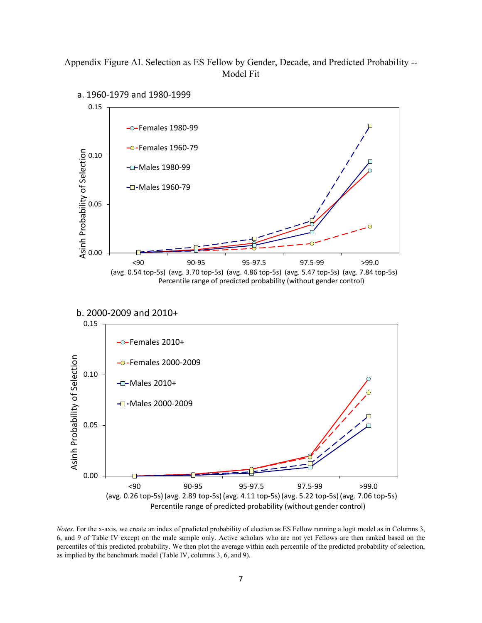Appendix Figure AI. Selection as ES Fellow by Gender, Decade, and Predicted Probability -- Model Fit



*Notes*. For the x-axis, we create an index of predicted probability of election as ES Fellow running a logit model as in Columns 3, 6, and 9 of Table IV except on the male sample only. Active scholars who are not yet Fellows are then ranked based on the percentiles of this predicted probability. We then plot the average within each percentile of the predicted probability of selection, as implied by the benchmark model (Table IV, columns 3, 6, and 9).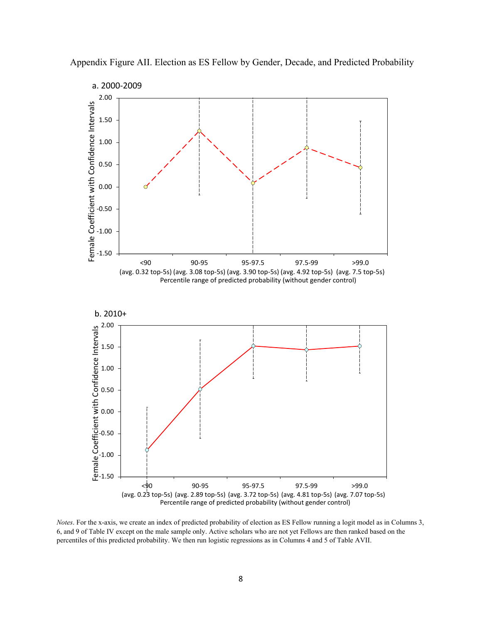

Appendix Figure AII. Election as ES Fellow by Gender, Decade, and Predicted Probability

*Notes*. For the x-axis, we create an index of predicted probability of election as ES Fellow running a logit model as in Columns 3, 6, and 9 of Table IV except on the male sample only. Active scholars who are not yet Fellows are then ranked based on the percentiles of this predicted probability. We then run logistic regressions as in Columns 4 and 5 of Table AVII.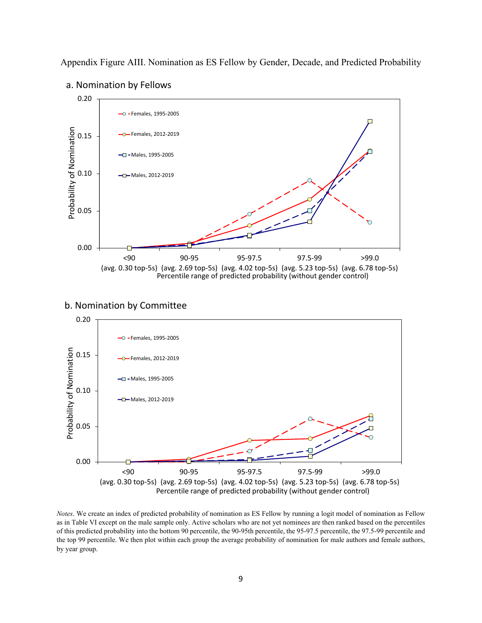Appendix Figure AIII. Nomination as ES Fellow by Gender, Decade, and Predicted Probability



### a. Nomination by Fellows





*Notes*. We create an index of predicted probability of nomination as ES Fellow by running a logit model of nomination as Fellow as in Table VI except on the male sample only. Active scholars who are not yet nominees are then ranked based on the percentiles of this predicted probability into the bottom 90 percentile, the 90-95th percentile, the 95-97.5 percentile, the 97.5-99 percentile and the top 99 percentile. We then plot within each group the average probability of nomination for male authors and female authors, by year group.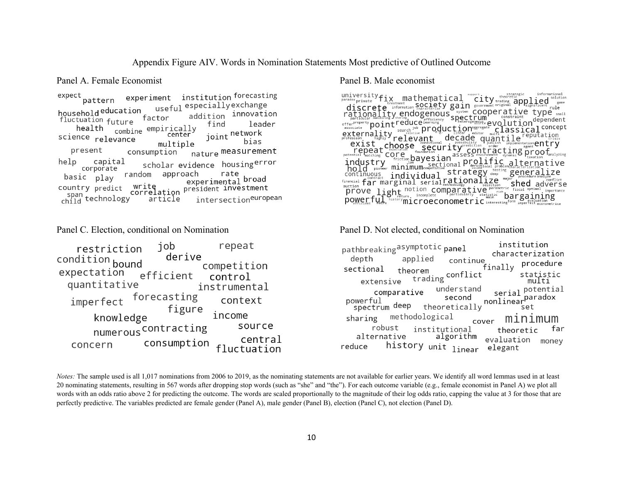Appendix Figure AIV. Words in Nomination Statements Most predictive of Outlined Outcome

Panel A. Female Economist Panel B. Male economist

institution forecasting expect experiment pattern useful especially exchange household education addition innovation fluctuation future factor find leader combine empirically health joint network science relevance center bias multiple nature measurement present consumption help capital scholar evidence housingerror corporate random approach rate basic play experimental broad write president investment country predict correlation span<br>child technology intersectioneuropean article

iob repeat restriction derive condition bound competition expectation efficient control quantitative instrumental forecasting imperfect context figure income knowledge numerous contracting source central consumption concern fluctuation

 $\textbf{discrete}^{\textit{straight}} \textit{of} \textit{if} \textit{if} \textit{if} \textit{if} \textit{if} \textit{if} \textit{if} \textit{if} \textit{if} \textit{if} \textit{if} \textit{if} \textit{if} \textit{if} \textit{if} \textit{if} \textit{if} \textit{if} \textit{if} \textit{if} \textit{if} \textit{if} \textit{if} \textit{if} \textit{if} \textit{if} \textit{if} \textit{if} \textit{if} \textit{if} \textit{if} \textit{if} \textit{if} \$ discrete information SQr. Let's gain socrete original intermediate type small<br>particular district type endogenous spectrum constraint type small<br>particular district type interventing the constraint dependent<br>of the particu educe financy spectrum<br>reduce financy spectrum<br>search in production exerged evolution dependent<br>search in production exerges evolution dependent<br>relevant decade quantile reputation. externality relevant decade quantile reputation ession is relevant decay of the state of the crisis<br>
exist choose security rediction which increase each try<br>
repeat core boundation assessment to the proof and year of the security<br>
respectively and the state of the secon repeat cnoose security core<br>
potential matching core potential matching<br>
industry fitting payesian assess otential matching curriction bayesian assess environment dynamic rivation analyzing<br>industry friction bayesian prolific alternative<br>hold pioneer minimum competitive strategy testing generalize industry Told pioneer minimum<br>continuous individual strategy teesing generalize financial far marginal serial rationalize shed adverse  $\text{prove}$   $\text{Light}_{\text{true}}$   $\text{norm}$   $\text{norm}$   $\text{atile}$   $\text{triv}$   $\text{error}$ prove light the incomplete integrated at the statistic bargaining

Panel C. Election, conditional on Nomination Panel D. Not elected, conditional on Nomination

institution pathbreakingasymptotic panel characterization applied depth continue procedure finally sectional theorem orem<br>trading <sup>conflict</sup> statistic extensive multi serial potential understand comparative serial potentie<br>nonlinear paradox <sub>set</sub> second powerful spectrum deep theoretically set methodological sharing minimum cover robust institutional far theoretic algorithm alternative evaluation money history unit linear reduce elegant

*Notes:* The sample used is all 1,017 nominations from 2006 to 2019, as the nominating statements are not available for earlier years. We identify all word lemmas used in at least 20 nominating statements, resulting in 567 words after dropping stop words (such as "she" and "the"). For each outcome variable (e.g., female economist in Panel A) we plot all words with an odds ratio above 2 for predicting the outcome. The words are scaled proportionally to the magnitude of their log odds ratio, capping the value at 3 for those that are perfectly predictive. The variables predicted are female gender (Panel A), male gender (Panel B), election (Panel C), not election (Panel D).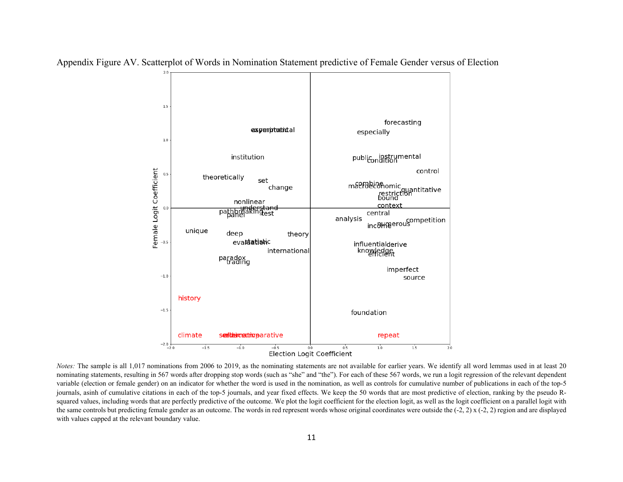

Appendix Figure AV. Scatterplot of Words in Nomination Statement predictive of Female Gender versus of Election

*Notes:* The sample is all 1,017 nominations from 2006 to 2019, as the nominating statements are not available for earlier years. We identify all word lemmas used in at least 20 nominating statements, resulting in 567 words after dropping stop words (such as "she" and "the"). For each of these 567 words, we run a logit regression of the relevant dependent variable (election or female gender) on an indicator for whether the word is used in the nomination, as well as controls for cumulative number of publications in each of the top-5 journals, asinh of cumulative citations in each of the top-5 journals, and year fixed effects. We keep the 50 words that are most predictive of election, ranking by the pseudo Rsquared values, including words that are perfectly predictive of the outcome. We plot the logit coefficient for the election logit, as well as the logit coefficient on a parallel logit with the same controls but predicting female gender as an outcome. The words in red represent words whose original coordinates were outside the  $(-2, 2)$  x  $(-2, 2)$  region and are displayed with values capped at the relevant boundary value.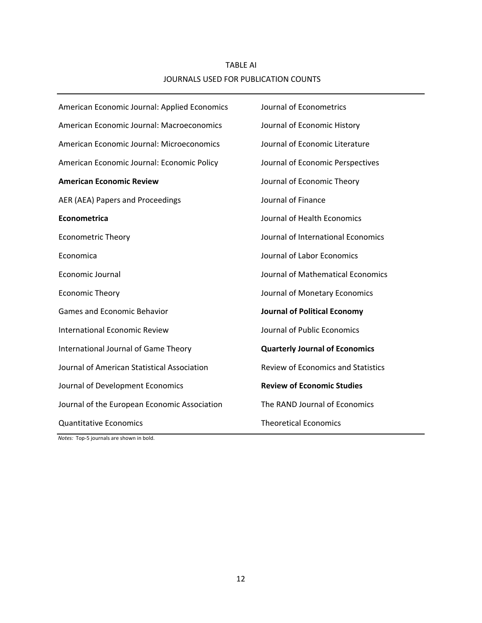# TABLE AI JOURNALS USED FOR PUBLICATION COUNTS

| American Economic Journal: Applied Economics | Journal of Econometrics                   |
|----------------------------------------------|-------------------------------------------|
| American Economic Journal: Macroeconomics    | Journal of Economic History               |
| American Economic Journal: Microeconomics    | Journal of Economic Literature            |
| American Economic Journal: Economic Policy   | Journal of Economic Perspectives          |
| <b>American Economic Review</b>              | Journal of Economic Theory                |
| AER (AEA) Papers and Proceedings             | Journal of Finance                        |
| Econometrica                                 | Journal of Health Economics               |
| <b>Econometric Theory</b>                    | Journal of International Economics        |
| Economica                                    | Journal of Labor Economics                |
| <b>Economic Journal</b>                      | Journal of Mathematical Economics         |
| <b>Economic Theory</b>                       | Journal of Monetary Economics             |
| <b>Games and Economic Behavior</b>           | <b>Journal of Political Economy</b>       |
| <b>International Economic Review</b>         | Journal of Public Economics               |
| International Journal of Game Theory         | <b>Quarterly Journal of Economics</b>     |
| Journal of American Statistical Association  | <b>Review of Economics and Statistics</b> |
| Journal of Development Economics             | <b>Review of Economic Studies</b>         |
| Journal of the European Economic Association | The RAND Journal of Economics             |
| <b>Quantitative Economics</b>                | <b>Theoretical Economics</b>              |

*Notes:* Top-5 journals are shown in bold.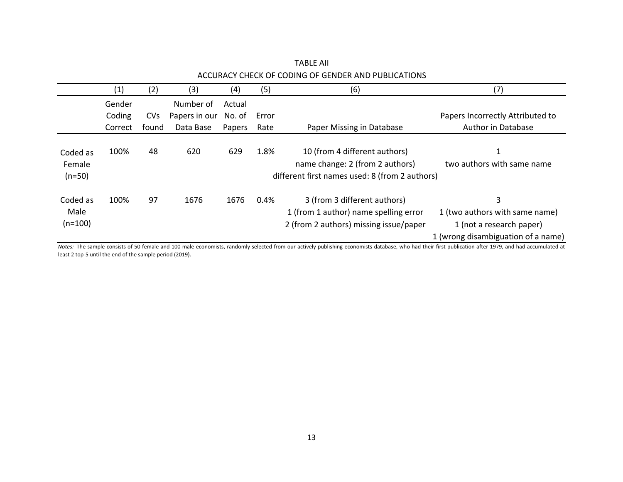|                                | (1)     | (2)        | (3)           | (4)    | (5)   | (6)                                                                                                                | (7)                                                                                                   |
|--------------------------------|---------|------------|---------------|--------|-------|--------------------------------------------------------------------------------------------------------------------|-------------------------------------------------------------------------------------------------------|
|                                | Gender  |            | Number of     | Actual |       |                                                                                                                    |                                                                                                       |
|                                | Coding  | <b>CVs</b> | Papers in our | No. of | Error |                                                                                                                    | Papers Incorrectly Attributed to                                                                      |
|                                | Correct | found      | Data Base     | Papers | Rate  | Paper Missing in Database                                                                                          | Author in Database                                                                                    |
| Coded as<br>Female<br>$(n=50)$ | 100%    | 48         | 620           | 629    | 1.8%  | 10 (from 4 different authors)<br>name change: 2 (from 2 authors)<br>different first names used: 8 (from 2 authors) | 1<br>two authors with same name                                                                       |
| Coded as<br>Male<br>$(n=100)$  | 100%    | 97         | 1676          | 1676   | 0.4%  | 3 (from 3 different authors)<br>1 (from 1 author) name spelling error<br>2 (from 2 authors) missing issue/paper    | 3<br>1 (two authors with same name)<br>1 (not a research paper)<br>1 (wrong disambiguation of a name) |

TABLE AII ACCURACY CHECK OF CODING OF GENDER AND PUBLICATIONS

*Notes:* The sample consists of 50 female and 100 male economists, randomly selected from our actively publishing economists database, who had their first publication after 1979, and had accumulated at least 2 top-5 until the end of the sample period (2019).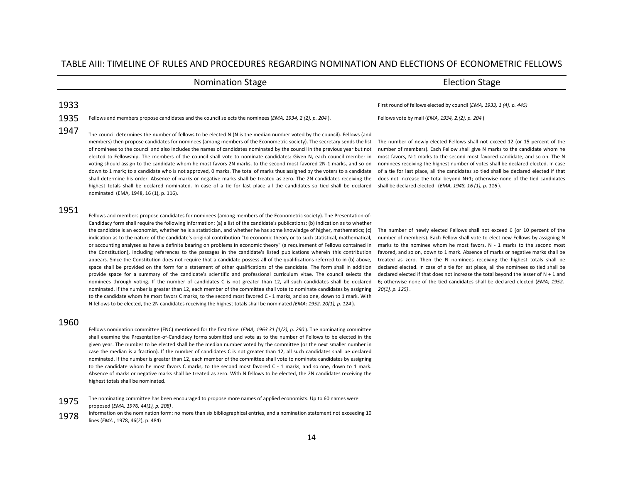#### TABLE AIII: TIMELINE OF RULES AND PROCEDURES REGARDING NOMINATION AND ELECTIONS OF ECONOMETRIC FELLOWS

### Nomination Stage **Election Stage** Election Stage

1947 The council determines the number of fellows to be elected N (N is the median number voted by the council). Fellows (and members) then propose candidates for nominees (among members of the Econometric society). The secretary sends the list of nominees to the council and also includes the names of candidates nominated by the council in the previous year but not elected to Fellowship. The members of the council shall vote to nominate candidates: Given N, each council member in voting should assign to the candidate whom he most favors 2N marks, to the second most favored 2N-1 marks, and so on down to 1 mark; to a candidate who is not approved, 0 marks. The total of marks thus assigned by the voters to a candidate shall determine his order. Absence of marks or negative marks shall be treated as zero. The 2N candidates receiving the highest totals shall be declared nominated. In case of a tie for last place all the candidates so tied shall be declared nominated (EMA, 1948, 16 (1), p. 116).

#### 1951

Fellows and members propose candidates for nominees (among members of the Econometric society). The Presentation-of-Candidacy form shall require the following information: (a) a list of the candidate's publications; (b) indication as to whether the candidate is an economist, whether he is a statistician, and whether he has some knowledge of higher, mathematics; (c) indication as to the nature of the candidate's original contribution "to economic theory or to such statistical, mathematical, or accounting analyses as have a definite bearing on problems in economic theory" (a requirement of Fellows contained in the Constitution), including references to the passages in the candidate's listed publications wherein this contribution appears. Since the Constitution does not require that a candidate possess all of the qualifications referred to in (b) above, space shall be provided on the form for a statement of other qualifications of the candidate. The form shall in addition provide space for a summary of the candidate's scientific and professional curriculum vitae. The council selects the nominees through voting. If the number of candidates C is not greater than 12, all such candidates shall be declared nominated. If the number is greater than 12, each member of the committee shall vote to nominate candidates by assigning to the candidate whom he most favors C marks, to the second most favored C - 1 marks, and so one, down to 1 mark. With N fellows to be elected, the 2N candidates receiving the highest totals shall be nominated *(EMA; 1952, 20(1), p. 124* ).

#### 1960

Fellows nomination committee (FNC) mentioned for the first time (*EMA, 1963 31 (1/2), p. 290* ). The nominating committee shall examine the Presentation-of-Candidacy forms submitted and vote as to the number of Fellows to be elected in the given year. The number to be elected shall be the median number voted by the committee (or the next smaller number in case the median is a fraction). If the number of candidates C is not greater than 12, all such candidates shall be declared nominated. If the number is greater than 12, each member of the committee shall vote to nominate candidates by assigning to the candidate whom he most favors C marks, to the second most favored C - 1 marks, and so one, down to 1 mark. Absence of marks or negative marks shall be treated as zero. With N fellows to be elected, the 2N candidates receiving the highest totals shall be nominated.

1975 The nominating committee has been encouraged to propose more names of applied economists. Up to 60 names were proposed (*EMA, 1976, 44(1), p. 208)* .

1978 Information on the nomination form: no more than six bibliographical entries, and a nomination statement not exceeding 10 lines (*EMA* , 1978, 46(2), p. 484)

1933 First round of fellows elected by council (*EMA, 1933, 1 (4), p. 445)*

1935 Fellows and members propose candidates and the council selects the nominees (*EMA, 1934, 2 (2), p. 204* ). Fellows vote by mail (*EMA, 1934, 2,(2), p. 204* )

The number of newly elected Fellows shall not exceed 12 (or 15 percent of the number of members). Each Fellow shall give N marks to the candidate whom he most favors, N-1 marks to the second most favored candidate, and so on. The N nominees receiving the highest number of votes shall be declared elected. In case of a tie for last place, all the candidates so tied shall be declared elected if that does not increase the total beyond N+1; otherwise none of the tied candidates shall be declared elected (*EMA, 1948, 16 (1), p. 116* ).

The number of newly elected Fellows shall not exceed 6 (or 10 percent of the number of members). Each Fellow shall vote to elect new Fellows by assigning N marks to the nominee whom he most favors, N - 1 marks to the second most favored, and so on, down to 1 mark. Absence of marks or negative marks shall be treated as zero. Then the N nominees receiving the highest totals shall be declared elected. In case of a tie for last place, all the nominees so tied shall be declared elected if that does not increase the total beyond the lesser of  $N + 1$  and 6; otherwise none of the tied candidates shall be declared elected (*EMA; 1952, 20(1), p. 125)* .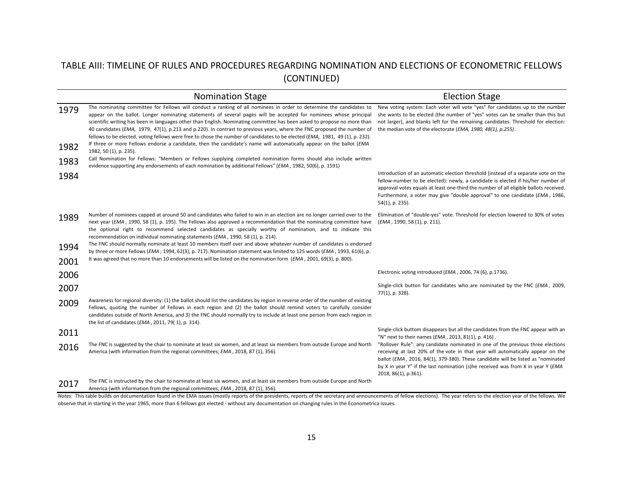# TABLE AIII: TIMELINE OF RULES AND PROCEDURES REGARDING NOMINATION AND ELECTIONS OF ECONOMETRIC FELLOWS (CONTINUED)

|              | <b>Nomination Stage</b>                                                                                                                                                                                                                                                                                                                                                                                                                                                                                                                                                                                                                                                                                                                                                          | <b>Election Stage</b>                                                                                                                                                                                                                                                                                                                                              |
|--------------|----------------------------------------------------------------------------------------------------------------------------------------------------------------------------------------------------------------------------------------------------------------------------------------------------------------------------------------------------------------------------------------------------------------------------------------------------------------------------------------------------------------------------------------------------------------------------------------------------------------------------------------------------------------------------------------------------------------------------------------------------------------------------------|--------------------------------------------------------------------------------------------------------------------------------------------------------------------------------------------------------------------------------------------------------------------------------------------------------------------------------------------------------------------|
| 1979<br>1982 | The nominating committee for Fellows will conduct a ranking of all nominees in order to determine the candidates to<br>appear on the ballot. Longer nominating statements of several pages will be accepted for nominees whose principal<br>scientific writing has been in languages other than English. Nominating committee has been asked to propose no more than<br>40 candidates (EMA, 1979, 47(1), p.213 and p.220). In contrast to previous years, where the FNC proposed the number of<br>fellows to be elected, voting fellows were free to chose the number of candidates to be elected (EMA, 1981, 49 (1), p. 232).<br>If three or more Fellows endorse a candidate, then the candidate's name will automatically appear on the ballot (EMA<br>1982, 50 (1), p. 235). | New voting system: Each voter will vote "yes" for candidates up to the number<br>she wants to be elected (the number of "yes" votes can be smaller than this but<br>not larger), and blanks left for the remaining candidates. Threshold for election:<br>the median vote of the electorate (EMA, 1980, 48(1), p.255).                                             |
| 1983         | Call Nomination for Fellows: "Members or Fellows supplying completed nomination forms should also include written<br>evidence supporting any endorsements of each nomination by additional Fellows" (EMA, 1982, 50(6), p. 1591)                                                                                                                                                                                                                                                                                                                                                                                                                                                                                                                                                  |                                                                                                                                                                                                                                                                                                                                                                    |
| 1984         |                                                                                                                                                                                                                                                                                                                                                                                                                                                                                                                                                                                                                                                                                                                                                                                  | Introduction of an automatic election threshold (instead of a separate vote on the<br>fellow-number to be elected): newly, a candidate is elected if his/her number of<br>approval votes equals at least one-third the number of all eligible ballots received.<br>Furthermore, a voter may give "double approval" to one candidate (EMA, 1986,<br>54(1), p. 235). |
| 1989         | Number of nominees capped at around 50 and candidates who failed to win in an election are no longer carried over to the<br>next year (EMA, 1990, 58 (1), p. 195). The Fellows also approved a recommendation that the nominating committee have<br>the optional right to recommend selected candidates as specially worthy of nomination, and to indicate this<br>recommendation on individual nominating statements (EMA, 1990, 58 (1), p. 214).                                                                                                                                                                                                                                                                                                                               | Elimination of "double-yes" vote. Threshold for election lowered to 30% of votes<br>( <i>EMA</i> , 1990, 58 (1), p. 211).                                                                                                                                                                                                                                          |
| 1994         | The FNC should normally nominate at least 10 members itself over and above whatever number of candidates is endorsed<br>by three or more Fellows (EMA; 1994, 62(3), p. 717). Nomination statement was limited to 125 words (EMA, 1993, 61(6), p.                                                                                                                                                                                                                                                                                                                                                                                                                                                                                                                                 |                                                                                                                                                                                                                                                                                                                                                                    |
| 2001         | It was agreed that no more than 10 endorsements will be listed on the nomination form (EMA, 2001, 69(3), p. 800).                                                                                                                                                                                                                                                                                                                                                                                                                                                                                                                                                                                                                                                                |                                                                                                                                                                                                                                                                                                                                                                    |
| 2006         |                                                                                                                                                                                                                                                                                                                                                                                                                                                                                                                                                                                                                                                                                                                                                                                  | Electronic voting introduced (EMA, 2006, 74 (6), p.1736).                                                                                                                                                                                                                                                                                                          |
| 2007         |                                                                                                                                                                                                                                                                                                                                                                                                                                                                                                                                                                                                                                                                                                                                                                                  | Single-click button for candidates who are nominated by the FNC (EMA, 2009,<br>77(1), p. 328).                                                                                                                                                                                                                                                                     |
| 2009         | Awareness for regional diversity: (1) the ballot should list the candidates by region in reverse order of the number of existing<br>Fellows, quoting the number of Fellows in each region and (2) the ballot should remind voters to carefully consider<br>candidates outside of North America, and 3) the FNC should normally try to include at least one person from each region in<br>the list of candidates (EMA, 2011, 79(1), p. 314).                                                                                                                                                                                                                                                                                                                                      |                                                                                                                                                                                                                                                                                                                                                                    |
| 2011         |                                                                                                                                                                                                                                                                                                                                                                                                                                                                                                                                                                                                                                                                                                                                                                                  | Single-click buttom disappears but all the candidates from the FNC appear with an<br>"N" next to their names ( <i>EMA</i> , 2013, 81(1), p. 416).                                                                                                                                                                                                                  |
| 2016         | The FNC is suggested by the chair to nominate at least six women, and at least six members from outside Europe and North<br>America (with information from the regional committees; EMA, 2018, 87 (1), 356).                                                                                                                                                                                                                                                                                                                                                                                                                                                                                                                                                                     | "Rollover Rule": any candidate nominated in one of the previous three elections<br>receiving at last 20% of the vote in that year will automatically appear on the<br>ballot (EMA, 2016, 84(1), 379-380). These candidate will be listed as "nominated<br>by X in year Y" if the last nomination (s)he received was from X in year Y (EMA<br>2018, 86(1), p.361).  |
| 2017         | The FNC is instructed by the chair to nominate at least six women, and at least six members from outside Europe and North<br>America (with information from the regional committees; EMA, 2018, 87 (1), 356).                                                                                                                                                                                                                                                                                                                                                                                                                                                                                                                                                                    |                                                                                                                                                                                                                                                                                                                                                                    |

Notes: This table builds on documentation found in the EMA issues (mostly reports of the presidents, reports of the secretary and announcements of fellow elections). The year refers to the election year of the fellows. We observe that in starting in the year 1965, more than 6 fellows got elected - without any documentation on changing rules in the Econometrica issues.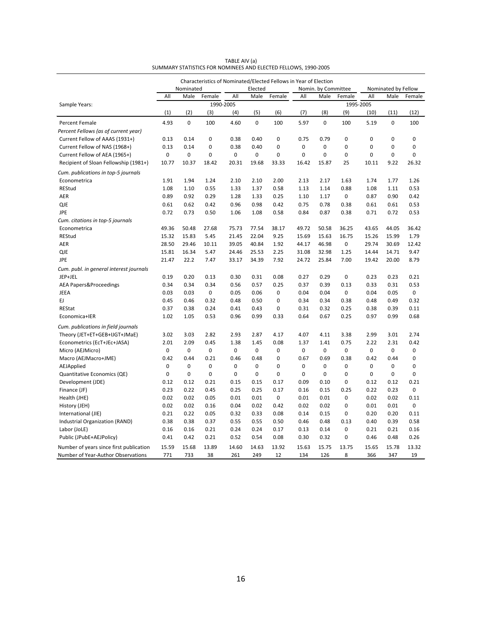|                                         |              |              |                     |              | Characteristics of Nominated/Elected Fellows in Year of Election |        |              |                     |                     | Nominated by Fellow |              |              |
|-----------------------------------------|--------------|--------------|---------------------|--------------|------------------------------------------------------------------|--------|--------------|---------------------|---------------------|---------------------|--------------|--------------|
|                                         |              | Nominated    |                     |              | Elected                                                          |        |              | Nomin. by Committee |                     |                     |              |              |
| Sample Years:                           | All          | Male         | Female<br>1990-2005 | All          | Male                                                             | Female | All          | Male                | Female<br>1995-2005 | All                 | Male         | Female       |
|                                         | (1)          | (2)          | (3)                 | (4)          | (5)                                                              | (6)    | (7)          | (8)                 | (9)                 | (10)                | (11)         | (12)         |
| <b>Percent Female</b>                   | 4.93         | $\mathbf 0$  | 100                 | 4.60         | 0                                                                | 100    | 5.97         | $\mathbf 0$         | 100                 | 5.19                | $\mathbf 0$  | 100          |
| Percent Fellows (as of current year)    |              |              |                     |              |                                                                  |        |              |                     |                     |                     |              |              |
| Current Fellow of AAAS (1931+)          | 0.13         | 0.14         | 0                   | 0.38         | 0.40                                                             | 0      | 0.75         | 0.79                | 0                   | $\mathbf 0$         | 0            | $\pmb{0}$    |
| Current Fellow of NAS (1968+)           | 0.13         | 0.14         | 0                   | 0.38         | 0.40                                                             | 0      | 0            | 0                   | 0                   | $\mathbf 0$         | $\pmb{0}$    | $\pmb{0}$    |
| Current Fellow of AEA (1965+)           | $\mathbf 0$  | $\mathbf 0$  | 0                   | 0            | 0                                                                | 0      | 0            | $\mathbf 0$         | 0                   | $\mathbf 0$         | $\mathbf 0$  | $\mathbf 0$  |
| Recipient of Sloan Fellowship (1981+)   | 10.77        | 10.37        | 18.42               | 20.31        | 19.68                                                            | 33.33  | 16.42        | 15.87               | 25                  | 10.11               | 9.22         | 26.32        |
| Cum. publications in top-5 journals     |              |              |                     |              |                                                                  |        |              |                     |                     |                     |              |              |
| Econometrica                            | 1.91         | 1.94         | 1.24                | 2.10         | 2.10                                                             | 2.00   | 2.13         | 2.17                | 1.63                | 1.74                | 1.77         | 1.26         |
| REStud                                  | 1.08         | 1.10         | 0.55                | 1.33         | 1.37                                                             | 0.58   | 1.13         | 1.14                | 0.88                | 1.08                | 1.11         | 0.53         |
| AER                                     | 0.89         | 0.92         | 0.29                | 1.28         | 1.33                                                             | 0.25   | 1.10         | 1.17                | 0                   | 0.87                | 0.90         | 0.42         |
| <b>QJE</b>                              | 0.61         | 0.62         | 0.42                | 0.96         | 0.98                                                             | 0.42   | 0.75         | 0.78                | 0.38                | 0.61                | 0.61         | 0.53         |
| JPE                                     | 0.72         | 0.73         | 0.50                | 1.06         | 1.08                                                             | 0.58   | 0.84         | 0.87                | 0.38                | 0.71                | 0.72         | 0.53         |
| Cum. citations in top-5 journals        |              |              |                     |              |                                                                  |        |              |                     |                     |                     |              |              |
| Econometrica                            | 49.36        | 50.48        | 27.68               | 75.73        | 77.54                                                            | 38.17  | 49.72        | 50.58               | 36.25               | 43.65               | 44.05        | 36.42        |
| <b>REStud</b>                           | 15.32        | 15.83        | 5.45                | 21.45        | 22.04                                                            | 9.25   | 15.69        | 15.63               | 16.75               | 15.26               | 15.99        | 1.79         |
| AER                                     | 28.50        | 29.46        | 10.11               | 39.05        | 40.84                                                            | 1.92   | 44.17        | 46.98               | 0                   | 29.74               | 30.69        | 12.42        |
| QJE                                     | 15.81        | 16.34        | 5.47                | 24.46        | 25.53                                                            | 2.25   | 31.08        | 32.98               | 1.25                | 14.44               | 14.71        | 9.47         |
| JPE                                     | 21.47        | 22.2         | 7.47                | 33.17        | 34.39                                                            | 7.92   | 24.72        | 25.84               | 7.00                | 19.42               | 20.00        | 8.79         |
| Cum. publ. in general interest journals |              |              |                     |              |                                                                  |        |              |                     |                     |                     |              |              |
| JEP+JEL                                 | 0.19         | 0.20         | 0.13                | 0.30         | 0.31                                                             | 0.08   | 0.27         | 0.29                | 0                   | 0.23                | 0.23         | 0.21         |
| <b>AEA Papers&amp;Proceedings</b>       | 0.34         | 0.34         | 0.34                | 0.56         | 0.57                                                             | 0.25   | 0.37         | 0.39                | 0.13                | 0.33                | 0.31         | 0.53         |
| JEEA                                    | 0.03         | 0.03         | 0                   | 0.05         | 0.06                                                             | 0      | 0.04         | 0.04                | 0                   | 0.04                | 0.05         | 0            |
| EJ.<br><b>REStat</b>                    | 0.45<br>0.37 | 0.46<br>0.38 | 0.32<br>0.24        | 0.48<br>0.41 | 0.50<br>0.43                                                     | 0<br>0 | 0.34<br>0.31 | 0.34<br>0.32        | 0.38<br>0.25        | 0.48<br>0.38        | 0.49<br>0.39 | 0.32<br>0.11 |
| Economica+IER                           | 1.02         | 1.05         | 0.53                | 0.96         | 0.99                                                             | 0.33   | 0.64         | 0.67                | 0.25                | 0.97                | 0.99         | 0.68         |
| Cum. publications in field journals     |              |              |                     |              |                                                                  |        |              |                     |                     |                     |              |              |
| Theory (JET+ET+GEB+IJGT+JMaE)           | 3.02         | 3.03         | 2.82                | 2.93         | 2.87                                                             | 4.17   | 4.07         | 4.11                | 3.38                | 2.99                | 3.01         | 2.74         |
| Econometrics (EcT+JEc+JASA)             | 2.01         | 2.09         | 0.45                | 1.38         | 1.45                                                             | 0.08   | 1.37         | 1.41                | 0.75                | 2.22                | 2.31         | 0.42         |
| Micro (AEJMicro)                        | $\pmb{0}$    | 0            | 0                   | 0            | 0                                                                | 0      | 0            | 0                   | 0                   | 0                   | $\pmb{0}$    | 0            |
| Macro (AEJMacro+JME)                    | 0.42         | 0.44         | 0.21                | 0.46         | 0.48                                                             | 0      | 0.67         | 0.69                | 0.38                | 0.42                | 0.44         | 0            |
| AEJApplied                              | $\mathbf 0$  | 0            | 0                   | 0            | 0                                                                | 0      | 0            | 0                   | 0                   | $\mathbf 0$         | 0            | $\pmb{0}$    |
| Quantitative Economics (QE)             | $\mathbf 0$  | $\mathbf 0$  | 0                   | 0            | 0                                                                | 0      | 0            | $\mathbf 0$         | 0                   | 0                   | $\mathbf 0$  | $\mathbf 0$  |
| Development (JDE)                       | 0.12         | 0.12         | 0.21                | 0.15         | 0.15                                                             | 0.17   | 0.09         | 0.10                | 0                   | 0.12                | 0.12         | 0.21         |
| Finance (JF)                            | 0.23         | 0.22         | 0.45                | 0.25         | 0.25                                                             | 0.17   | 0.16         | 0.15                | 0.25                | 0.22                | 0.23         | $\pmb{0}$    |
| Health (JHE)                            | 0.02         | 0.02         | 0.05                | 0.01         | 0.01                                                             | 0      | 0.01         | 0.01                | 0                   | 0.02                | 0.02         | 0.11         |
| History (JEH)                           | 0.02         | 0.02         | 0.16                | 0.04         | 0.02                                                             | 0.42   | 0.02         | 0.02                | 0                   | 0.01                | 0.01         | 0            |
| International (JIE)                     | 0.21         | 0.22         | 0.05                | 0.32         | 0.33                                                             | 0.08   | 0.14         | 0.15                | 0                   | 0.20                | 0.20         | 0.11         |
| Industrial Organization (RAND)          | 0.38         | 0.38         | 0.37                | 0.55         | 0.55                                                             | 0.50   | 0.46         | 0.48                | 0.13                | 0.40                | 0.39         | 0.58         |
| Labor (JoLE)                            | 0.16         | 0.16         | 0.21                | 0.24         | 0.24                                                             | 0.17   | 0.13         | 0.14                | 0                   | 0.21                | 0.21         | 0.16         |
| Public (JPubE+AEJPolicy)                | 0.41         | 0.42         | 0.21                | 0.52         | 0.54                                                             | 0.08   | 0.30         | 0.32                | 0                   | 0.46                | 0.48         | 0.26         |
| Number of years since first publication | 15.59        | 15.68        | 13.89               | 14.60        | 14.63                                                            | 13.92  | 15.63        | 15.75               | 13.75               | 15.65               | 15.78        | 13.32        |
| Number of Year-Author Observations      | 771          | 733          | 38                  | 261          | 249                                                              | 12     | 134          | 126                 | 8                   | 366                 | 347          | 19           |

TABLE AIV (a) SUMMARY STATISTICS FOR NOMINEES AND ELECTED FELLOWS, 1990-2005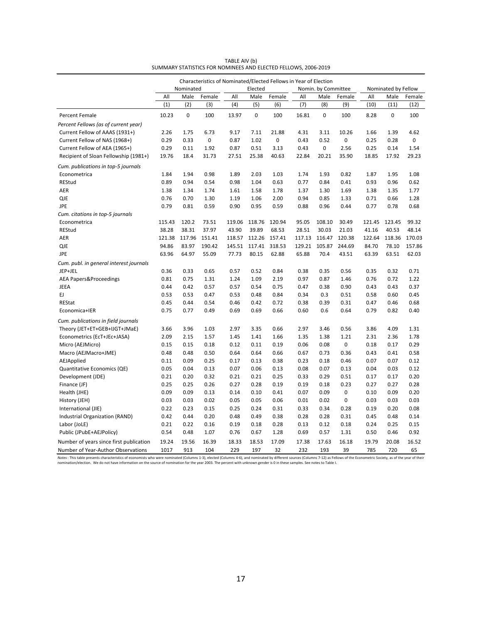|                                         |        | Characteristics of Nominated/Elected Fellows in Year of Election |        |        |           |        |        |                     |           |        |                     |             |
|-----------------------------------------|--------|------------------------------------------------------------------|--------|--------|-----------|--------|--------|---------------------|-----------|--------|---------------------|-------------|
|                                         |        | Nominated                                                        |        |        | Elected   |        |        | Nomin. by Committee |           |        | Nominated by Fellow |             |
|                                         | All    | Male                                                             | Female | All    | Male      | Female | All    | Male                | Female    | All    | Male                | Female      |
|                                         | (1)    | (2)                                                              | (3)    | (4)    | (5)       | (6)    | (7)    | (8)                 | (9)       | (10)   | (11)                | (12)        |
| <b>Percent Female</b>                   | 10.23  | 0                                                                | 100    | 13.97  | $\pmb{0}$ | 100    | 16.81  | 0                   | 100       | 8.28   | $\pmb{0}$           | 100         |
| Percent Fellows (as of current year)    |        |                                                                  |        |        |           |        |        |                     |           |        |                     |             |
| Current Fellow of AAAS (1931+)          | 2.26   | 1.75                                                             | 6.73   | 9.17   | 7.11      | 21.88  | 4.31   | 3.11                | 10.26     | 1.66   | 1.39                | 4.62        |
| Current Fellow of NAS (1968+)           | 0.29   | 0.33                                                             | 0      | 0.87   | 1.02      | 0      | 0.43   | 0.52                | 0         | 0.25   | 0.28                | $\mathbf 0$ |
| Current Fellow of AEA (1965+)           | 0.29   | 0.11                                                             | 1.92   | 0.87   | 0.51      | 3.13   | 0.43   | 0                   | 2.56      | 0.25   | 0.14                | 1.54        |
| Recipient of Sloan Fellowship (1981+)   | 19.76  | 18.4                                                             | 31.73  | 27.51  | 25.38     | 40.63  | 22.84  | 20.21               | 35.90     | 18.85  | 17.92               | 29.23       |
| Cum. publications in top-5 journals     |        |                                                                  |        |        |           |        |        |                     |           |        |                     |             |
| Econometrica                            | 1.84   | 1.94                                                             | 0.98   | 1.89   | 2.03      | 1.03   | 1.74   | 1.93                | 0.82      | 1.87   | 1.95                | 1.08        |
| REStud                                  | 0.89   | 0.94                                                             | 0.54   | 0.98   | 1.04      | 0.63   | 0.77   | 0.84                | 0.41      | 0.93   | 0.96                | 0.62        |
| AER                                     | 1.38   | 1.34                                                             | 1.74   | 1.61   | 1.58      | 1.78   | 1.37   | 1.30                | 1.69      | 1.38   | 1.35                | 1.77        |
| QJE                                     | 0.76   | 0.70                                                             | 1.30   | 1.19   | 1.06      | 2.00   | 0.94   | 0.85                | 1.33      | 0.71   | 0.66                | 1.28        |
| <b>JPE</b>                              | 0.79   | 0.81                                                             | 0.59   | 0.90   | 0.95      | 0.59   | 0.88   | 0.96                | 0.44      | 0.77   | 0.78                | 0.68        |
| Cum. citations in top-5 journals        |        |                                                                  |        |        |           |        |        |                     |           |        |                     |             |
| Econometrica                            | 115.43 | 120.2                                                            | 73.51  | 119.06 | 118.76    | 120.94 | 95.05  | 108.10              | 30.49     | 121.45 | 123.45              | 99.32       |
| REStud                                  | 38.28  | 38.31                                                            | 37.97  | 43.90  | 39.89     | 68.53  | 28.51  | 30.03               | 21.03     | 41.16  | 40.53               | 48.14       |
| AER                                     | 121.38 | 117.96                                                           | 151.41 | 118.57 | 112.26    | 157.41 | 117.13 | 116.47              | 120.38    | 122.64 | 118.36              | 170.03      |
| <b>QJE</b>                              | 94.86  | 83.97                                                            | 190.42 | 145.51 | 117.41    | 318.53 | 129.21 | 105.87              | 244.69    | 84.70  | 78.10               | 157.86      |
| <b>JPE</b>                              | 63.96  | 64.97                                                            | 55.09  | 77.73  | 80.15     | 62.88  | 65.88  | 70.4                | 43.51     | 63.39  | 63.51               | 62.03       |
| Cum. publ. in general interest journals |        |                                                                  |        |        |           |        |        |                     |           |        |                     |             |
| JEP+JEL                                 | 0.36   | 0.33                                                             | 0.65   | 0.57   | 0.52      | 0.84   | 0.38   | 0.35                | 0.56      | 0.35   | 0.32                | 0.71        |
| AEA Papers&Proceedings                  | 0.81   | 0.75                                                             | 1.31   | 1.24   | 1.09      | 2.19   | 0.97   | 0.87                | 1.46      | 0.76   | 0.72                | 1.22        |
| JEEA                                    | 0.44   | 0.42                                                             | 0.57   | 0.57   | 0.54      | 0.75   | 0.47   | 0.38                | 0.90      | 0.43   | 0.43                | 0.37        |
| EJ.                                     | 0.53   | 0.53                                                             | 0.47   | 0.53   | 0.48      | 0.84   | 0.34   | 0.3                 | 0.51      | 0.58   | 0.60                | 0.45        |
| <b>REStat</b>                           | 0.45   | 0.44                                                             | 0.54   | 0.46   | 0.42      | 0.72   | 0.38   | 0.39                | 0.31      | 0.47   | 0.46                | 0.68        |
| Economica+IER                           | 0.75   | 0.77                                                             | 0.49   | 0.69   | 0.69      | 0.66   | 0.60   | 0.6                 | 0.64      | 0.79   | 0.82                | 0.40        |
| Cum. publications in field journals     |        |                                                                  |        |        |           |        |        |                     |           |        |                     |             |
| Theory (JET+ET+GEB+IJGT+JMaE)           | 3.66   | 3.96                                                             | 1.03   | 2.97   | 3.35      | 0.66   | 2.97   | 3.46                | 0.56      | 3.86   | 4.09                | 1.31        |
| Econometrics (EcT+JEc+JASA)             | 2.09   | 2.15                                                             | 1.57   | 1.45   | 1.41      | 1.66   | 1.35   | 1.38                | 1.21      | 2.31   | 2.36                | 1.78        |
| Micro (AEJMicro)                        | 0.15   | 0.15                                                             | 0.18   | 0.12   | 0.11      | 0.19   | 0.06   | 0.08                | 0         | 0.18   | 0.17                | 0.29        |
| Macro (AEJMacro+JME)                    | 0.48   | 0.48                                                             | 0.50   | 0.64   | 0.64      | 0.66   | 0.67   | 0.73                | 0.36      | 0.43   | 0.41                | 0.58        |
| AEJApplied                              | 0.11   | 0.09                                                             | 0.25   | 0.17   | 0.13      | 0.38   | 0.23   | 0.18                | 0.46      | 0.07   | 0.07                | 0.12        |
| Quantitative Economics (QE)             | 0.05   | 0.04                                                             | 0.13   | 0.07   | 0.06      | 0.13   | 0.08   | 0.07                | 0.13      | 0.04   | 0.03                | 0.12        |
| Development (JDE)                       | 0.21   | 0.20                                                             | 0.32   | 0.21   | 0.21      | 0.25   | 0.33   | 0.29                | 0.51      | 0.17   | 0.17                | 0.20        |
| Finance (JF)                            | 0.25   | 0.25                                                             | 0.26   | 0.27   | 0.28      | 0.19   | 0.19   | 0.18                | 0.23      | 0.27   | 0.27                | 0.28        |
| Health (JHE)                            | 0.09   | 0.09                                                             | 0.13   | 0.14   | 0.10      | 0.41   | 0.07   | 0.09                | $\pmb{0}$ | 0.10   | 0.09                | 0.20        |
| History (JEH)                           | 0.03   | 0.03                                                             | 0.02   | 0.05   | 0.05      | 0.06   | 0.01   | 0.02                | 0         | 0.03   | 0.03                | 0.03        |
| International (JIE)                     | 0.22   | 0.23                                                             | 0.15   | 0.25   | 0.24      | 0.31   | 0.33   | 0.34                | 0.28      | 0.19   | 0.20                | 0.08        |
| Industrial Organization (RAND)          | 0.42   | 0.44                                                             | 0.20   | 0.48   | 0.49      | 0.38   | 0.28   | 0.28                | 0.31      | 0.45   | 0.48                | 0.14        |
| Labor (JoLE)                            | 0.21   | 0.22                                                             | 0.16   | 0.19   | 0.18      | 0.28   | 0.13   | 0.12                | 0.18      | 0.24   | 0.25                | 0.15        |
| Public (JPubE+AEJPolicy)                | 0.54   | 0.48                                                             | 1.07   | 0.76   | 0.67      | 1.28   | 0.69   | 0.57                | 1.31      | 0.50   | 0.46                | 0.92        |
| Number of years since first publication | 19.24  | 19.56                                                            | 16.39  | 18.33  | 18.53     | 17.09  | 17.38  | 17.63               | 16.18     | 19.79  | 20.08               | 16.52       |
| Number of Year-Author Observations      | 1017   | 913                                                              | 104    | 229    | 197       | 32     | 232    | 193                 | 39        | 785    | 720                 | 65          |

TABLE AIV (b) SUMMARY STATISTICS FOR NOMINEES AND ELECTED FELLOWS, 2006-2019

Notes : This table presents characteristics of economists who were nominated (Columns 1-3), elected (Columns 4-6), and nominated by different sources (Columns 7-12) as Fellows of the Econometric Society, as of the year of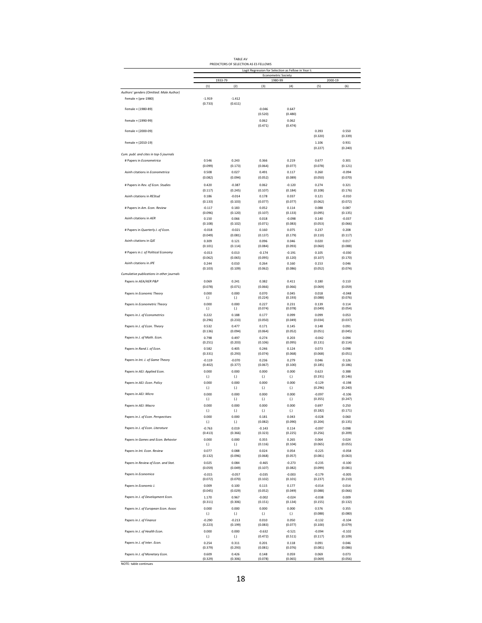| <b>TABIF AV</b>                       |  |
|---------------------------------------|--|
| PREDICTORS OF SELECTION AS ES FELLOWS |  |

|                                           | Logit Regression for Selection as Fellow in Year t:<br>Econometric Society |                             |                     |                     |                     |                     |  |  |  |  |  |  |
|-------------------------------------------|----------------------------------------------------------------------------|-----------------------------|---------------------|---------------------|---------------------|---------------------|--|--|--|--|--|--|
|                                           |                                                                            | 1933-79                     | 1980-99             |                     |                     | 2000-19             |  |  |  |  |  |  |
| Authors' genders (Omitted: Male Author)   | (1)                                                                        | (2)                         | (3)                 | (4)                 | (5)                 | (6)                 |  |  |  |  |  |  |
| Female × (pre-1980)                       | $-1.919$                                                                   | $-1.412$                    |                     |                     |                     |                     |  |  |  |  |  |  |
| Female × (1980-89)                        | (0.733)                                                                    | (0.611)                     | $-0.046$            | 0.647               |                     |                     |  |  |  |  |  |  |
|                                           |                                                                            |                             | (0.520)             | (0.480)             |                     |                     |  |  |  |  |  |  |
| Female × (1990-99)                        |                                                                            |                             | 0.062               | 0.062               |                     |                     |  |  |  |  |  |  |
| Female × (2000-09)                        |                                                                            |                             | (0.471)             | (0.474)             | 0.393               | 0.550               |  |  |  |  |  |  |
|                                           |                                                                            |                             |                     |                     | (0.320)             | (0.339)             |  |  |  |  |  |  |
| Female × (2010-19)                        |                                                                            |                             |                     |                     | 1.106               | 0.931               |  |  |  |  |  |  |
| Cum. publ. and cites in top-5 journals    |                                                                            |                             |                     |                     | (0.227)             | (0.240)             |  |  |  |  |  |  |
| # Papers in Econometrica                  | 0.546                                                                      | 0.243                       | 0.366               | 0.219               | 0.677               | 0.301               |  |  |  |  |  |  |
|                                           | (0.099)                                                                    | (0.173)                     | (0.064)             | (0.077)             | (0.078)             | (0.121)             |  |  |  |  |  |  |
| Asinh citations in Econometrica           | 0.508<br>(0.082)                                                           | 0.027<br>(0.094)            | 0.491<br>(0.052)    | 0.117<br>(0.089)    | 0.260<br>(0.050)    | $-0.094$<br>(0.070) |  |  |  |  |  |  |
| # Papers in Rev. of Econ. Studies         | 0.420                                                                      | $-0.387$                    | 0.062               | $-0.120$            | 0.274               | 0.321               |  |  |  |  |  |  |
|                                           | (0.117)                                                                    | (0.245)                     | (0.107)             | (0.184)             | (0.108)             | (0.176)             |  |  |  |  |  |  |
| Asinh citations in REStud                 | 0.186                                                                      | $-0.014$                    | 0.178               | 0.037               | 0.121               | $-0.010$            |  |  |  |  |  |  |
| # Papers in Am. Econ. Review              | (0.133)<br>$-0.117$                                                        | (0.103)<br>0.183            | (0.077)<br>0.052    | (0.077)<br>0.114    | (0.062)<br>0.088    | (0.072)<br>0.087    |  |  |  |  |  |  |
|                                           | (0.096)                                                                    | (0.120)                     | (0.107)             | (0.133)             | (0.095)             | (0.135)             |  |  |  |  |  |  |
| Asinh citations in AER                    | 0.150                                                                      | 0.066                       | 0.018               | $-0.098$            | 0.140               | $-0.037$            |  |  |  |  |  |  |
| # Papers in Quarterly J. of Econ.         | (0.108)<br>$-0.018$                                                        | (0.102)<br>$-0.021$         | (0.071)<br>0.160    | (0.083)<br>0.075    | (0.053)<br>0.237    | (0.066)<br>0.208    |  |  |  |  |  |  |
|                                           | (0.049)                                                                    | (0.081)                     | (0.137)             | (0.179)             | (0.110)             | (0.117)             |  |  |  |  |  |  |
| Asinh citations in QJE                    | 0.309                                                                      | 0.121                       | 0.096               | 0.046               | 0.020               | 0.017               |  |  |  |  |  |  |
| # Papers in J. of Political Economy       | (0.101)<br>$-0.013$                                                        | (0.114)<br>0.013            | (0.084)<br>$-0.174$ | (0.093)<br>$-0.191$ | (0.060)<br>0.105    | (0.088)<br>$-0.030$ |  |  |  |  |  |  |
|                                           | (0.062)                                                                    | (0.065)                     | (0.095)             | (0.120)             | (0.107)             | (0.170)             |  |  |  |  |  |  |
| Asinh citations in JPE                    | 0.244                                                                      | 0.010                       | 0.264<br>(0.062)    | 0.160               | 0.153               | 0.046<br>(0.074)    |  |  |  |  |  |  |
| Cumulative publications in other journals | (0.103)                                                                    | (0.109)                     |                     | (0.086)             | (0.052)             |                     |  |  |  |  |  |  |
| Papers in AEA/AER P&P                     | 0.069                                                                      | 0.241                       | 0.382               | 0.411               | 0.180               | 0.110               |  |  |  |  |  |  |
|                                           | (0.078)                                                                    | (0.071)                     | (0.066)             | (0.066)             | (0.069)             | (0.059)             |  |  |  |  |  |  |
| Papers in Economic Theory                 | 0.000<br>(.)                                                               | 0.000<br>(.)                | 0.070<br>(0.224)    | 0.045<br>(0.193)    | 0.018<br>(0.088)    | $-0.048$<br>(0.076) |  |  |  |  |  |  |
| Papers in Econometric Theory              | 0.000                                                                      | 0.000                       | 0.227               | 0.231               | 0.139               | 0.114               |  |  |  |  |  |  |
|                                           | (.)<br>0.222                                                               | $\left( . \right)$<br>0.188 | (0.074)<br>0.177    | (0.078)<br>0.099    | (0.049)<br>0.099    | (0.054)<br>0.053    |  |  |  |  |  |  |
| Papers in J. of Econometrics              | (0.296)                                                                    | (0.233)                     | (0.050)             | (0.049)             | (0.034)             | (0.037)             |  |  |  |  |  |  |
| Papers in J. of Econ. Theory              | 0.532                                                                      | 0.477                       | 0.171               | 0.145               | 0.148               | 0.091               |  |  |  |  |  |  |
| Papers in J. of Math. Econ.               | (0.136)<br>0.798                                                           | (0.094)<br>0.497            | (0.064)<br>0.274    | (0.052)<br>0.203    | (0.051)<br>$-0.042$ | (0.045)<br>0.094    |  |  |  |  |  |  |
|                                           | (0.251)                                                                    | (0.203)                     | (0.106)             | (0.095)             | (0.131)             | (0.114)             |  |  |  |  |  |  |
| Papers in Rand J. of Econ.                | 0.582                                                                      | 0.405                       | 0.246               | 0.124               | 0.073               | 0.098               |  |  |  |  |  |  |
| Papers in Int. J. of Game Theory          | (0.331)<br>$-0.119$                                                        | (0.293)<br>$-0.070$         | (0.074)<br>0.236    | (0.068)<br>0.279    | (0.068)<br>0.046    | (0.051)<br>0.126    |  |  |  |  |  |  |
|                                           | (0.402)                                                                    | (0.377)                     | (0.067)             | (0.100)             | (0.185)             | (0.186)             |  |  |  |  |  |  |
| Papers in AEJ: Applied Econ.              | 0.000                                                                      | 0.000                       | 0.000               | 0.000               | 0.623<br>(0.191)    | 0.388<br>(0.146)    |  |  |  |  |  |  |
| Papers in AEJ: Econ. Policy               | (.)<br>0.000                                                               | (.)<br>0.000                | (.)<br>0.000        | (.)<br>0.000        | $-0.129$            | $-0.198$            |  |  |  |  |  |  |
|                                           | $\left( . \right)$                                                         | $\left( . \right)$          | (.)                 | (.)                 | (0.296)             | (0.240)             |  |  |  |  |  |  |
| Papers in AEJ: Micro                      | 0.000<br>(.)                                                               | 0.000<br>$\left( . \right)$ | 0.000<br>(.)        | 0.000<br>(.)        | $-0.097$<br>(0.355) | $-0.106$<br>(0.247) |  |  |  |  |  |  |
| Papers in AEJ: Macro                      | 0.000                                                                      | 0.000                       | 0.000               | 0.000               | 0.697               | 0.250               |  |  |  |  |  |  |
|                                           | $\left( . \right)$                                                         | $\left( . \right)$          | (.)                 | (.)                 | (0.182)             | (0.171)             |  |  |  |  |  |  |
| Papers in J. of Econ. Perspectives        | 0.000<br>$\left( . \right)$                                                | 0.000<br>$\left( . \right)$ | 0.181<br>(0.082)    | 0.043<br>(0.090)    | $-0.028$<br>(0.204) | 0.060<br>(0.135)    |  |  |  |  |  |  |
| Papers in J. of Econ. Literature          | $-0.763$                                                                   | 0.019                       | $-0.143$            | 0.114               | $-0.097$            | 0.098               |  |  |  |  |  |  |
|                                           | (0.413)                                                                    | (0.366)                     | (0.323)             | (0.225)             | (0.256)             | (0.209)             |  |  |  |  |  |  |
| Papers in Games and Econ. Behavior        | 0.000<br>(.)                                                               | 0.000<br>(.)                | 0.355<br>(0.116)    | 0.265<br>(0.104)    | 0.064<br>(0.065)    | 0.024<br>(0.055)    |  |  |  |  |  |  |
| Papers in Int. Econ. Review               | 0.077                                                                      | 0.088                       | 0.024               | 0.054               | $-0.225$            | $-0.058$            |  |  |  |  |  |  |
|                                           | (0.132)                                                                    | (0.096)                     | (0.068)             | (0.057)             | (0.081)             | (0.063)             |  |  |  |  |  |  |
| Papers in Review of Econ. and Stat.       | 0.025<br>(0.059)                                                           | 0.084<br>(0.049)            | $-0.465$<br>(0.107) | $-0.273$<br>(0.082) | $-0.235$<br>(0.099) | $-0.100$<br>(0.081) |  |  |  |  |  |  |
| Papers in Economica                       | $-0.015$                                                                   | $-0.057$                    | $-0.035$            | $-0.003$            | $-0.179$            | $-0.005$            |  |  |  |  |  |  |
|                                           | (0.072)                                                                    | (0.070)                     | (0.102)             | (0.101)             | (0.237)             | (0.210)             |  |  |  |  |  |  |
| Papers in Economic J.                     | 0.009<br>(0.045)                                                           | 0.100<br>(0.029)            | 0.115<br>(0.052)    | 0.177<br>(0.049)    | $-0.014$<br>(0.088) | 0.014<br>(0.066)    |  |  |  |  |  |  |
| Papers in J. of Development Econ.         | 1.170                                                                      | 0.967                       | $-0.002$            | $-0.024$            | $-0.038$            | 0.009               |  |  |  |  |  |  |
|                                           | (0.311)                                                                    | (0.306)                     | (0.151)             | (0.134)             | (0.155)             | (0.132)             |  |  |  |  |  |  |
| Papers in J. of European Econ. Assoc      | 0.000<br>$(.)$                                                             | 0.000<br>(.)                | 0.000<br>(.)        | 0.000<br>(.)        | 0.576<br>(0.088)    | 0.355<br>(0.080)    |  |  |  |  |  |  |
| Papers in J. of Finance                   | $-0.290$                                                                   | $-0.213$                    | 0.010               | 0.050               | $-0.132$            | $-0.104$            |  |  |  |  |  |  |
|                                           | (0.223)                                                                    | (0.199)                     | (0.083)             | (0.077)             | (0.100)             | (0.079)             |  |  |  |  |  |  |
| Papers in J. of Health Econ.              | 0.000<br>(.)                                                               | 0.000<br>$\left( . \right)$ | $-0.632$<br>(0.472) | $-0.521$<br>(0.511) | $-0.094$<br>(0.117) | $-0.102$<br>(0.109) |  |  |  |  |  |  |
| Papers in J. of Inter. Econ.              | 0.254                                                                      | 0.311                       | 0.201               | 0.118               | 0.091               | 0.046               |  |  |  |  |  |  |
|                                           | (0.379)                                                                    | (0.293)                     | (0.081)             | (0.076)             | (0.081)             | (0.086)             |  |  |  |  |  |  |
| Papers in J. of Monetary Econ.            | 0.609<br>(0.329)                                                           | 0.426<br>(0.306)            | 0.148<br>(0.078)    | 0.059<br>(0.065)    | 0.069<br>(0.069)    | 0.073<br>(0.056)    |  |  |  |  |  |  |
| NOTE: table continues                     |                                                                            |                             |                     |                     |                     |                     |  |  |  |  |  |  |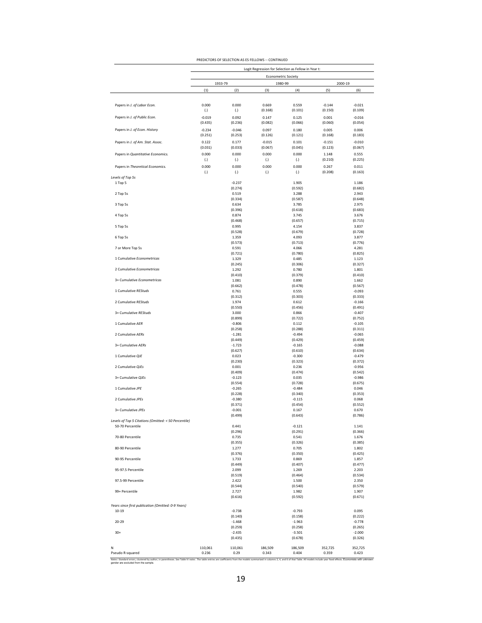|                                                                          |                     |                     | <b>Econometric Society</b> |                     |                  |                     |
|--------------------------------------------------------------------------|---------------------|---------------------|----------------------------|---------------------|------------------|---------------------|
|                                                                          |                     | 1933-79             | 1980-99                    |                     | 2000-19          |                     |
|                                                                          | (1)                 | (2)                 | (3)                        | (4)                 | (5)              | (6)                 |
|                                                                          |                     |                     |                            |                     |                  |                     |
| Papers in J. of Labor Econ.                                              | 0.000               | 0.000               | 0.669                      | 0.559               | $-0.144$         | $-0.021$            |
|                                                                          | (.)                 | (.)                 | (0.168)                    | (0.101)             | (0.150)          | (0.109)             |
| Papers in J. of Public Econ.                                             | $-0.019$<br>(0.435) | 0.092<br>(0.236)    | 0.147<br>(0.082)           | 0.125<br>(0.066)    | 0.001<br>(0.060) | $-0.016$<br>(0.054) |
| Papers in J. of Econ. History                                            | $-0.234$            | $-0.046$            | 0.097                      | 0.180               | 0.005            | 0.006               |
|                                                                          | (0.251)             | (0.253)             | (0.126)                    | (0.121)             | (0.168)          | (0.183)             |
| Papers in J. of Am. Stat. Assoc.                                         | 0.122               | 0.177               | $-0.015$                   | 0.101               | $-0.151$         | $-0.010$            |
|                                                                          | (0.031)             | (0.033)             | (0.067)                    | (0.045)             | (0.123)          | (0.067)             |
| Papers in Quantitative Economics.                                        | 0.000               | 0.000               | 0.000                      | 0.000               | 1.148            | 0.555               |
| Papers in Theoretical Economics.                                         | (.)<br>0.000        | (.)<br>0.000        | (.)<br>0.000               | (.)<br>0.000        | (0.210)<br>0.267 | (0.225)<br>0.011    |
|                                                                          | (.)                 | (.)                 | (.)                        | (.)                 | (0.208)          | (0.163)             |
| Levels of Top 5s<br>1 Top 5                                              |                     | $-0.237$            |                            | 1.905               |                  | 1.186               |
|                                                                          |                     | (0.274)             |                            | (0.592)             |                  | (0.682)             |
| 2 Top 5s                                                                 |                     | 0.519               |                            | 3.288               |                  | 2.943               |
| 3 Top 5s                                                                 |                     | (0.334)             |                            | (0.587)             |                  | (0.648)<br>2.975    |
|                                                                          |                     | 0.634<br>(0.396)    |                            | 3.785<br>(0.618)    |                  | (0.683)             |
| 4 Top 5s                                                                 |                     | 0.874               |                            | 3.745               |                  | 3.676               |
|                                                                          |                     | (0.468)             |                            | (0.657)             |                  | (0.715)             |
| 5 Top 5s                                                                 |                     | 0.995<br>(0.528)    |                            | 4.154<br>(0.679)    |                  | 3.837<br>(0.728)    |
| 6 Top 5s                                                                 |                     | 1.359               |                            | 4.093               |                  | 3.877               |
|                                                                          |                     | (0.573)             |                            | (0.713)             |                  | (0.776)             |
| 7 or More Top 5s                                                         |                     | 0.591               |                            | 4.066               |                  | 4.281               |
| 1 Cumulative Econometricas                                               |                     | (0.721)             |                            | (0.780)<br>0.485    |                  | (0.825)<br>1.123    |
|                                                                          |                     | 1.329<br>(0.245)    |                            | (0.306)             |                  | (0.327)             |
| 2 Cumulative Econometricas                                               |                     | 1.292               |                            | 0.780               |                  | 1.801               |
|                                                                          |                     | (0.410)             |                            | (0.379)             |                  | (0.410)             |
| 3+ Cumulative Econometricas                                              |                     | 1.081<br>(0.662)    |                            | 0.890<br>(0.478)    |                  | 1.662<br>(0.567)    |
| 1 Cumulative REStuds                                                     |                     | 0.761               |                            | 0.555               |                  | $-0.093$            |
|                                                                          |                     | (0.312)             |                            | (0.303)             |                  | (0.333)             |
| 2 Cumulative REStuds                                                     |                     | 1.974<br>(0.550)    |                            | 0.612<br>(0.456)    |                  | $-0.166$<br>(0.491) |
| 3+ Cumulative REStuds                                                    |                     | 3.000               |                            | 0.866               |                  | $-0.407$            |
| 1 Cumulative AER                                                         |                     | (0.899)<br>$-0.806$ |                            | (0.722)<br>0.112    |                  | (0.752)<br>$-0.105$ |
| 2 Cumulative AERs                                                        |                     | (0.258)             |                            | (0.288)             |                  | (0.311)             |
|                                                                          |                     | $-1.281$<br>(0.449) |                            | $-0.494$<br>(0.429) |                  | $-0.065$<br>(0.459) |
| 3+ Cumulative AERs                                                       |                     | $-1.723$            |                            | $-0.165$            |                  | $-0.088$            |
| 1 Cumulative QJE                                                         |                     | (0.627)<br>0.023    |                            | (0.610)<br>$-0.300$ |                  | (0.634)<br>$-0.479$ |
|                                                                          |                     | (0.230)             |                            | (0.323)             |                  | (0.372)             |
| 2 Cumulative QJEs                                                        |                     | 0.001               |                            | 0.236               |                  | $-0.956$            |
|                                                                          |                     | (0.409)             |                            | (0.474)             |                  | (0.542)             |
| 3+ Cumulative QJEs                                                       |                     | $-0.123$<br>(0.554) |                            | 0.035<br>(0.728)    |                  | $-0.986$<br>(0.675) |
| 1 Cumulative JPE                                                         |                     | $-0.265$            |                            | $-0.484$            |                  | 0.046               |
|                                                                          |                     | (0.228)             |                            | (0.340)             |                  | (0.353)             |
| 2 Cumulative JPEs                                                        |                     | $-0.380$            |                            | $-0.115$            |                  | 0.068               |
| 3+ Cumulative JPEs                                                       |                     | (0.371)<br>$-0.001$ |                            | (0.454)<br>0.167    |                  | (0.552)<br>0.670    |
|                                                                          |                     | (0.499)             |                            | (0.643)             |                  | (0.786)             |
| Levels of Top 5 Citations (Omitted: < 50 Percentile)<br>50-70 Percentile |                     | 0.441               |                            | $-0.121$            |                  | 1.141               |
|                                                                          |                     | (0.296)             |                            | (0.291)             |                  | (0.366)             |
| 70-80 Percentile                                                         |                     | 0.735               |                            | 0.541               |                  | 1.676               |
| 80-90 Percentile                                                         |                     | (0.355)<br>1.277    |                            | (0.326)<br>0.705    |                  | (0.385)<br>1.802    |
|                                                                          |                     | (0.376)             |                            | (0.350)             |                  | (0.425)             |
| 90-95 Percentile                                                         |                     | 1.733               |                            | 0.869               |                  | 1.857               |
| 95-97.5 Percentile                                                       |                     | (0.449)<br>2.099    |                            | (0.407)<br>1.269    |                  | (0.477)<br>2.203    |
|                                                                          |                     | (0.519)             |                            | (0.464)             |                  | (0.534)             |
| 97.5-99 Percentile                                                       |                     | 2.422               |                            | 1.500               |                  | 2.350               |
| 99+ Percentile                                                           |                     | (0.544)<br>2.727    |                            | (0.540)<br>1.982    |                  | (0.579)<br>1.907    |
|                                                                          |                     | (0.616)             |                            | (0.592)             |                  | (0.671)             |
| Years since first publication (Omitted: 0-9 Years)                       |                     |                     |                            |                     |                  |                     |
| 10-19                                                                    |                     | $-0.738$            |                            | $-0.793$            |                  | 0.095               |
|                                                                          |                     | (0.140)             |                            | (0.158)             |                  | (0.222)             |
| $20 - 29$                                                                |                     | $-1.468$<br>(0.259) |                            | $-1.963$<br>(0.258) |                  | $-0.778$<br>(0.265) |
| $30+$                                                                    |                     | $-2.435$            |                            | $-3.501$            |                  | $-2.000$            |
|                                                                          |                     | (0.435)             |                            | (0.678)             |                  | (0.326)             |
|                                                                          | 110,061             | 110,061             | 186,509                    | 186,509             | 352,725          | 352,725             |

PREDICTORS OF SELECTION AS ES FELLOWS -- CONTINUED

| gender are excluded from the sample. |  |
|--------------------------------------|--|

s 2, 4, and 6 of that Table. All models include year fixed effects. Economists with unknown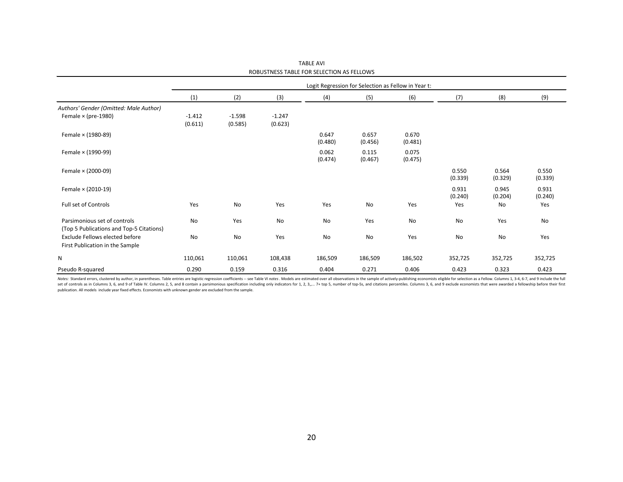|                                                                          |                     |                     |                     |                  | Logit Regression for Selection as Fellow in Year t: |                  |                  |                  |                  |
|--------------------------------------------------------------------------|---------------------|---------------------|---------------------|------------------|-----------------------------------------------------|------------------|------------------|------------------|------------------|
|                                                                          | (1)                 | (2)                 | (3)                 | (4)              | (5)                                                 | (6)              | (7)              | (8)              | (9)              |
| Authors' Gender (Omitted: Male Author)                                   |                     |                     |                     |                  |                                                     |                  |                  |                  |                  |
| Female $\times$ (pre-1980)                                               | $-1.412$<br>(0.611) | $-1.598$<br>(0.585) | $-1.247$<br>(0.623) |                  |                                                     |                  |                  |                  |                  |
| Female × (1980-89)                                                       |                     |                     |                     | 0.647<br>(0.480) | 0.657<br>(0.456)                                    | 0.670<br>(0.481) |                  |                  |                  |
| Female × (1990-99)                                                       |                     |                     |                     | 0.062<br>(0.474) | 0.115<br>(0.467)                                    | 0.075<br>(0.475) |                  |                  |                  |
| Female × (2000-09)                                                       |                     |                     |                     |                  |                                                     |                  | 0.550<br>(0.339) | 0.564<br>(0.329) | 0.550<br>(0.339) |
| Female × (2010-19)                                                       |                     |                     |                     |                  |                                                     |                  | 0.931<br>(0.240) | 0.945<br>(0.204) | 0.931<br>(0.240) |
| Full set of Controls                                                     | Yes                 | No                  | Yes                 | Yes              | No                                                  | Yes              | Yes              | No               | Yes              |
| Parsimonious set of controls<br>(Top 5 Publications and Top-5 Citations) | No                  | Yes                 | No                  | No               | Yes                                                 | No               | No               | Yes              | No               |
| Exclude Fellows elected before<br>First Publication in the Sample        | No                  | No                  | Yes                 | No               | No                                                  | Yes              | No               | No               | Yes              |
| N                                                                        | 110,061             | 110,061             | 108,438             | 186,509          | 186,509                                             | 186,502          | 352,725          | 352,725          | 352,725          |
| Pseudo R-squared                                                         | 0.290               | 0.159               | 0.316               | 0.404            | 0.271                                               | 0.406            | 0.423            | 0.323            | 0.423            |

TABLE AVI ROBUSTNESS TABLE FOR SELECTION AS FELLOWS

Notes: Standard errors, clustered by author, in parentheses. Table entries are logistic regression coefficients -- see Table VI notes. Models are estimated over all observations in the sample of actively-publishing economi set of controls as in Columns 3, 6, and 9 of Table IV. Columns 2, 5, and 8 contain a parsimonious specification including only indicators for 1, 2, 3,.... 7+ top 5, number of top-5s, and citations percentiles. Columns 3, 6 publication. All models include year fixed effects. Economists with unknown gender are excluded from the sample.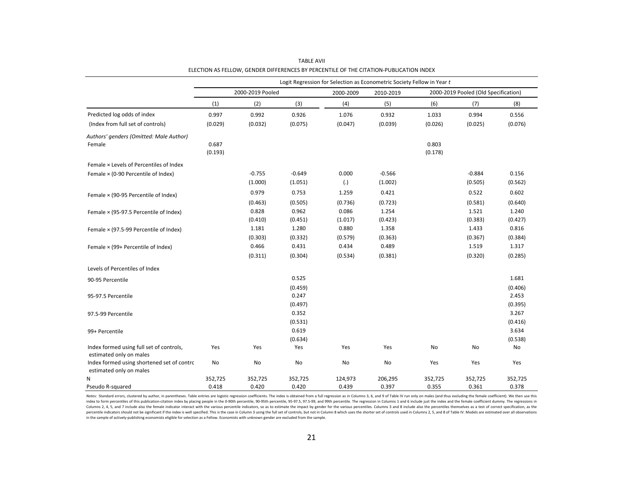|                                                                       |         |                  |          |           | Logit Regression for Selection as Econometric Society Fellow in Year t |         |                                      |         |
|-----------------------------------------------------------------------|---------|------------------|----------|-----------|------------------------------------------------------------------------|---------|--------------------------------------|---------|
|                                                                       |         | 2000-2019 Pooled |          | 2000-2009 | 2010-2019                                                              |         | 2000-2019 Pooled (Old Specification) |         |
|                                                                       | (1)     | (2)              | (3)      | (4)       | (5)                                                                    | (6)     | (7)                                  | (8)     |
| Predicted log odds of index                                           | 0.997   | 0.992            | 0.926    | 1.076     | 0.932                                                                  | 1.033   | 0.994                                | 0.556   |
| (Index from full set of controls)                                     | (0.029) | (0.032)          | (0.075)  | (0.047)   | (0.039)                                                                | (0.026) | (0.025)                              | (0.076) |
| Authors' genders (Omitted: Male Author)                               |         |                  |          |           |                                                                        |         |                                      |         |
| Female                                                                | 0.687   |                  |          |           |                                                                        | 0.803   |                                      |         |
|                                                                       | (0.193) |                  |          |           |                                                                        | (0.178) |                                      |         |
| Female × Levels of Percentiles of Index                               |         |                  |          |           |                                                                        |         |                                      |         |
| Female × (0-90 Percentile of Index)                                   |         | $-0.755$         | $-0.649$ | 0.000     | $-0.566$                                                               |         | $-0.884$                             | 0.156   |
|                                                                       |         | (1.000)          | (1.051)  | (.)       | (1.002)                                                                |         | (0.505)                              | (0.562) |
| Female × (90-95 Percentile of Index)                                  |         | 0.979            | 0.753    | 1.259     | 0.421                                                                  |         | 0.522                                | 0.602   |
|                                                                       |         | (0.463)          | (0.505)  | (0.736)   | (0.723)                                                                |         | (0.581)                              | (0.640) |
| Female × (95-97.5 Percentile of Index)                                |         | 0.828            | 0.962    | 0.086     | 1.254                                                                  |         | 1.521                                | 1.240   |
|                                                                       |         | (0.410)          | (0.451)  | (1.017)   | (0.423)                                                                |         | (0.383)                              | (0.427) |
| Female × (97.5-99 Percentile of Index)                                |         | 1.181            | 1.280    | 0.880     | 1.358                                                                  |         | 1.433                                | 0.816   |
|                                                                       |         | (0.303)          | (0.332)  | (0.579)   | (0.363)                                                                |         | (0.367)                              | (0.384) |
| Female × (99+ Percentile of Index)                                    |         | 0.466            | 0.431    | 0.434     | 0.489                                                                  |         | 1.519                                | 1.317   |
|                                                                       |         | (0.311)          | (0.304)  | (0.534)   | (0.381)                                                                |         | (0.320)                              | (0.285) |
| Levels of Percentiles of Index                                        |         |                  |          |           |                                                                        |         |                                      |         |
| 90-95 Percentile                                                      |         |                  | 0.525    |           |                                                                        |         |                                      | 1.681   |
|                                                                       |         |                  | (0.459)  |           |                                                                        |         |                                      | (0.406) |
| 95-97.5 Percentile                                                    |         |                  | 0.247    |           |                                                                        |         |                                      | 2.453   |
|                                                                       |         |                  | (0.497)  |           |                                                                        |         |                                      | (0.395) |
| 97.5-99 Percentile                                                    |         |                  | 0.352    |           |                                                                        |         |                                      | 3.267   |
|                                                                       |         |                  | (0.531)  |           |                                                                        |         |                                      | (0.416) |
| 99+ Percentile                                                        |         |                  | 0.619    |           |                                                                        |         |                                      | 3.634   |
|                                                                       |         |                  | (0.634)  |           |                                                                        |         |                                      | (0.538) |
| Index formed using full set of controls,<br>estimated only on males   | Yes     | Yes              | Yes      | Yes       | Yes                                                                    | No      | No                                   | No      |
| Index formed using shortened set of contro<br>estimated only on males | No      | No               | No       | No        | No                                                                     | Yes     | Yes                                  | Yes     |
| Ν                                                                     | 352,725 | 352,725          | 352,725  | 124,973   | 206,295                                                                | 352,725 | 352,725                              | 352,725 |
| Pseudo R-squared                                                      | 0.418   | 0.420            | 0.420    | 0.439     | 0.397                                                                  | 0.355   | 0.361                                | 0.378   |

ELECTION AS FELLOW, GENDER DIFFERENCES BY PERCENTILE OF THE CITATION-PUBLICATION INDEX TABLE AVII

Notes: Standard errors, clustered by author, in parentheses. Table entries are logistic regression coefficients. The index is obtained from a full regression as in Columns 3, 6, and 9 of Table IV run only on males (and thu index to form percentiles of this publication-citation index by placing people in the 0-90th percentile, 90-95th percentile, 90-9515, 97.5-99, and 99th percentile. The regression in Columns 1 and 6 include just the index a Columns 2, 4, 5, and 7 include also the female indicator interact with the various percentile indicators, so as to estimate the impact by gender for the various percentiles. Columns 3 and 8 include also the percentiles the percentile indicators should not be significant if the index is well specified. This is the case in Column 3 using the full set of controls, but not in Column 8 which uses the shorter set of controls used in Columns 2, 5, in the sample of actively-publishing economists eligible for selection as a Fellow. Economists with unknown gender are excluded from the sample.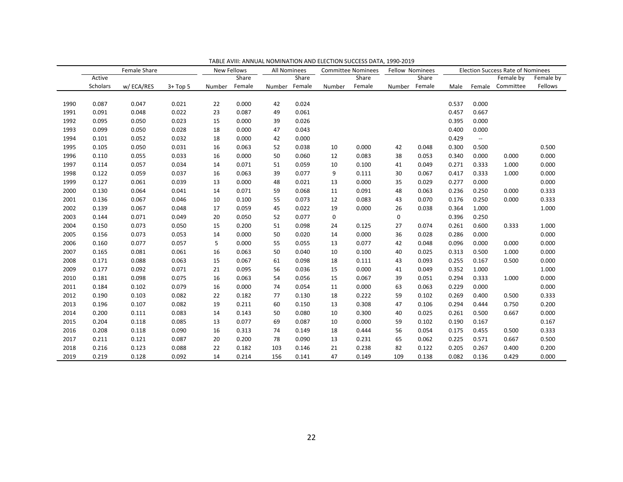|      |          | Female Share |          | <b>New Fellows</b> |        | <b>All Nominees</b> |        |        | <b>Committee Nominees</b> |        | <b>Fellow Nominees</b> | <b>Election Success Rate of Nominees</b> |                          |                  |           |
|------|----------|--------------|----------|--------------------|--------|---------------------|--------|--------|---------------------------|--------|------------------------|------------------------------------------|--------------------------|------------------|-----------|
|      | Active   |              |          |                    | Share  |                     | Share  |        | Share                     |        | Share                  |                                          |                          | Female by        | Female by |
|      | Scholars | w/ECA/RES    | $3+Top5$ | Number             | Female | Number              | Female | Number | Female                    | Number | Female                 | Male                                     |                          | Female Committee | Fellows   |
|      |          |              |          |                    |        |                     |        |        |                           |        |                        |                                          |                          |                  |           |
| 1990 | 0.087    | 0.047        | 0.021    | 22                 | 0.000  | 42                  | 0.024  |        |                           |        |                        | 0.537                                    | 0.000                    |                  |           |
| 1991 | 0.091    | 0.048        | 0.022    | 23                 | 0.087  | 49                  | 0.061  |        |                           |        |                        | 0.457                                    | 0.667                    |                  |           |
| 1992 | 0.095    | 0.050        | 0.023    | 15                 | 0.000  | 39                  | 0.026  |        |                           |        |                        | 0.395                                    | 0.000                    |                  |           |
| 1993 | 0.099    | 0.050        | 0.028    | 18                 | 0.000  | 47                  | 0.043  |        |                           |        |                        | 0.400                                    | 0.000                    |                  |           |
| 1994 | 0.101    | 0.052        | 0.032    | 18                 | 0.000  | 42                  | 0.000  |        |                           |        |                        | 0.429                                    | $\overline{\phantom{a}}$ |                  |           |
| 1995 | 0.105    | 0.050        | 0.031    | 16                 | 0.063  | 52                  | 0.038  | 10     | 0.000                     | 42     | 0.048                  | 0.300                                    | 0.500                    |                  | 0.500     |
| 1996 | 0.110    | 0.055        | 0.033    | 16                 | 0.000  | 50                  | 0.060  | 12     | 0.083                     | 38     | 0.053                  | 0.340                                    | 0.000                    | 0.000            | 0.000     |
| 1997 | 0.114    | 0.057        | 0.034    | 14                 | 0.071  | 51                  | 0.059  | 10     | 0.100                     | 41     | 0.049                  | 0.271                                    | 0.333                    | 1.000            | 0.000     |
| 1998 | 0.122    | 0.059        | 0.037    | 16                 | 0.063  | 39                  | 0.077  | 9      | 0.111                     | 30     | 0.067                  | 0.417                                    | 0.333                    | 1.000            | 0.000     |
| 1999 | 0.127    | 0.061        | 0.039    | 13                 | 0.000  | 48                  | 0.021  | 13     | 0.000                     | 35     | 0.029                  | 0.277                                    | 0.000                    |                  | 0.000     |
| 2000 | 0.130    | 0.064        | 0.041    | 14                 | 0.071  | 59                  | 0.068  | 11     | 0.091                     | 48     | 0.063                  | 0.236                                    | 0.250                    | 0.000            | 0.333     |
| 2001 | 0.136    | 0.067        | 0.046    | 10                 | 0.100  | 55                  | 0.073  | 12     | 0.083                     | 43     | 0.070                  | 0.176                                    | 0.250                    | 0.000            | 0.333     |
| 2002 | 0.139    | 0.067        | 0.048    | 17                 | 0.059  | 45                  | 0.022  | 19     | 0.000                     | 26     | 0.038                  | 0.364                                    | 1.000                    |                  | 1.000     |
| 2003 | 0.144    | 0.071        | 0.049    | 20                 | 0.050  | 52                  | 0.077  | 0      |                           | 0      |                        | 0.396                                    | 0.250                    |                  |           |
| 2004 | 0.150    | 0.073        | 0.050    | 15                 | 0.200  | 51                  | 0.098  | 24     | 0.125                     | 27     | 0.074                  | 0.261                                    | 0.600                    | 0.333            | 1.000     |
| 2005 | 0.156    | 0.073        | 0.053    | 14                 | 0.000  | 50                  | 0.020  | 14     | 0.000                     | 36     | 0.028                  | 0.286                                    | 0.000                    |                  | 0.000     |
| 2006 | 0.160    | 0.077        | 0.057    | 5                  | 0.000  | 55                  | 0.055  | 13     | 0.077                     | 42     | 0.048                  | 0.096                                    | 0.000                    | 0.000            | 0.000     |
| 2007 | 0.165    | 0.081        | 0.061    | 16                 | 0.063  | 50                  | 0.040  | 10     | 0.100                     | 40     | 0.025                  | 0.313                                    | 0.500                    | 1.000            | 0.000     |
| 2008 | 0.171    | 0.088        | 0.063    | 15                 | 0.067  | 61                  | 0.098  | 18     | 0.111                     | 43     | 0.093                  | 0.255                                    | 0.167                    | 0.500            | 0.000     |
| 2009 | 0.177    | 0.092        | 0.071    | 21                 | 0.095  | 56                  | 0.036  | 15     | 0.000                     | 41     | 0.049                  | 0.352                                    | 1.000                    |                  | 1.000     |
| 2010 | 0.181    | 0.098        | 0.075    | 16                 | 0.063  | 54                  | 0.056  | 15     | 0.067                     | 39     | 0.051                  | 0.294                                    | 0.333                    | 1.000            | 0.000     |
| 2011 | 0.184    | 0.102        | 0.079    | 16                 | 0.000  | 74                  | 0.054  | 11     | 0.000                     | 63     | 0.063                  | 0.229                                    | 0.000                    |                  | 0.000     |
| 2012 | 0.190    | 0.103        | 0.082    | 22                 | 0.182  | 77                  | 0.130  | 18     | 0.222                     | 59     | 0.102                  | 0.269                                    | 0.400                    | 0.500            | 0.333     |
| 2013 | 0.196    | 0.107        | 0.082    | 19                 | 0.211  | 60                  | 0.150  | 13     | 0.308                     | 47     | 0.106                  | 0.294                                    | 0.444                    | 0.750            | 0.200     |
| 2014 | 0.200    | 0.111        | 0.083    | 14                 | 0.143  | 50                  | 0.080  | 10     | 0.300                     | 40     | 0.025                  | 0.261                                    | 0.500                    | 0.667            | 0.000     |
| 2015 | 0.204    | 0.118        | 0.085    | 13                 | 0.077  | 69                  | 0.087  | 10     | 0.000                     | 59     | 0.102                  | 0.190                                    | 0.167                    |                  | 0.167     |
| 2016 | 0.208    | 0.118        | 0.090    | 16                 | 0.313  | 74                  | 0.149  | 18     | 0.444                     | 56     | 0.054                  | 0.175                                    | 0.455                    | 0.500            | 0.333     |
| 2017 | 0.211    | 0.121        | 0.087    | 20                 | 0.200  | 78                  | 0.090  | 13     | 0.231                     | 65     | 0.062                  | 0.225                                    | 0.571                    | 0.667            | 0.500     |
| 2018 | 0.216    | 0.123        | 0.088    | 22                 | 0.182  | 103                 | 0.146  | 21     | 0.238                     | 82     | 0.122                  | 0.205                                    | 0.267                    | 0.400            | 0.200     |
| 2019 | 0.219    | 0.128        | 0.092    | 14                 | 0.214  | 156                 | 0.141  | 47     | 0.149                     | 109    | 0.138                  | 0.082                                    | 0.136                    | 0.429            | 0.000     |

TABLE AVIII: ANNUAL NOMINATION AND ELECTION SUCCESS DATA, 1990-2019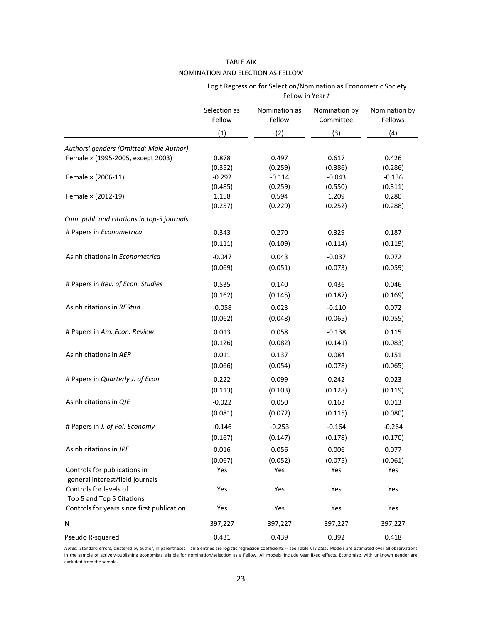|                                            | Logit Regression for Selection/Nomination as Econometric Society<br>Fellow in Year t |                         |                            |                          |  |  |  |  |  |
|--------------------------------------------|--------------------------------------------------------------------------------------|-------------------------|----------------------------|--------------------------|--|--|--|--|--|
|                                            | Selection as<br>Fellow                                                               | Nomination as<br>Fellow | Nomination by<br>Committee | Nomination by<br>Fellows |  |  |  |  |  |
|                                            | (1)                                                                                  | (2)                     | (3)                        | (4)                      |  |  |  |  |  |
| Authors' genders (Omitted: Male Author)    |                                                                                      |                         |                            |                          |  |  |  |  |  |
| Female × (1995-2005, except 2003)          | 0.878                                                                                | 0.497                   | 0.617                      | 0.426                    |  |  |  |  |  |
|                                            | (0.352)                                                                              | (0.259)                 | (0.386)                    | (0.286)                  |  |  |  |  |  |
| Female × (2006-11)                         | $-0.292$                                                                             | $-0.114$                | $-0.043$                   | $-0.136$                 |  |  |  |  |  |
|                                            | (0.485)                                                                              | (0.259)                 | (0.550)                    | (0.311)                  |  |  |  |  |  |
| Female × (2012-19)                         | 1.158                                                                                | 0.594                   | 1.209                      | 0.280                    |  |  |  |  |  |
|                                            | (0.257)                                                                              | (0.229)                 | (0.252)                    | (0.288)                  |  |  |  |  |  |
| Cum. publ. and citations in top-5 journals |                                                                                      |                         |                            |                          |  |  |  |  |  |
| # Papers in Econometrica                   | 0.343                                                                                | 0.270                   | 0.329                      | 0.187                    |  |  |  |  |  |
|                                            | (0.111)                                                                              | (0.109)                 | (0.114)                    | (0.119)                  |  |  |  |  |  |
| Asinh citations in Econometrica            | $-0.047$                                                                             | 0.043                   | $-0.037$                   | 0.072                    |  |  |  |  |  |
|                                            | (0.069)                                                                              | (0.051)                 | (0.073)                    | (0.059)                  |  |  |  |  |  |
| # Papers in Rev. of Econ. Studies          | 0.535                                                                                | 0.140                   | 0.436                      | 0.046                    |  |  |  |  |  |
|                                            | (0.162)                                                                              | (0.145)                 | (0.187)                    | (0.169)                  |  |  |  |  |  |
| Asinh citations in REStud                  | $-0.058$                                                                             | 0.023                   | $-0.110$                   | 0.072                    |  |  |  |  |  |
|                                            | (0.062)                                                                              | (0.048)                 | (0.065)                    | (0.055)                  |  |  |  |  |  |
|                                            |                                                                                      |                         |                            |                          |  |  |  |  |  |
| # Papers in Am. Econ. Review               | 0.013                                                                                | 0.058                   | $-0.138$                   | 0.115                    |  |  |  |  |  |
|                                            | (0.126)                                                                              | (0.082)                 | (0.141)                    | (0.083)                  |  |  |  |  |  |
| Asinh citations in AER                     | 0.011                                                                                | 0.137                   | 0.084                      | 0.151                    |  |  |  |  |  |
|                                            | (0.066)                                                                              | (0.054)                 | (0.078)                    | (0.065)                  |  |  |  |  |  |
| # Papers in Quarterly J. of Econ.          | 0.222                                                                                | 0.099                   | 0.242                      | 0.023                    |  |  |  |  |  |
|                                            | (0.113)                                                                              | (0.103)                 | (0.128)                    | (0.119)                  |  |  |  |  |  |
| Asinh citations in QJE                     | $-0.022$                                                                             | 0.050                   | 0.163                      | 0.013                    |  |  |  |  |  |
|                                            | (0.081)                                                                              | (0.072)                 | (0.115)                    | (0.080)                  |  |  |  |  |  |
| # Papers in J. of Pol. Economy             | $-0.146$                                                                             | $-0.253$                | $-0.164$                   | $-0.264$                 |  |  |  |  |  |
|                                            | (0.167)                                                                              | (0.147)                 | (0.178)                    | (0.170)                  |  |  |  |  |  |
| Asinh citations in JPE                     | 0.016                                                                                | 0.056                   | 0.006                      | 0.077                    |  |  |  |  |  |
|                                            | (0.067)                                                                              | (0.052)                 | (0.075)                    | (0.061)                  |  |  |  |  |  |
| Controls for publications in               | Yes                                                                                  | Yes                     | Yes                        | Yes                      |  |  |  |  |  |
| general interest/field journals            |                                                                                      |                         |                            |                          |  |  |  |  |  |
| Controls for levels of                     | Yes                                                                                  | Yes                     | Yes                        | Yes                      |  |  |  |  |  |
| Top 5 and Top 5 Citations                  |                                                                                      |                         |                            |                          |  |  |  |  |  |
| Controls for years since first publication | Yes                                                                                  | Yes                     | Yes                        | Yes                      |  |  |  |  |  |
| N                                          | 397,227                                                                              | 397,227                 | 397,227                    | 397,227                  |  |  |  |  |  |
| Pseudo R-squared                           | 0.431                                                                                | 0.439                   | 0.392                      | 0.418                    |  |  |  |  |  |

TABLE AIX NOMINATION AND ELECTION AS FELLOW

*Notes:* Standard errors, clustered by author, in parentheses. Table entries are logistic regression coefficients -- see Table VI *notes*. Models are estimated over all observations in the sample of actively-publishing economists eligible for nomination/selection as a Fellow. All models include year fixed effects. Economists with unknown gender are excluded from the sample.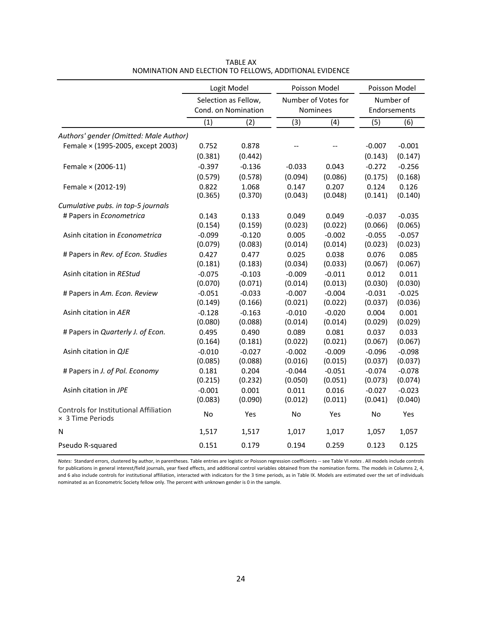|                                                            |          | Logit Model          | Poisson Model            |          | Poisson Model |           |  |  |
|------------------------------------------------------------|----------|----------------------|--------------------------|----------|---------------|-----------|--|--|
|                                                            |          | Selection as Fellow, | Number of Votes for      |          |               | Number of |  |  |
|                                                            |          | Cond. on Nomination  | Nominees                 |          | Endorsements  |           |  |  |
|                                                            | (1)      | (2)                  | (3)                      | (4)      | (5)           | (6)       |  |  |
| Authors' gender (Omitted: Male Author)                     |          |                      |                          |          |               |           |  |  |
| Female × (1995-2005, except 2003)                          | 0.752    | 0.878                | $\overline{\phantom{a}}$ | $-$      | $-0.007$      | $-0.001$  |  |  |
|                                                            | (0.381)  | (0.442)              |                          |          | (0.143)       | (0.147)   |  |  |
| Female × (2006-11)                                         | $-0.397$ | $-0.136$             | $-0.033$                 | 0.043    | $-0.272$      | $-0.256$  |  |  |
|                                                            | (0.579)  | (0.578)              | (0.094)                  | (0.086)  | (0.175)       | (0.168)   |  |  |
| Female × (2012-19)                                         | 0.822    | 1.068                | 0.147                    | 0.207    | 0.124         | 0.126     |  |  |
|                                                            | (0.365)  | (0.370)              | (0.043)                  | (0.048)  | (0.141)       | (0.140)   |  |  |
| Cumulative pubs. in top-5 journals                         |          |                      |                          |          |               |           |  |  |
| # Papers in Econometrica                                   | 0.143    | 0.133                | 0.049                    | 0.049    | $-0.037$      | $-0.035$  |  |  |
|                                                            | (0.154)  | (0.159)              | (0.023)                  | (0.022)  | (0.066)       | (0.065)   |  |  |
| Asinh citation in Econometrica                             | $-0.099$ | $-0.120$             | 0.005                    | $-0.002$ | $-0.055$      | $-0.057$  |  |  |
|                                                            | (0.079)  | (0.083)              | (0.014)                  | (0.014)  | (0.023)       | (0.023)   |  |  |
| # Papers in Rev. of Econ. Studies                          | 0.427    | 0.477                | 0.025                    | 0.038    | 0.076         | 0.085     |  |  |
|                                                            | (0.181)  | (0.183)              | (0.034)                  | (0.033)  | (0.067)       | (0.067)   |  |  |
| Asinh citation in REStud                                   | $-0.075$ | $-0.103$             | $-0.009$                 | $-0.011$ | 0.012         | 0.011     |  |  |
|                                                            | (0.070)  | (0.071)              | (0.014)                  | (0.013)  | (0.030)       | (0.030)   |  |  |
| # Papers in Am. Econ. Review                               | $-0.051$ | $-0.033$             | $-0.007$                 | $-0.004$ | $-0.031$      | $-0.025$  |  |  |
|                                                            | (0.149)  | (0.166)              | (0.021)                  | (0.022)  | (0.037)       | (0.036)   |  |  |
| Asinh citation in AER                                      | $-0.128$ | $-0.163$             | $-0.010$                 | $-0.020$ | 0.004         | 0.001     |  |  |
|                                                            | (0.080)  | (0.088)              | (0.014)                  | (0.014)  | (0.029)       | (0.029)   |  |  |
| # Papers in Quarterly J. of Econ.                          | 0.495    | 0.490                | 0.089                    | 0.081    | 0.037         | 0.033     |  |  |
|                                                            | (0.164)  | (0.181)              | (0.022)                  | (0.021)  | (0.067)       | (0.067)   |  |  |
| Asinh citation in QJE                                      | $-0.010$ | $-0.027$             | $-0.002$                 | $-0.009$ | $-0.096$      | $-0.098$  |  |  |
|                                                            | (0.085)  | (0.088)              | (0.016)                  | (0.015)  | (0.037)       | (0.037)   |  |  |
| # Papers in J. of Pol. Economy                             | 0.181    | 0.204                | $-0.044$                 | $-0.051$ | $-0.074$      | $-0.078$  |  |  |
|                                                            | (0.215)  | (0.232)              | (0.050)                  | (0.051)  | (0.073)       | (0.074)   |  |  |
| Asinh citation in JPE                                      | $-0.001$ | 0.001                | 0.011                    | 0.016    | $-0.027$      | $-0.023$  |  |  |
|                                                            | (0.083)  | (0.090)              | (0.012)                  | (0.011)  | (0.041)       | (0.040)   |  |  |
| Controls for Institutional Affiliation<br>× 3 Time Periods | No       | Yes                  | No                       | Yes      | No            | Yes       |  |  |
| N                                                          | 1,517    | 1,517                | 1,017                    | 1,017    | 1,057         | 1,057     |  |  |
| Pseudo R-squared                                           | 0.151    | 0.179                | 0.194                    | 0.259    | 0.123         | 0.125     |  |  |

TABLE AX NOMINATION AND ELECTION TO FELLOWS, ADDITIONAL EVIDENCE

*Notes:* Standard errors, clustered by author, in parentheses. Table entries are logistic or Poisson regression coefficients -- see Table VI *notes*. All models include controls for publications in general interest/field journals, year fixed effects, and additional control variables obtained from the nomination forms. The models in Columns 2, 4, and 6 also include controls for institutional affiliation, interacted with indicators for the 3 time periods, as in Table IX. Models are estimated over the set of individuals nominated as an Econometric Society fellow only. The percent with unknown gender is 0 in the sample.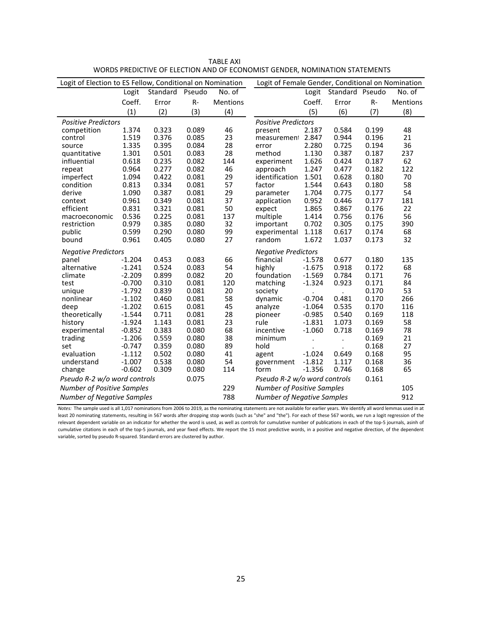| Logit of Election to ES Fellow, Conditional on Nomination |          |                 |                                   |                 | Logit of Female Gender, Conditional on Nomination |          |                 |       |                 |
|-----------------------------------------------------------|----------|-----------------|-----------------------------------|-----------------|---------------------------------------------------|----------|-----------------|-------|-----------------|
|                                                           | Logit    | Standard Pseudo |                                   | No. of          |                                                   | Logit    | Standard Pseudo |       | No. of          |
|                                                           | Coeff.   | Error           | $R -$                             | <b>Mentions</b> |                                                   | Coeff.   | Error           | $R-$  | <b>Mentions</b> |
|                                                           | (1)      | (2)             | (3)                               | (4)             |                                                   | (5)      | (6)             | (7)   | (8)             |
| <b>Positive Predictors</b>                                |          |                 |                                   |                 | <b>Positive Predictors</b>                        |          |                 |       |                 |
| competition                                               | 1.374    | 0.323           | 0.089                             | 46              | present                                           | 2.187    | 0.584           | 0.199 | 48              |
| control                                                   | 1.519    | 0.376           | 0.085                             | 23              | measurement                                       | 2.847    | 0.944           | 0.196 | 21              |
| source                                                    | 1.335    | 0.395           | 0.084                             | 28              | error                                             | 2.280    | 0.725           | 0.194 | 36              |
| quantitative                                              | 1.301    | 0.501           | 0.083                             | 28              | method                                            | 1.130    | 0.387           | 0.187 | 237             |
| influential                                               | 0.618    | 0.235           | 0.082                             | 144             | experiment                                        | 1.626    | 0.424           | 0.187 | 62              |
| repeat                                                    | 0.964    | 0.277           | 0.082                             | 46              | approach                                          | 1.247    | 0.477           | 0.182 | 122             |
| imperfect                                                 | 1.094    | 0.422           | 0.081                             | 29              | identification                                    | 1.501    | 0.628           | 0.180 | 70              |
| condition                                                 | 0.813    | 0.334           | 0.081                             | 57              | factor                                            | 1.544    | 0.643           | 0.180 | 58              |
| derive                                                    | 1.090    | 0.387           | 0.081                             | 29              | parameter                                         | 1.704    | 0.775           | 0.177 | 54              |
| context                                                   | 0.961    | 0.349           | 0.081                             | 37              | application                                       | 0.952    | 0.446           | 0.177 | 181             |
| efficient                                                 | 0.831    | 0.321           | 0.081                             | 50              | expect                                            | 1.865    | 0.867           | 0.176 | 22              |
| macroeconomic                                             | 0.536    | 0.225           | 0.081                             | 137             | multiple                                          | 1.414    | 0.756           | 0.176 | 56              |
| restriction                                               | 0.979    | 0.385           | 0.080                             | 32              | important                                         | 0.702    | 0.305           | 0.175 | 390             |
| public                                                    | 0.599    | 0.290           | 0.080                             | 99              | experimental                                      | 1.118    | 0.617           | 0.174 | 68              |
| bound                                                     | 0.961    | 0.405           | 0.080                             | 27              | random                                            | 1.672    | 1.037           | 0.173 | 32              |
| <b>Negative Predictors</b>                                |          |                 |                                   |                 | <b>Negative Predictors</b>                        |          |                 |       |                 |
| panel                                                     | $-1.204$ | 0.453           | 0.083                             | 66              | financial                                         | $-1.578$ | 0.677           | 0.180 | 135             |
| alternative                                               | $-1.241$ | 0.524           | 0.083                             | 54              | highly                                            | $-1.675$ | 0.918           | 0.172 | 68              |
| climate                                                   | $-2.209$ | 0.899           | 0.082                             | 20              | foundation                                        | $-1.569$ | 0.784           | 0.171 | 76              |
| test                                                      | $-0.700$ | 0.310           | 0.081                             | 120             | matching                                          | $-1.324$ | 0.923           | 0.171 | 84              |
| unique                                                    | $-1.792$ | 0.839           | 0.081                             | 20              | society                                           |          |                 | 0.170 | 53              |
| nonlinear                                                 | $-1.102$ | 0.460           | 0.081                             | 58              | dynamic                                           | $-0.704$ | 0.481           | 0.170 | 266             |
| deep                                                      | $-1.202$ | 0.615           | 0.081                             | 45              | analyze                                           | $-1.064$ | 0.535           | 0.170 | 116             |
| theoretically                                             | $-1.544$ | 0.711           | 0.081                             | 28              | pioneer                                           | $-0.985$ | 0.540           | 0.169 | 118             |
| history                                                   | $-1.924$ | 1.143           | 0.081                             | 23              | rule                                              | $-1.831$ | 1.073           | 0.169 | 58              |
| experimental                                              | $-0.852$ | 0.383           | 0.080                             | 68              | incentive                                         | $-1.060$ | 0.718           | 0.169 | 78              |
| trading                                                   | $-1.206$ | 0.559           | 0.080                             | 38              | minimum                                           | $\cdot$  | $\cdot$         | 0.169 | 21              |
| set                                                       | $-0.747$ | 0.359           | 0.080                             | 89              | hold                                              |          |                 | 0.168 | 27              |
| evaluation                                                | $-1.112$ | 0.502           | 0.080                             | 41              | agent                                             | $-1.024$ | 0.649           | 0.168 | 95              |
| understand                                                | $-1.007$ | 0.538           | 0.080                             | 54              | government                                        | $-1.812$ | 1.117           | 0.168 | 36              |
| change                                                    | $-0.602$ | 0.309           | 0.080                             | 114             | form                                              | $-1.356$ | 0.746           | 0.168 | 65              |
| Pseudo R-2 w/o word controls                              |          |                 | 0.075                             |                 | Pseudo R-2 w/o word controls                      |          |                 | 0.161 |                 |
| <b>Number of Positive Samples</b>                         |          | 229             | <b>Number of Positive Samples</b> |                 |                                                   |          | 105             |       |                 |
| <b>Number of Negative Samples</b>                         |          |                 |                                   | 788             | <b>Number of Negative Samples</b>                 |          |                 |       | 912             |

TABLE AXI WORDS PREDICTIVE OF ELECTION AND OF ECONOMIST GENDER, NOMINATION STATEMENTS

*Notes:* The sample used is all 1,017 nominations from 2006 to 2019, as the nominating statements are not available for earlier years. We identify all word lemmas used in at least 20 nominating statements, resulting in 567 words after dropping stop words (such as "she" and "the"). For each of these 567 words, we run a logit regression of the relevant dependent variable on an indicator for whether the word is used, as well as controls for cumulative number of publications in each of the top-5 journals, asinh of cumulative citations in each of the top-5 journals, and year fixed effects. We report the 15 most predictive words, in a positive and negative direction, of the dependent variable, sorted by pseudo R-squared. Standard errors are clustered by author.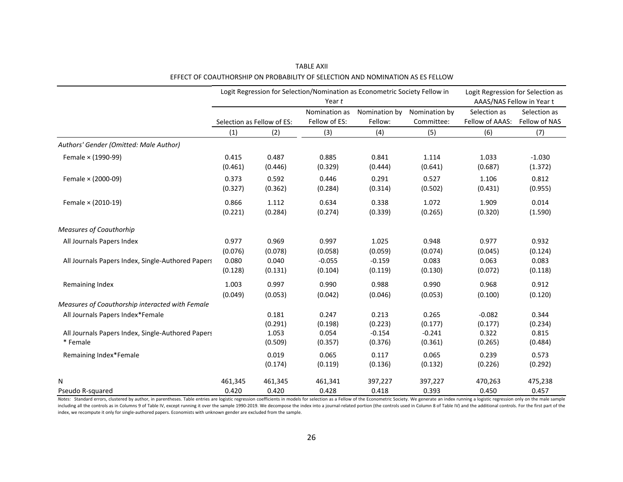|                                                   | Logit Regression for Selection/Nomination as Econometric Society Fellow in | Logit Regression for Selection as |               |               |               |                           |               |
|---------------------------------------------------|----------------------------------------------------------------------------|-----------------------------------|---------------|---------------|---------------|---------------------------|---------------|
|                                                   |                                                                            |                                   | Year t        |               |               | AAAS/NAS Fellow in Year t |               |
|                                                   |                                                                            |                                   | Nomination as | Nomination by | Nomination by | Selection as              | Selection as  |
|                                                   |                                                                            | Selection as Fellow of ES:        | Fellow of ES: | Fellow:       | Committee:    | Fellow of AAAS:           | Fellow of NAS |
|                                                   | (1)                                                                        | (2)                               | (3)           | (4)           | (5)           | (6)                       | (7)           |
| Authors' Gender (Omitted: Male Author)            |                                                                            |                                   |               |               |               |                           |               |
| Female × (1990-99)                                | 0.415                                                                      | 0.487                             | 0.885         | 0.841         | 1.114         | 1.033                     | $-1.030$      |
|                                                   | (0.461)                                                                    | (0.446)                           | (0.329)       | (0.444)       | (0.641)       | (0.687)                   | (1.372)       |
| Female × (2000-09)                                | 0.373                                                                      | 0.592                             | 0.446         | 0.291         | 0.527         | 1.106                     | 0.812         |
|                                                   | (0.327)                                                                    | (0.362)                           | (0.284)       | (0.314)       | (0.502)       | (0.431)                   | (0.955)       |
| Female × (2010-19)                                | 0.866                                                                      | 1.112                             | 0.634         | 0.338         | 1.072         | 1.909                     | 0.014         |
|                                                   | (0.221)                                                                    | (0.284)                           | (0.274)       | (0.339)       | (0.265)       | (0.320)                   | (1.590)       |
| <b>Measures of Coauthorhip</b>                    |                                                                            |                                   |               |               |               |                           |               |
| All Journals Papers Index                         | 0.977                                                                      | 0.969                             | 0.997         | 1.025         | 0.948         | 0.977                     | 0.932         |
|                                                   | (0.076)                                                                    | (0.078)                           | (0.058)       | (0.059)       | (0.074)       | (0.045)                   | (0.124)       |
| All Journals Papers Index, Single-Authored Papers | 0.080                                                                      | 0.040                             | $-0.055$      | $-0.159$      | 0.083         | 0.063                     | 0.083         |
|                                                   | (0.128)                                                                    | (0.131)                           | (0.104)       | (0.119)       | (0.130)       | (0.072)                   | (0.118)       |
| Remaining Index                                   | 1.003                                                                      | 0.997                             | 0.990         | 0.988         | 0.990         | 0.968                     | 0.912         |
|                                                   | (0.049)                                                                    | (0.053)                           | (0.042)       | (0.046)       | (0.053)       | (0.100)                   | (0.120)       |
| Measures of Coauthorship interacted with Female   |                                                                            |                                   |               |               |               |                           |               |
| All Journals Papers Index*Female                  |                                                                            | 0.181                             | 0.247         | 0.213         | 0.265         | $-0.082$                  | 0.344         |
|                                                   |                                                                            | (0.291)                           | (0.198)       | (0.223)       | (0.177)       | (0.177)                   | (0.234)       |
| All Journals Papers Index, Single-Authored Papers |                                                                            | 1.053                             | 0.054         | $-0.154$      | $-0.241$      | 0.322                     | 0.815         |
| * Female                                          |                                                                            | (0.509)                           | (0.357)       | (0.376)       | (0.361)       | (0.265)                   | (0.484)       |
| Remaining Index*Female                            |                                                                            | 0.019                             | 0.065         | 0.117         | 0.065         | 0.239                     | 0.573         |
|                                                   |                                                                            | (0.174)                           | (0.119)       | (0.136)       | (0.132)       | (0.226)                   | (0.292)       |
| N                                                 | 461,345                                                                    | 461,345                           | 461,341       | 397,227       | 397,227       | 470,263                   | 475,238       |
| Pseudo R-squared                                  | 0.420                                                                      | 0.420                             | 0.428         | 0.418         | 0.393         | 0.450                     | 0.457         |

EFFECT OF COAUTHORSHIP ON PROBABILITY OF SELECTION AND NOMINATION AS ES FELLOW TABLE AXII

Notes: Standard errors, clustered by author, in parentheses. Table entries are logistic regression coefficients in models for selection as a Fellow of the Econometric Society. We generate an index running a logistic regres including all the controls as in Columns 9 of Table IV, except running it over the sample 1990-2019. We decompose the index into a journal-related portion (the controls used in Column 8 of Table IV) and the additional cont index, we recompute it only for single-authored papers. Economists with unknown gender are excluded from the sample.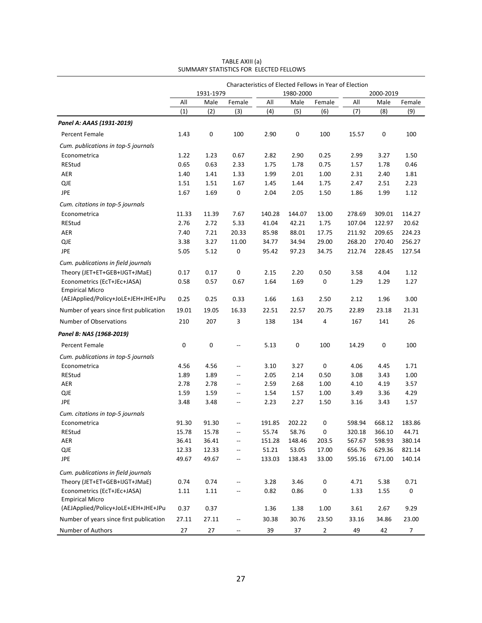|                                                               | Characteristics of Elected Fellows in Year of Election |           |                          |        |           |                |             |           |            |  |
|---------------------------------------------------------------|--------------------------------------------------------|-----------|--------------------------|--------|-----------|----------------|-------------|-----------|------------|--|
|                                                               |                                                        | 1931-1979 |                          |        | 1980-2000 |                |             | 2000-2019 |            |  |
|                                                               | All                                                    | Male      | Female                   | All    | Male      | Female         | All         | Male      | Female     |  |
|                                                               | (1)                                                    | (2)       | (3)                      | (4)    | (5)       | (6)            | (7)         | (8)       | (9)        |  |
| Panel A: AAAS (1931-2019)                                     |                                                        |           |                          |        |           |                |             |           |            |  |
| Percent Female                                                | 1.43                                                   | 0         | 100                      | 2.90   | 0         | 100            | 15.57       | 0         | 100        |  |
| Cum. publications in top-5 journals                           |                                                        |           |                          |        |           |                |             |           |            |  |
| Econometrica                                                  | 1.22                                                   | 1.23      | 0.67                     | 2.82   | 2.90      | 0.25           | 2.99        | 3.27      | 1.50       |  |
| REStud                                                        | 0.65                                                   | 0.63      | 2.33                     | 1.75   | 1.78      | 0.75           | 1.57        | 1.78      | 0.46       |  |
| <b>AER</b>                                                    | 1.40                                                   | 1.41      | 1.33                     | 1.99   | 2.01      | 1.00           | 2.31        | 2.40      | 1.81       |  |
| <b>QJE</b>                                                    | 1.51                                                   | 1.51      | 1.67                     | 1.45   | 1.44      | 1.75           | 2.47        | 2.51      | 2.23       |  |
| JPE                                                           | 1.67                                                   | 1.69      | 0                        | 2.04   | 2.05      | 1.50           | 1.86        | 1.99      | 1.12       |  |
| Cum. citations in top-5 journals                              |                                                        |           |                          |        |           |                |             |           |            |  |
| Econometrica                                                  | 11.33                                                  | 11.39     | 7.67                     | 140.28 | 144.07    | 13.00          | 278.69      | 309.01    | 114.27     |  |
| REStud                                                        | 2.76                                                   | 2.72      | 5.33                     | 41.04  | 42.21     | 1.75           | 107.04      | 122.97    | 20.62      |  |
| <b>AER</b>                                                    | 7.40                                                   | 7.21      | 20.33                    | 85.98  | 88.01     | 17.75          | 211.92      | 209.65    | 224.23     |  |
| <b>QJE</b>                                                    | 3.38                                                   | 3.27      | 11.00                    | 34.77  | 34.94     | 29.00          | 268.20      | 270.40    | 256.27     |  |
| JPE                                                           | 5.05                                                   | 5.12      | $\mathbf 0$              | 95.42  | 97.23     | 34.75          | 212.74      | 228.45    | 127.54     |  |
| Cum. publications in field journals                           |                                                        |           |                          |        |           |                |             |           |            |  |
| Theory (JET+ET+GEB+IJGT+JMaE)                                 | 0.17                                                   | 0.17      | 0                        | 2.15   | 2.20      | 0.50           | 3.58        | 4.04      | 1.12       |  |
| Econometrics (EcT+JEc+JASA)<br><b>Empirical Micro</b>         | 0.58                                                   | 0.57      | 0.67                     | 1.64   | 1.69      | 0              | 1.29        | 1.29      | 1.27       |  |
| (AEJApplied/Policy+JoLE+JEH+JHE+JPu                           | 0.25                                                   | 0.25      | 0.33                     | 1.66   | 1.63      | 2.50           | 2.12        | 1.96      | 3.00       |  |
| Number of years since first publication                       | 19.01                                                  | 19.05     | 16.33                    | 22.51  | 22.57     | 20.75          | 22.89       | 23.18     | 21.31      |  |
| Number of Observations                                        | 210                                                    | 207       | 3                        | 138    | 134       | 4              | 167         | 141       | 26         |  |
| Panel B: NAS (1968-2019)                                      |                                                        |           |                          |        |           |                |             |           |            |  |
| Percent Female                                                | 0                                                      | 0         | $\overline{\phantom{a}}$ | 5.13   | 0         | 100            | 14.29       | 0         | 100        |  |
| Cum. publications in top-5 journals                           |                                                        |           |                          |        |           |                |             |           |            |  |
| Econometrica                                                  | 4.56                                                   | 4.56      | $\qquad \qquad -$        | 3.10   | 3.27      | 0              | 4.06        | 4.45      | 1.71       |  |
| REStud                                                        | 1.89                                                   | 1.89      | $\overline{\phantom{a}}$ | 2.05   | 2.14      | 0.50           | 3.08        | 3.43      | 1.00       |  |
| <b>AER</b>                                                    | 2.78                                                   | 2.78      | $\overline{\phantom{a}}$ | 2.59   | 2.68      | 1.00           | 4.10        | 4.19      | 3.57       |  |
| <b>QJE</b>                                                    | 1.59                                                   | 1.59      | $\overline{\phantom{a}}$ | 1.54   | 1.57      | 1.00           | 3.49        | 3.36      | 4.29       |  |
| JPE                                                           | 3.48                                                   | 3.48      | $\qquad \qquad -$        | 2.23   | 2.27      | 1.50           | 3.16        | 3.43      | 1.57       |  |
| Cum. citations in top-5 journals                              |                                                        |           |                          |        |           |                |             |           |            |  |
| Econometrica                                                  | 91.30                                                  | 91.30     | $\overline{\phantom{a}}$ | 191.85 | 202.22    | 0              | 598.94      | 668.12    | 183.86     |  |
| REStud                                                        | 15.78                                                  | 15.78     | --                       | 55.74  | 58.76     | 0              | 320.18      | 366.10    | 44.71      |  |
| AER                                                           | 36.41                                                  | 36.41     | --                       | 151.28 | 148.46    | 203.5          | 567.67      | 598.93    | 380.14     |  |
| $\mathsf{QJE}$                                                | 12.33                                                  | 12.33     | $\overline{\phantom{a}}$ | 51.21  | 53.05     | 17.00          | 656.76      | 629.36    | 821.14     |  |
| JPE                                                           | 49.67                                                  | 49.67     | ۰.                       | 133.03 | 138.43    | 33.00          | 595.16      | 671.00    | 140.14     |  |
| Cum. publications in field journals                           |                                                        |           |                          |        |           |                |             |           |            |  |
| Theory (JET+ET+GEB+IJGT+JMaE)                                 | 0.74                                                   | 0.74      | --                       | 3.28   | 3.46      | $\pmb{0}$      | 4.71        | 5.38      | 0.71       |  |
| Econometrics (EcT+JEc+JASA)                                   | 1.11                                                   | 1.11      | --                       | 0.82   | 0.86      | 0              | 1.33        | 1.55      | 0          |  |
| <b>Empirical Micro</b><br>(AEJApplied/Policy+JoLE+JEH+JHE+JPu | 0.37                                                   | 0.37      |                          | 1.36   | 1.38      | 1.00           | 3.61        | 2.67      | 9.29       |  |
| Number of years since first publication                       | 27.11                                                  | 27.11     |                          | 30.38  | 30.76     | 23.50          |             | 34.86     |            |  |
| Number of Authors                                             | 27                                                     | 27        | --<br>--                 | 39     | 37        | $\overline{2}$ | 33.16<br>49 | 42        | 23.00<br>7 |  |

TABLE AXIII (a) SUMMARY STATISTICS FOR ELECTED FELLOWS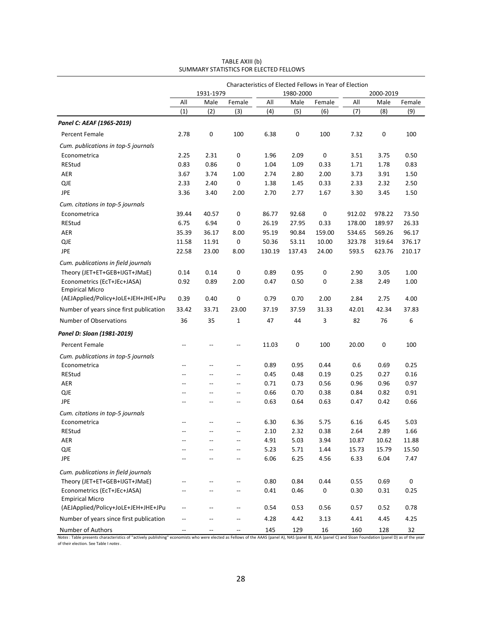|                                                       |                | 1931-1979                |                          |        | 1980-2000 | Characteristics of Elected Fellows in Year of Election |        | 2000-2019 |           |
|-------------------------------------------------------|----------------|--------------------------|--------------------------|--------|-----------|--------------------------------------------------------|--------|-----------|-----------|
|                                                       | All            | Male                     | Female                   | All    | Male      | Female                                                 | All    | Male      | Female    |
|                                                       | (1)            | (2)                      | (3)                      | (4)    | (5)       | (6)                                                    | (7)    | (8)       | (9)       |
| Panel C: AEAF (1965-2019)                             |                |                          |                          |        |           |                                                        |        |           |           |
| Percent Female                                        | 2.78           | 0                        | 100                      | 6.38   | 0         | 100                                                    | 7.32   | 0         | 100       |
| Cum. publications in top-5 journals                   |                |                          |                          |        |           |                                                        |        |           |           |
| Econometrica                                          | 2.25           | 2.31                     | 0                        | 1.96   | 2.09      | 0                                                      | 3.51   | 3.75      | 0.50      |
| REStud                                                | 0.83           | 0.86                     | 0                        | 1.04   | 1.09      | 0.33                                                   | 1.71   | 1.78      | 0.83      |
| <b>AER</b>                                            | 3.67           | 3.74                     | 1.00                     | 2.74   | 2.80      | 2.00                                                   | 3.73   | 3.91      | 1.50      |
| <b>QJE</b>                                            | 2.33           | 2.40                     | $\pmb{0}$                | 1.38   | 1.45      | 0.33                                                   | 2.33   | 2.32      | 2.50      |
| <b>JPE</b>                                            | 3.36           | 3.40                     | 2.00                     | 2.70   | 2.77      | 1.67                                                   | 3.30   | 3.45      | 1.50      |
| Cum. citations in top-5 journals                      |                |                          |                          |        |           |                                                        |        |           |           |
| Econometrica                                          | 39.44          | 40.57                    | 0                        | 86.77  | 92.68     | 0                                                      | 912.02 | 978.22    | 73.50     |
| REStud                                                | 6.75           | 6.94                     | 0                        | 26.19  | 27.95     | 0.33                                                   | 178.00 | 189.97    | 26.33     |
| <b>AER</b>                                            | 35.39          | 36.17                    | 8.00                     | 95.19  | 90.84     | 159.00                                                 | 534.65 | 569.26    | 96.17     |
| <b>QJE</b>                                            | 11.58          | 11.91                    | 0                        | 50.36  | 53.11     | 10.00                                                  | 323.78 | 319.64    | 376.17    |
| JPE                                                   | 22.58          | 23.00                    | 8.00                     | 130.19 | 137.43    | 24.00                                                  | 593.5  | 623.76    | 210.17    |
| Cum. publications in field journals                   |                |                          |                          |        |           |                                                        |        |           |           |
| Theory (JET+ET+GEB+IJGT+JMaE)                         | 0.14           | 0.14                     | 0                        | 0.89   | 0.95      | 0                                                      | 2.90   | 3.05      | 1.00      |
| Econometrics (EcT+JEc+JASA)<br><b>Empirical Micro</b> | 0.92           | 0.89                     | 2.00                     | 0.47   | 0.50      | 0                                                      | 2.38   | 2.49      | 1.00      |
| (AEJApplied/Policy+JoLE+JEH+JHE+JPu                   | 0.39           | 0.40                     | 0                        | 0.79   | 0.70      | 2.00                                                   | 2.84   | 2.75      | 4.00      |
| Number of years since first publication               | 33.42          | 33.71                    | 23.00                    | 37.19  | 37.59     | 31.33                                                  | 42.01  | 42.34     | 37.83     |
| Number of Observations                                | 36             | 35                       | $\mathbf 1$              | 47     | 44        | 3                                                      | 82     | 76        | 6         |
| Panel D: Sloan (1981-2019)                            |                |                          |                          |        |           |                                                        |        |           |           |
| Percent Female                                        | --             | --                       | $\overline{a}$           | 11.03  | 0         | 100                                                    | 20.00  | 0         | 100       |
| Cum. publications in top-5 journals                   |                |                          |                          |        |           |                                                        |        |           |           |
| Econometrica                                          | $-$            | $-$                      | $\qquad \qquad -$        | 0.89   | 0.95      | 0.44                                                   | 0.6    | 0.69      | 0.25      |
| REStud                                                |                | $\overline{a}$           | $\overline{a}$           | 0.45   | 0.48      | 0.19                                                   | 0.25   | 0.27      | 0.16      |
| <b>AER</b>                                            | $-$            | $-$                      | $\overline{\phantom{a}}$ | 0.71   | 0.73      | 0.56                                                   | 0.96   | 0.96      | 0.97      |
| <b>QJE</b>                                            | $\overline{a}$ | $-$                      | $\overline{a}$           | 0.66   | 0.70      | 0.38                                                   | 0.84   | 0.82      | 0.91      |
| JPE                                                   |                | $\overline{a}$           | $\overline{\phantom{a}}$ | 0.63   | 0.64      | 0.63                                                   | 0.47   | 0.42      | 0.66      |
| Cum. citations in top-5 journals                      |                |                          |                          |        |           |                                                        |        |           |           |
| Econometrica                                          |                |                          | $\overline{a}$           | 6.30   | 6.36      | 5.75                                                   | 6.16   | 6.45      | 5.03      |
| REStud                                                |                | --                       | --                       | 2.10   | 2.32      | 0.38                                                   | 2.64   | 2.89      | 1.66      |
| AER                                                   |                | --                       | --                       | 4.91   | 5.03      | 3.94                                                   | 10.87  | 10.62     | 11.88     |
| <b>QJE</b>                                            |                | --                       | --                       | 5.23   | 5.71      | 1.44                                                   | 15.73  | 15.79     | 15.50     |
| <b>JPE</b>                                            |                | $\overline{\phantom{0}}$ | $\overline{\phantom{a}}$ | 6.06   | 6.25      | 4.56                                                   | 6.33   | 6.04      | 7.47      |
| Cum. publications in field journals                   |                |                          |                          |        |           |                                                        |        |           |           |
| Theory (JET+ET+GEB+IJGT+JMaE)                         |                | --                       | --                       | 0.80   | 0.84      | 0.44                                                   | 0.55   | 0.69      | $\pmb{0}$ |
| Econometrics (EcT+JEc+JASA)                           | --             | --                       | --                       | 0.41   | 0.46      | 0                                                      | 0.30   | 0.31      | 0.25      |
| <b>Empirical Micro</b>                                |                |                          |                          |        |           |                                                        |        |           |           |
| (AEJApplied/Policy+JoLE+JEH+JHE+JPu                   | $\overline{a}$ | --                       | $\overline{\phantom{a}}$ | 0.54   | 0.53      | 0.56                                                   | 0.57   | 0.52      | 0.78      |
| Number of years since first publication               | --             | --                       | --                       | 4.28   | 4.42      | 3.13                                                   | 4.41   | 4.45      | 4.25      |
| Number of Authors                                     |                |                          | $\overline{\phantom{a}}$ | 145    | 129       | 16                                                     | 160    | 128       | 32        |

TABLE AXIII (b) SUMMARY STATISTICS FOR ELECTED FELLOWS

Notes : Table presents characteristics of "actively publishing" economists who were elected as Fellows of the AAAS (panel A), NAS (panel B), AEA (panel C) and Sloan Foundation (panel D) as of the year<br>of their election. Se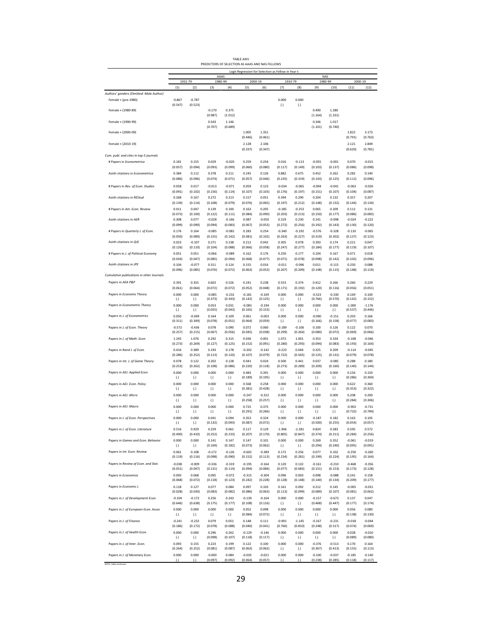|                                                                    |                     |                             |                             | PREDICTORS OF SELECTION AS AAAS AND NAS FELLOWS |                     |                     |                                                     |                     |                     |                             |                     |                     |
|--------------------------------------------------------------------|---------------------|-----------------------------|-----------------------------|-------------------------------------------------|---------------------|---------------------|-----------------------------------------------------|---------------------|---------------------|-----------------------------|---------------------|---------------------|
|                                                                    |                     |                             |                             | AAAS                                            |                     |                     | Logit Regression for Selection as Fellow in Year t: |                     |                     | <b>NAS</b>                  |                     |                     |
|                                                                    | (1)                 | 1931-79<br>(2)              | (3)                         | 1980-99<br>(4)                                  | (5)                 | 2000-19<br>(6)      | (7)                                                 | 1933-79<br>(8)      | (9)                 | 1980-99<br>(10)             | (11)                | 2000-19<br>(12)     |
| Authors' genders (Omitted: Male Author)                            |                     |                             |                             |                                                 |                     |                     |                                                     |                     |                     |                             |                     |                     |
| Female × (pre-1980)                                                | $-0.867$<br>(0.547) | $-0.787$<br>(0.523)         |                             |                                                 |                     |                     | 0.000<br>$\left( . \right)$                         | 0.000<br>(.)        |                     |                             |                     |                     |
| Female × (1980-89)                                                 |                     |                             | $-0.170$                    | 0.375                                           |                     |                     |                                                     |                     | 0.490               | 1.280                       |                     |                     |
| Female × (1990-99)                                                 |                     |                             | (0.987)<br>0.543            | (1.012)<br>1.146                                |                     |                     |                                                     |                     | (1.164)<br>0.346    | (1.331)<br>1.017            |                     |                     |
|                                                                    |                     |                             | (0.707)                     | (0.689)                                         |                     |                     |                                                     |                     | (1.101)             | (0.740)                     |                     |                     |
| Female × (2000-09)                                                 |                     |                             |                             |                                                 | 1.005<br>(0.446)    | 1.351<br>(0.461)    |                                                     |                     |                     |                             | 1.822<br>(0.791)    | 3.173<br>(0.763)    |
| Female × (2010-19)                                                 |                     |                             |                             |                                                 | 2.128               | 2.106               |                                                     |                     |                     |                             | 2.121               | 2.849               |
|                                                                    |                     |                             |                             |                                                 | (0.337)             | (0.347)             |                                                     |                     |                     |                             | (0.620)             | (0.781)             |
| Cum. publ. and cites in top-5 journals<br># Papers in Econometrica | 0.181               | 0.155                       | 0.029                       | $-0.020$                                        | 0.259               | 0.254               | 0.016                                               | $-0.113$            | $-0.055$            | $-0.001$                    | 0.070               | $-0.015$            |
|                                                                    | (0.057)             | (0.094)                     | (0.093)                     | (0.099)                                         | (0.060)             | (0.080)             | (0.117)                                             | (0.149)             | (0.103)             | (0.137)                     | (0.086)             | (0.098)             |
| Asinh citations in Econometrica                                    | 0.384<br>(0.086)    | 0.112<br>(0.096)            | 0.378<br>(0.074)            | 0.211<br>(0.071)                                | 0.245<br>(0.057)    | 0.126<br>(0.046)    | 0.882<br>(0.235)                                    | 0.675<br>(0.319)    | 0.452               | 0.262                       | 0.282               | 0.140<br>(0.096)    |
| # Papers in Rev. of Econ. Studies                                  | 0.058               | 0.017                       | $-0.013$                    | $-0.071$                                        | 0.059               | 0.123               | $-0.034$                                            | $-0.065$            | (0.143)<br>$-0.094$ | (0.125)<br>$-0.041$         | (0.112)<br>$-0.063$ | $-0.026$            |
|                                                                    | (0.091)             | (0.102)                     | (0.156)                     | (0.114)                                         | (0.107)             | (0.103)             | (0.176)                                             | (0.197)             | (0.151)             | (0.107)                     | (0.104)             | (0.087)             |
| Asinh citations in REStud                                          | 0.268<br>(0.139)    | 0.167<br>(0.114)            | 0.272<br>(0.108)            | 0.213<br>(0.079)                                | 0.157<br>(0.076)    | 0.051<br>(0.065)    | 0.394<br>(0.197)                                    | 0.290<br>(0.212)    | 0.204<br>(0.148)    | 0.132<br>(0.132)            | 0.357<br>(0.144)    | 0.207<br>(0.134)    |
| # Papers in Am. Econ. Review                                       | 0.011               | 0.047                       | 0.139                       | 0.100                                           | 0.163               | 0.205               | $-0.185$                                            | $-0.253$            | 0.065               | 0.209                       | 0.112               | 0.131               |
|                                                                    | (0.073)             | (0.100)                     | (0.122)                     | (0.111)                                         | (0.084)             | (0.090)             | (0.203)                                             | (0.213)             | (0.150)             | (0.177)                     | (0.086)             | (0.083)             |
| Asinh citations in AER                                             | 0.308<br>(0.099)    | 0.077<br>(0.090)            | $-0.028$<br>(0.094)         | $-0.166$<br>(0.083)                             | 0.087<br>(0.067)    | $-0.050$<br>(0.053) | 0.319<br>(0.272)                                    | 0.230<br>(0.256)    | 0.141<br>(0.192)    | $-0.098$<br>(0.143)         | $-0.024$<br>(0.130) | $-0.222$<br>(0.120) |
| # Papers in Quarterly J. of Econ.                                  | 0.176               | 0.164                       | $-0.085$                    | $-0.082$                                        | 0.283               | 0.254               | $-0.340$                                            | $-0.192$            | $-0.576$            | $-0.328$                    | $-0.110$            | $-0.065$            |
| Asinh citations in QJE                                             | (0.050)<br>0.023    | (0.089)<br>$-0.107$         | (0.155)<br>0.271            | (0.142)<br>0.138                                | (0.081)<br>0.212    | (0.102)<br>0.042    | (0.263)<br>0.305                                    | (0.227)<br>0.078    | (0.319)<br>0.393    | (0.302)<br>0.174            | (0.137)<br>0.221    | (0.123)<br>0.047    |
|                                                                    | (0.126)             | (0.110)                     | (0.104)                     | (0.088)                                         | (0.066)             | (0.058)             | (0.247)                                             | (0.277)             | (0.184)             | (0.177)                     | (0.119)             | (0.107)             |
| # Papers in J. of Political Economy                                | 0.051<br>(0.034)    | 0.051<br>(0.047)            | $-0.066$<br>(0.085)         | $-0.089$<br>(0.094)                             | 0.162<br>(0.068)    | 0.176<br>(0.077)    | 0.250<br>(0.071)                                    | 0.177               | 0.104<br>(0.098)    | 0.167                       | 0.071<br>(0.102)    | 0.018<br>(0.096)    |
| Asinh citations in JPE                                             | 0.104               | $-0.077$                    | 0.311                       | 0.124                                           | 0.155               | 0.016               | $-0.011$                                            | (0.078)<br>$-0.096$ | 0.011               | (0.142)<br>$-0.115$         | 0.250               | 0.088               |
| Cumulative publications in other Journals                          | (0.096)             | (0.085)                     | (0.076)                     | (0.072)                                         | (0.063)             | (0.053)             | (0.207)                                             | (0.209)             | (0.148)             | (0.115)                     | (0.148)             | (0.119)             |
| Papers in AEA P&P                                                  | 0.391               | 0.355                       | 0.602                       | 0.526                                           | 0.241               | 0.238               | 0.553                                               | 0.374               | 0.412               | 0.266                       | 0.260               | 0.229               |
|                                                                    | (0.061)             | (0.064)                     | (0.072)                     | (0.072)                                         | (0.052)             | (0.048)             | (0.171)                                             | (0.192)             | (0.120)             | (0.116)                     | (0.056)             | (0.051)             |
| Papers in Economic Theory                                          | 0.000               | 0.000                       | $-0.085$<br>(0.373)         | $-0.232$<br>(0.343)                             | $-0.181$<br>(0.142) | $-0.169$<br>(0.125) | 0.000                                               | 0.000               | $-0.523$<br>(0.766) | $-0.330$<br>(0.570)         | 0.169<br>(0.142)    | 0.100<br>(0.152)    |
| Papers in Econometric Theory                                       | (.)<br>0.000        | (.)<br>0.000                | 0.053                       | 0.031                                           | $-0.083$            | $-0.194$            | (.)<br>0.000                                        | (.)<br>0.000        | 0.000               | 0.000                       | $-1.000$            | $-1.176$            |
|                                                                    | $\left( . \right)$  | $\left( .\right)$           | (0.055)                     | (0.043)                                         | (0.165)             | (0.153)             | (.)                                                 | (.)                 | (.)                 | $\left( . \right)$          | (0.537)             | (0.446)             |
| Papers in J. of Econometrics                                       | 0.050<br>(0.311)    | $-0.049$<br>(0.349)         | 0.164<br>(0.078)            | 0.109<br>(0.051)                                | 0.061<br>(0.064)    | $-0.003$<br>(0.059) | 0.000<br>(.)                                        | 0.000<br>(.)        | $-0.090$<br>(0.166) | $-0.151$<br>(0.158)         | 0.203<br>(0.077)    | 0.166<br>(0.083)    |
| Papers in J. of Econ. Theory                                       | $-0.572$            | $-0.436$                    | 0.078                       | 0.090                                           | 0.072               | 0.060               | $-0.189$                                            | $-0.106$            | 0.100               | 0.126                       | 0.122               | 0.070               |
| Papers in J. of Math. Econ.                                        | (0.257)<br>1.245    | (0.215)<br>1.076            | (0.067)<br>0.292            | (0.056)<br>0.315                                | (0.045)<br>0.036    | (0.038)<br>0.001    | (0.299)<br>1.072                                    | (0.264)<br>1.001    | (0.080)<br>0.353    | (0.072)<br>0.334            | (0.069)<br>$-0.108$ | (0.066)<br>$-0.046$ |
|                                                                    | (0.273)             | (0.269)                     | (0.127)                     | (0.125)                                         | (0.152)             | (0.091)             | (0.280)                                             | (0.293)             | (0.094)             | (0.083)                     | (0.193)             | (0.164)             |
| Papers in Rand J. of Econ.                                         | 0.416<br>(0.286)    | 0.389<br>(0.252)            | 0.193<br>(0.113)            | 0.178<br>(0.120)                                | $-0.202$<br>(0.107) | $-0.142$<br>(0.079) | $-0.223$<br>(0.722)                                 | 0.044<br>(0.565)    | 0.325<br>(0.125)    | 0.209<br>(0.131)            | $-0.114$<br>(0.079) | $-0.045$<br>(0.078) |
| Papers in Int. J. of Game Theory                                   | 0.078               | 0.122                       | 0.202                       | 0.128                                           | 0.041               | 0.024               | 0.500                                               | 0.441               | 0.037               | $-0.085$                    | 0.288               | 0.180               |
|                                                                    | (0.253)             | (0.262)                     | (0.108)                     | (0.086)                                         | (0.220)             | (0.118)             | (0.273)                                             | (0.289)             | (0.209)             | (0.160)                     | (0.140)             | (0.144)             |
| Papers in AEJ: Applied Econ.                                       | 0.000<br>(.)        | 0.000<br>(.)                | 0.000<br>(.)                | 0.000<br>(.)                                    | 0.483<br>(0.189)    | 0.391<br>(0.195)    | 0.000<br>(.)                                        | 0.000<br>(.)        | 0.000<br>(.)        | 0.000<br>(.)                | 0.156<br>(0.286)    | 0.150<br>(0.304)    |
| Papers in AEJ: Econ. Policy                                        | 0.000               | 0.000                       | 0.000                       | 0.000                                           | 0.568               | 0.258               | 0.000                                               | 0.000               | 0.000               | 0.000                       | 0.622               | 0.360               |
| Papers in AEJ: Micro                                               | (.)<br>0.000        | $\left( .\right)$<br>0.000  | (.)<br>0.000                | (.)<br>0.000                                    | (0.381)<br>$-0.247$ | (0.428)<br>$-0.322$ | $\left( .\right)$<br>0.000                          | (.)<br>0.000        | (.)<br>0.000        | $\left( . \right)$<br>0.000 | (0.353)<br>0.208    | (0.322)<br>0.200    |
|                                                                    | (.)                 | (.)                         | (.)                         | (.)                                             | (0.258)             | (0.257)             | (.)                                                 | (.)                 | (.)                 | (.)                         | (0.284)             | (0.306)             |
| Papers in AEJ: Macro                                               | 0.000<br>(.)        | 0.000<br>$\left( . \right)$ | 0.000<br>$\left( . \right)$ | 0.000<br>(.)                                    | 0.725<br>(0.291)    | 0.375<br>(0.266)    | 0.000<br>$\left( . \right)$                         | 0.000<br>(.)        | 0.000<br>(.)        | 0.000<br>$\left( . \right)$ | $-0.903$<br>(0.732) | $-0.731$<br>(0.784) |
| Papers in J. of Econ. Perspectives                                 | 0.000               | 0.000                       | 0.041                       | 0.094                                           | 0.353               | 0.324               | 0.000                                               | 0.000               | $-0.187$            | 0.182                       | 0.163               | 0.105               |
|                                                                    | $\left( . \right)$  | (.)                         | (0.132)                     | (0.093)                                         | (0.087)             | (0.072)             | (.)                                                 | $\left( . \right)$  | (0.500)             | (0.255)                     | (0.054)             | (0.057)             |
| Papers in J. of Econ. Literature                                   | 0.516<br>(0.490)    | 0.929<br>(0.410)            | 0.259<br>(0.252)            | 0.061<br>(0.233)                                | 0.117<br>(0.207)    | 0.129<br>(0.170)    | $-1.906$<br>(0.805)                                 | $-2.281$<br>(0.847) | 0.824<br>(0.374)    | 0.583<br>(0.311)            | 0.595<br>(0.284)    | 0.572<br>(0.256)    |
| Papers in Games and Econ. Behavior                                 | 0.000               | 0.000                       | 0.141                       | 0.147                                           | 0.147               | 0.101               | 0.000                                               | 0.000               | 0.269               | 0.352                       | $-0.061$            | $-0.019$            |
| Papers in Int. Econ. Review                                        | (.)<br>0.061        | (.)<br>0.108                | (0.169)<br>$-0.172$         | (0.182)<br>$-0.126$                             | (0.073)<br>$-0.602$ | (0.062)<br>$-0.389$ | (.)<br>0.172                                        | (.)<br>0.256        | (0.294)<br>0.077    | (0.240)<br>0.102            | (0.095)<br>$-0.250$ | (0.091)<br>$-0.260$ |
|                                                                    | (0.119)             | (0.116)                     | (0.098)                     | (0.090)                                         | (0.152)             | (0.113)             | (0.234)                                             | (0.281)             | (0.199)             | (0.224)                     | (0.195)             | (0.164)             |
| Papers in Review of Econ. and Stat.                                | $-0.038$<br>(0.051) | $-0.009$<br>(0.047)         | $-0.336$<br>(0.131)         | $-0.319$<br>(0.114)                             | $-0.195$<br>(0.094) | $-0.164$<br>(0.084) | 0.120<br>(0.077)                                    | 0.132<br>(0.083)    | $-0.161$<br>(0.151) | $-0.210$<br>(0.153)         | $-0.468$<br>(0.173) | $-0.356$<br>(0.128) |
| Papers in Economica                                                | 0.093               | 0.068                       | 0.095                       | $-0.072$                                        | $-0.315$            | $-0.304$            | 0.096                                               | 0.003               | 0.098               | $-0.088$                    | 0.241               | 0.158               |
|                                                                    | (0.068)             | (0.072)                     | (0.118)                     | (0.123)                                         | (0.242)             | (0.228)             | (0.128)                                             | (0.148)             | (0.140)             | (0.134)                     | (0.209)             | (0.177)             |
| Papers in Economic J.                                              | 0.118<br>(0.028)    | 0.127<br>(0.030)            | 0.077<br>(0.083)            | 0.084<br>(0.082)                                | 0.097<br>(0.086)    | 0.103<br>(0.063)    | 0.161<br>(0.113)                                    | 0.092<br>(0.099)    | 0.212<br>(0.089)    | 0.145<br>(0.107)            | $-0.005$<br>(0.081) | $-0.031$<br>(0.062) |
| Papers in J. of Development Econ.                                  | $-0.104$            | $-0.172$                    | 0.256                       | 0.243                                           | $-0.139$            | $-0.164$            | 0.000                                               | 0.000               | $-0.157$            | $-0.673$                    | 0.137               | 0.047               |
|                                                                    | (0.646)             | (0.638)                     | (0.175)                     | (0.177)                                         | (0.108)             | (0.116)             | (.)                                                 | (.)                 | (0.468)             | (0.447)                     | (0.177)             | (0.174)             |
| Papers in J. of European Econ. Assoc                               | 0.000<br>(.)        | 0.000<br>$\left( . \right)$ | 0.000<br>(.)                | 0.000<br>(.)                                    | 0.052<br>(0.084)    | 0.098<br>(0.072)    | 0.000<br>(.)                                        | 0.000<br>(.)        | 0.000<br>(.)        | 0.000<br>(.)                | 0.056<br>(0.138)    | 0.080<br>(0.130)    |
| Papers in J. of Finance                                            | $-0.241$            | $-0.232$                    | 0.079                       | 0.051                                           | 0.148               | 0.111               | $-0.901$                                            | $-1.145$            | $-0.167$            | $-0.231$                    | $-0.018$            | $-0.044$            |
| Papers in J. of Health Econ.                                       | (0.186)<br>0.000    | (0.172)<br>0.000            | (0.078)<br>0.296            | (0.088)<br>0.262                                | (0.040)<br>$-0.129$ | (0.041)<br>$-0.146$ | (0.760)<br>0.000                                    | (0.810)<br>0.000    | (0.248)<br>0.000    | (0.317)<br>0.000            | (0.074)<br>0.028    | (0.069)<br>$-0.010$ |
|                                                                    | (.)                 | (.)                         | (0.098)                     | (0.107)                                         | (0.118)             | (0.117)             | (.)                                                 | (.)                 | (.)                 | (.)                         | (0.089)             | (0.080)             |
| Papers in J. of Inter. Econ.                                       | 0.093<br>(0.264)    | 0.155<br>(0.252)            | 0.223<br>(0.081)            | 0.199<br>(0.087)                                | 0.122<br>(0.063)    | 0.100<br>(0.062)    | 0.000<br>(.)                                        | 0.000<br>(.)        | $-0.376$<br>(0.367) | $-0.513$<br>(0.413)         | 0.170<br>(0.155)    | 0.164<br>(0.113)    |
| Papers in J. of Monetary Econ.                                     | 0.000               | 0.000                       | $-0.000$                    | 0.084                                           | $-0.035$            | $-0.021$            | 0.000                                               | 0.000               | $-0.100$            | $-0.037$                    | $-0.185$            | $-0.140$            |
|                                                                    | (.)                 | (.)                         | (0.097)                     | (0.092)                                         | (0.064)             | (0.057)             | (.)                                                 | (.)                 | (0.238)             | (0.285)                     | (0.118)             | (0.117)             |

TABLE AXIV

29

NOTE: table continues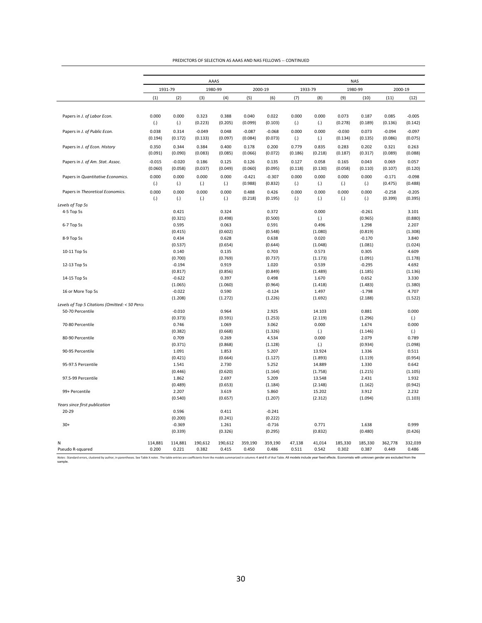|                                                |                     |                     |                     | AAAS             |                     |                     | <b>NAS</b>       |                  |                     |                  |                     |                     |  |
|------------------------------------------------|---------------------|---------------------|---------------------|------------------|---------------------|---------------------|------------------|------------------|---------------------|------------------|---------------------|---------------------|--|
|                                                |                     | 1931-79             |                     | 1980-99          |                     | 2000-19             |                  | 1933-79          |                     | 1980-99          |                     | 2000-19             |  |
|                                                | (1)                 | (2)                 | (3)                 | (4)              | (5)                 | (6)                 | (7)              | (8)              | (9)                 | (10)             | (11)                | (12)                |  |
| Papers in J. of Labor Econ.                    | 0.000               | 0.000               | 0.323               | 0.388            | 0.040               | 0.022               | 0.000            | 0.000            | 0.073               | 0.187            | 0.085               | $-0.005$            |  |
|                                                | (.)                 | (.)                 | (0.223)             | (0.205)          | (0.099)             | (0.103)             | (.)              | (.)              | (0.278)             | (0.189)          | (0.136)             | (0.142)             |  |
| Papers in J. of Public Econ.                   | 0.038<br>(0.194)    | 0.314<br>(0.172)    | $-0.049$<br>(0.133) | 0.048<br>(0.097) | $-0.087$<br>(0.084) | $-0.068$<br>(0.073) | 0.000<br>(.)     | 0.000<br>(.)     | $-0.030$<br>(0.134) | 0.073<br>(0.135) | $-0.094$<br>(0.086) | $-0.097$<br>(0.075) |  |
| Papers in J. of Econ. History                  | 0.350<br>(0.091)    | 0.344<br>(0.090)    | 0.384<br>(0.083)    | 0.400<br>(0.085) | 0.178<br>(0.066)    | 0.200<br>(0.072)    | 0.779<br>(0.186) | 0.835<br>(0.218) | 0.283<br>(0.187)    | 0.202<br>(0.317) | 0.321<br>(0.089)    | 0.263<br>(0.088)    |  |
| Papers in J. of Am. Stat. Assoc.               | $-0.015$<br>(0.060) | $-0.020$<br>(0.058) | 0.186<br>(0.037)    | 0.125<br>(0.049) | 0.126<br>(0.060)    | 0.135<br>(0.095)    | 0.127<br>(0.118) | 0.058<br>(0.130) | 0.165<br>(0.058)    | 0.043<br>(0.110) | 0.069<br>(0.107)    | 0.057<br>(0.120)    |  |
| Papers in Quantitative Economics.              | 0.000<br>(.)        | 0.000<br>(.)        | 0.000<br>(.)        | 0.000<br>(.)     | $-0.421$<br>(0.988) | $-0.307$<br>(0.832) | 0.000<br>(.)     | 0.000<br>(.)     | 0.000<br>(.)        | 0.000<br>(.)     | $-0.171$<br>(0.475) | $-0.098$<br>(0.488) |  |
| Papers in Theoretical Economics.               | 0.000<br>(.)        | 0.000<br>(.)        | 0.000<br>(.)        | 0.000<br>(.)     | 0.488<br>(0.218)    | 0.426<br>(0.195)    | 0.000<br>(.)     | 0.000<br>(.)     | 0.000<br>(.)        | 0.000<br>(.)     | $-0.258$<br>(0.399) | $-0.205$<br>(0.395) |  |
| Levels of Top 5s                               |                     |                     |                     |                  |                     |                     |                  |                  |                     |                  |                     |                     |  |
| 4-5 Top 5s                                     |                     | 0.421               |                     | 0.324            |                     | 0.372               |                  | 0.000            |                     | $-0.261$         |                     | 3.101               |  |
|                                                |                     | (0.321)             |                     | (0.498)          |                     | (0.500)             |                  | (.)              |                     | (0.965)          |                     | (0.880)             |  |
| 6-7 Top 5s                                     |                     | 0.595               |                     | 0.063            |                     | 0.591               |                  | 0.496            |                     | 1.298            |                     | 2.207               |  |
|                                                |                     | (0.415)             |                     | (0.602)          |                     | (0.548)             |                  | (1.080)          |                     | (0.819)          |                     | (1.308)             |  |
| 8-9 Top 5s                                     |                     | 0.434               |                     | 0.628            |                     | 0.638               |                  | 0.020            |                     | $-0.170$         |                     | 3.840               |  |
|                                                |                     | (0.537)             |                     | (0.654)          |                     | (0.644)             |                  | (1.048)          |                     | (1.081)          |                     | (1.024)             |  |
| 10-11 Top 5s                                   |                     | 0.140               |                     | 0.135            |                     | 0.703               |                  | 0.573            |                     | 0.305            |                     | 4.609               |  |
|                                                |                     | (0.700)             |                     | (0.769)          |                     | (0.737)             |                  | (1.173)          |                     | (1.091)          |                     | (1.178)             |  |
| 12-13 Top 5s                                   |                     | $-0.194$            |                     | 0.919            |                     | 1.020               |                  | 0.539            |                     | $-0.295$         |                     | 4.692               |  |
|                                                |                     | (0.817)             |                     | (0.856)          |                     | (0.849)             |                  | (1.489)          |                     | (1.185)          |                     | (1.136)             |  |
| 14-15 Top 5s                                   |                     | $-0.622$            |                     | 0.397            |                     | 0.498               |                  | 1.670            |                     | 0.652            |                     | 3.330               |  |
|                                                |                     | (1.065)             |                     | (1.060)          |                     | (0.964)             |                  | (1.418)          |                     | (1.483)          |                     | (1.380)             |  |
| 16 or More Top 5s                              |                     | $-0.022$            |                     | 0.590            |                     | $-0.124$            |                  | 1.497            |                     | $-1.798$         |                     | 4.707               |  |
|                                                |                     | (1.208)             |                     | (1.272)          |                     | (1.226)             |                  | (1.692)          |                     | (2.188)          |                     | (1.522)             |  |
| Levels of Top 5 Citations (Omitted: < 50 Perce |                     |                     |                     |                  |                     |                     |                  |                  |                     |                  |                     |                     |  |
| 50-70 Percentile                               |                     | $-0.010$            |                     | 0.964            |                     | 2.925               |                  | 14.103           |                     | 0.881            |                     | 0.000               |  |
|                                                |                     | (0.373)             |                     | (0.591)          |                     | (1.253)             |                  | (2.119)          |                     | (1.296)          |                     | (.)                 |  |
| 70-80 Percentile                               |                     | 0.746               |                     | 1.069            |                     | 3.062               |                  | 0.000            |                     | 1.674            |                     | 0.000               |  |
|                                                |                     | (0.382)             |                     | (0.668)          |                     | (1.326)             |                  | (.)              |                     | (1.146)          |                     | (.)                 |  |
| 80-90 Percentile                               |                     | 0.709               |                     | 0.269            |                     | 4.534               |                  | 0.000            |                     | 2.079            |                     | 0.789               |  |
|                                                |                     | (0.371)             |                     | (0.868)          |                     | (1.128)             |                  | (.)              |                     | (0.934)          |                     | (1.098)             |  |
| 90-95 Percentile                               |                     | 1.091               |                     | 1.853            |                     | 5.207               |                  | 13.924           |                     | 1.336            |                     | 0.511               |  |
|                                                |                     | (0.421)             |                     | (0.664)          |                     | (1.127)             |                  | (1.893)          |                     | (1.119)          |                     | (0.954)             |  |
| 95-97.5 Percentile                             |                     | 1.541               |                     | 2.730            |                     | 5.252               |                  | 14.889           |                     | 1.330            |                     | 0.642               |  |
|                                                |                     | (0.446)             |                     | (0.620)          |                     | (1.164)             |                  | (1.758)          |                     | (1.215)          |                     | (1.105)             |  |
| 97.5-99 Percentile                             |                     | 1.862               |                     | 2.697            |                     | 5.209               |                  | 13.548           |                     | 2.431            |                     | 1.932               |  |
|                                                |                     | (0.489)             |                     | (0.653)          |                     | (1.184)             |                  | (2.148)          |                     | (1.162)          |                     | (0.942)             |  |
| 99+ Percentile                                 |                     | 2.207               |                     | 3.619            |                     | 5.860               |                  | 15.202           |                     | 3.912            |                     | 2.232               |  |
|                                                |                     | (0.540)             |                     | (0.657)          |                     | (1.207)             |                  | (2.312)          |                     | (1.094)          |                     | (1.103)             |  |
| Years since first publication                  |                     |                     |                     |                  |                     |                     |                  |                  |                     |                  |                     |                     |  |
| 20-29                                          |                     | 0.596               |                     | 0.411            |                     | $-0.241$            |                  |                  |                     |                  |                     |                     |  |
|                                                |                     | (0.200)             |                     | (0.241)          |                     | (0.222)             |                  |                  |                     |                  |                     |                     |  |
| $30+$                                          |                     | $-0.369$            |                     | 1.261            |                     | $-0.716$            |                  | 0.771            |                     | 1.638            |                     | 0.999               |  |
|                                                |                     | (0.339)             |                     | (0.326)          |                     | (0.295)             |                  | (0.832)          |                     | (0.480)          |                     | (0.426)             |  |
| N                                              | 114,881             | 114,881             | 190,612             | 190,612          | 359,190             | 359,190             | 47,138           | 41,014           | 185,330             | 185,330          | 362,778             | 332,039             |  |
| Pseudo R-squared                               | 0.200               | 0.221               | 0.382               | 0.415            | 0.450               | 0.486               | 0.511            | 0.542            | 0.302               | 0.387            | 0.449               | 0.486               |  |

| PREDICTORS OF SELECTION AS AAAS AND NAS FELLOWS -- CONTINUED |
|--------------------------------------------------------------|
|--------------------------------------------------------------|

Notes: Standard errors, dustered by author, in parentheses. See Table X notes. The table entries are coefficients from the models summarized in columns 4 and 6 of that Table. All models include year fixed effects. Economis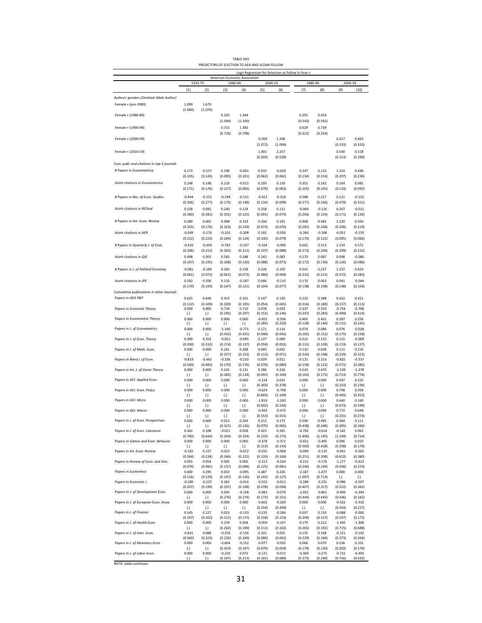|                                            |                     |                            |                     | PREDICTORS OF ELECTION TO AEA AND SLOAN FELLOW |                     |                                                     |                     |                     |                     |                     |
|--------------------------------------------|---------------------|----------------------------|---------------------|------------------------------------------------|---------------------|-----------------------------------------------------|---------------------|---------------------|---------------------|---------------------|
|                                            |                     |                            |                     | American Economic Association                  |                     | Logit Regression for Selection as Fellow in Year t: |                     |                     |                     |                     |
|                                            |                     | 1933-79                    |                     | 1980-99                                        |                     | 2000-19                                             |                     | 1980-99             |                     | 2000-19<br>(10)     |
| Authors' genders (Omitted: Male Author)    | (1)                 | (2)                        | (3)                 | (4)                                            | (5)                 | (6)                                                 | (7)                 | (8)                 | (9)                 |                     |
| Female × (pre-1980)                        | 1.099               | 1.670                      |                     |                                                |                     |                                                     |                     |                     |                     |                     |
|                                            | (1.040)             | (1.074)                    |                     |                                                |                     |                                                     |                     |                     |                     |                     |
| Female × (1980-89)                         |                     |                            | 0.265               | 1.344                                          |                     |                                                     | 0.291               | 0.454               |                     |                     |
|                                            |                     |                            | (1.094)             | (1.100)                                        |                     |                                                     | (0.543)             | (0.565)             |                     |                     |
| Female × (1990-99)                         |                     |                            | 0.715<br>(0.716)    | 1.382<br>(0.798)                               |                     |                                                     | 0.629<br>(0.322)    | 0.739<br>(0.334)    |                     |                     |
| Female × (2000-09)                         |                     |                            |                     |                                                | $-0.204$            | 1.246                                               |                     |                     | 0.417               | 0.463               |
|                                            |                     |                            |                     |                                                | (1.072)             | (1.099)                                             |                     |                     | (0.333)             | (0.333)             |
| Female × (2010-19)                         |                     |                            |                     |                                                | 1.001               | 2.257                                               |                     |                     | 0.540               | 0.518               |
| Cum. publ. and citations in top-5 journals |                     |                            |                     |                                                | (0.503)             | (0.528)                                             |                     |                     | (0.313)             | (0.290)             |
| # Papers in Econometrica                   | 0.173               | $-0.157$                   | 0.196               | $-0.001$                                       | 0.010               | $-0.028$                                            | 0.347               | 0.132               | 1.324               | 0.446               |
|                                            | (0.105)             | (0.145)                    | (0.095)             | (0.101)                                        | (0.062)             | (0.062)                                             | (0.134)             | (0.154)             | (0.207)             | (0.236)             |
| Asinh citations in Econometrica            | 0.248               | 0.148                      | 0.110               | $-0.015$                                       | 0.293               | 0.130                                               | 0.351               | 0.162               | 0.164               | 0.081               |
|                                            | (0.171)             | (0.176)                    | (0.127)             | (0.092)                                        | (0.076)             | (0.063)                                             | (0.105)             | (0.105)             | (0.110)             | (0.092)             |
| # Papers in Rev. of Econ. Studies          | $-0.444$            | $-0.251$                   | $-0.199$            | $-0.131$                                       | $-0.423$            | $-0.318$                                            | 0.588               | 0.227               | 0.121               | $-0.152$            |
|                                            | (0.356)             | (0.277)                    | (0.175)             | (0.148)                                        | (0.134)             | (0.099)                                             | (0.277)             | (0.246)             | (0.470)             | (0.321)             |
| Asinh citations in REStud                  | 0.158               | 0.092                      | 0.240               | 0.124                                          | 0.258               | 0.111                                               | $-0.069$            | $-0.126$            | 0.207               | $-0.012$            |
| # Papers in Am. Econ. Review               | (0.280)             | (0.281)                    | (0.101)             | (0.125)                                        | (0.091)             | (0.073)                                             | (0.204)             | (0.154)             | (0.171)             | (0.130)             |
|                                            | 0.289<br>(0.165)    | 0.005<br>(0.176)           | 0.498<br>(0.163)    | 0.333<br>(0.159)                               | 0.204<br>(0.073)    | 0.191<br>(0.076)                                    | 0.908<br>(0.281)    | 0.485<br>(0.248)    | 1.220<br>(0.206)    | 0.504<br>(0.219)    |
| Asinh citations in AER                     | $-0.049$            | $-0.176$                   | $-0.103$            | $-0.308$                                       | 0.165               | $-0.056$                                            | $-0.260$            | $-0.268$            | $-0.051$            | $-0.159$            |
|                                            | (0.222)             | (0.224)                    | (0.204)             | (0.124)                                        | (0.100)             | (0.079)                                             | (0.170)             | (0.122)             | (0.095)             | (0.066)             |
| # Papers in Quarterly J. of Econ.          | $-0.416$            | $-0.454$                   | $-0.783$            | $-0.337$                                       | $-0.164$            | $-0.096$                                            | 0.662               | 0.313               | 1.154               | 0.571               |
|                                            | (0.206)             | (0.153)                    | (0.302)             | (0.211)                                        | (0.107)             | (0.088)                                             | (0.272)             | (0.204)             | (0.299)             | (0.232)             |
| Asinh citations in QJE                     | 0.498<br>(0.197)    | 0.303<br>(0.195)           | 0.583<br>(0.168)    | 0.188<br>(0.130)                               | 0.243<br>(0.088)    | 0.083<br>(0.073)                                    | 0.170<br>(0.172)    | 0.087<br>(0.130)    | 0.098<br>(0.126)    | $-0.080$<br>(0.086) |
| # Papers in J. of Political Economy        | $-0.081$            | $-0.183$                   | 0.182               | 0.158                                          | 0.226               | 0.150                                               | 0.541               | 0.237               | 1.157               | 0.424               |
|                                            | (0.061)             | (0.072)                    | (0.062)             | (0.073)                                        | (0.080)             | (0.069)                                             | (0.232)             | (0.221)             | (0.372)             | (0.283)             |
| Asinh citations in JPE                     | 0.592               | 0.358                      | 0.133               | $-0.187$                                       | 0.046               | $-0.110$                                            | 0.170               | 0.063               | 0.041               | $-0.044$            |
|                                            | (0.170)             | (0.193)                    | (0.147)             | (0.121)                                        | (0.104)             | (0.077)                                             | (0.138)             | (0.108)             | (0.148)             | (0.104)             |
| Cumulative publications in other Journals  |                     |                            |                     |                                                |                     |                                                     |                     |                     |                     |                     |
| Papers in AEA P&P                          | 0.625<br>(0.122)    | 0.440<br>(0.109)           | 0.415<br>(0.109)    | 0.161<br>(0.105)                               | 0.147<br>(0.054)    | 0.130<br>(0.045)                                    | 0.220<br>(0.316)    | 0.388<br>(0.189)    | 0.432<br>(0.157)    | 0.421<br>(0.113)    |
| Papers in Economic Theory                  | 0.000               | 0.000                      | 0.734               | 0.710                                          | 0.078               | 0.033                                               | 0.337               | 0.333               | $-0.754$            | $-0.708$            |
| Papers in Econometric Theory               | (.)<br>0.000        | (.)<br>0.000               | (0.295)<br>0.000    | (0.297)<br>0.000                               | (0.153)<br>$-0.455$ | (0.146)<br>$-0.506$                                 | (0.247)<br>0.465    | (0.283)<br>0.461    | (0.499)<br>0.287    | (0.414)<br>0.256    |
|                                            | (.)                 | (.)                        | (.)                 | (.)                                            | (0.285)             | (0.220)                                             | (0.128)             | (0.144)             | (0.151)             | (0.191)             |
| Papers in J. of Econometrics               | 0.000               | 0.000                      | $-1.190$            | $-0.771$                                       | 0.171               | 0.114                                               | 0.070               | 0.089               | 0.076               | $-0.028$            |
| Papers in J. of Econ. Theory               | (.)<br>0.399        | (.)<br>0.353               | (0.432)<br>$-0.052$ | (0.425)<br>$-0.095$                            | (0.048)<br>0.137    | (0.043)<br>0.089                                    | (0.165)<br>0.222    | (0.151)<br>0.132    | (0.175)<br>0.115    | (0.158)<br>$-0.009$ |
|                                            | (0.290)             | (0.310)                    | (0.174)             | (0.137)                                        | (0.059)             | (0.052)                                             | (0.131)             | (0.109)             | (0.153)             | (0.137)             |
| Papers in J. of Math. Econ.                | 0.000               | 0.000                      | 0.161<br>(0.257)    | 0.268<br>(0.152)                               | 0.043<br>(0.113)    | 0.041<br>(0.071)                                    | 0.110<br>(0.220)    | 0.036<br>(0.198)    | 0.111<br>(0.329)    | 0.216<br>(0.323)    |
| Papers in Rand J. of Econ.                 | (.)<br>$-0.819$     | (.)<br>$-0.461$            | $-0.336$            | $-0.210$                                       | 0.029               | 0.011                                               | 0.125               | 0.153               | $-0.825$            | $-0.537$            |
|                                            | (0.540)             | (0.482)                    | (0.170)             | (0.176)                                        | (0.076)             | (0.080)                                             | (0.158)             | (0.122)             | (0.571)             | (0.385)             |
| Papers in Int. J. of Game Theory           | 0.000<br>(.)        | 0.000<br>(.)               | 0.145<br>(0.285)    | 0.131<br>(0.134)                               | 0.286<br>(0.093)    | 0.226<br>(0.100)                                    | 0.510<br>(0.163)    | 0.470<br>(0.173)    | $-1.539$<br>(0.713) | $-1.278$<br>(0.776) |
| Papers in AEJ: Applied Econ.               | 0.000               | 0.000                      | 0.000               | 0.000                                          | $-0.234$            | 0.031                                               | 0.000               | 0.000               | 0.597               | 0.332               |
|                                            | (.)                 | (.)                        | (.)                 | (.)                                            | (0.303)             | (0.378)                                             | (.)                 | (.)                 | (0.333)             | (0.236)             |
| Papers in AEJ: Econ. Policy                | 0.000<br>(.)        | 0.000<br>(.)               | 0.000<br>(.)        | 0.000<br>(.)                                   | $-0.629$<br>(0.843) | $-0.798$<br>(1.149)                                 | 0.000<br>(.)        | 0.000<br>(.)        | 0.748<br>(0.465)    | 0.458<br>(0.352)    |
| Papers in AEJ: Micro                       | 0.000               | 0.000                      | 0.000               | 0.000                                          | $-1.819$            | $-1.243$                                            | 0.000               | 0.000               | 0.440               | 0.160               |
| Papers in AEJ: Macro                       | (.)<br>0.000        | (.)<br>0.000               | (.)<br>0.000        | (.)<br>0.000                                   | (0.602)<br>$-0.443$ | (0.534)<br>$-0.470$                                 | (.)<br>0.000        | (.)<br>0.000        | (0.673)<br>0.772    | (0.599)<br>0.648    |
|                                            | $\left( .\right)$   | $\left( .\right)$          | $\left( .\right)$   | $\left( .\right)$                              | (0.553)             | (0.555)                                             | $\left( . \right)$  | $\left( .\right)$   | (0.331)             | (0.274)             |
| Papers in J. of Econ. Perspectives         | 0.000               | 0.000                      | 0.012               | 0.269                                          | 0.212               | 0.173                                               | 0.590               | 0.485               | 0.384               | 0.111               |
| Papers in J. of Econ. Literature           | (.)<br>0.342        | (.)<br>0.108               | (0.315)<br>$-0.021$ | (0.136)<br>0.058                               | (0.070)<br>0.423    | (0.065)<br>0.265                                    | (0.438)<br>$-0.792$ | (0.348)<br>$-0.614$ | (0.285)<br>$-0.142$ | (0.266)<br>0.062    |
|                                            | (0.740)             | (0.644)                    | (0.264)             | (0.254)                                        | (0.233)             | (0.175)                                             | (1.400)             | (1.145)             | (1.194)             | (0.714)             |
| Papers in Games and Econ. Behavior         | 0.000               | 0.000                      | 0.000               | 0.000<br>(.)                                   | $-0.378$<br>(0.153) | $-0.371$<br>(0.143)                                 | $-0.651$<br>(0.560) | $-0.495$<br>(0.428) | 0.096<br>(0.208)    | 0.010<br>(0.179)    |
| Papers in Int. Econ. Review                | (.)<br>$-0.182$     | $\left( .\right)$<br>0.157 | (.)<br>0.023        | $-0.072$                                       | $-0.035$            | $-0.068$                                            | $-0.094$            | $-0.110$            | $-0.941$            | $-0.565$            |
|                                            | (0.264)             | (0.239)                    | (0.266)             | (0.222)                                        | (0.120)             | (0.106)                                             | (0.251)             | (0.208)             | (0.652)             | (0.380)             |
| Papers in Review of Econ. and Stat.        | 0.055<br>(0.074)    | 0.054<br>(0.081)           | 0.005<br>(0.137)    | 0.005<br>(0.098)                               | $-0.313$<br>(0.125) | $-0.204$<br>(0.081)                                 | $-0.215$<br>(0.246) | $-0.176$<br>(0.190) | $-1.177$<br>(0.436) | $-0.413$<br>(0.274) |
| Papers in Economica                        | 0.400               | 0.295                      | 0.033               | $-0.095$                                       | 0.387               | 0.226                                               | $-2.187$            | $-1.477$            | 0.000               | 0.000               |
| Papers in Economic J.                      | (0.116)<br>$-0.180$ | (0.129)<br>$-0.237$        | (0.147)<br>0.181    | (0.126)<br>$-0.016$                            | (0.143)<br>$-0.022$ | (0.127)<br>$-0.013$                                 | (1.097)<br>$-0.289$ | (0.713)<br>$-0.231$ | (.)<br>$-0.996$     | (.)<br>$-0.597$     |
|                                            | (0.207)             | (0.199)                    | (0.107)             | (0.108)                                        | (0.078)             | (0.058)                                             | (0.407)             | (0.317)             | (0.522)             | (0.365)             |
| Papers in J. of Development Econ.          | 0.000               | 0.000                      | 0.045               | $-0.158$                                       | $-0.083$            | $-0.079$                                            | $-1.052$            | $-0.861$            | $-0.499$            | $-0.394$            |
| Papers in J. of European Econ. Assoc       | (.)<br>0.000        | (.)<br>0.000               | (0.276)<br>0.000    | (0.274)<br>0.000                               | (0.173)<br>$-0.602$ | (0.151)<br>$-0.260$                                 | (0.444)<br>0.000    | (0.445)<br>0.000    | (0.436)<br>$-0.422$ | (0.342)<br>$-0.332$ |
|                                            | (.)                 | (.)                        | (.)                 | (.)                                            | (0.254)             | (0.209)                                             | (.)                 | (.)                 | (0.343)             | (0.227)             |
| Papers in J. of Finance                    | 0.145               | 0.127                      | 0.023               | $-0.133$                                       | $-0.235$            | $-0.284$                                            | 0.057               | 0.150               | $-0.088$            | $-0.000$            |
| Papers in J. of Health Econ.               | (0.197)<br>0.000    | (0.202)<br>0.000           | (0.121)<br>0.259    | (0.175)<br>0.094                               | (0.158)<br>$-0.059$ | (0.153)<br>$-0.107$                                 | (0.209)<br>0.179    | (0.157)<br>0.312    | (0.247)<br>$-1.442$ | (0.172)<br>$-1.308$ |
|                                            | (.)                 | (.)                        | (0.202)             | (0.199)                                        | (0.112)             | (0.102)                                             | (0.265)             | (0.192)             | (0.715)             | (0.688)             |
| Papers in J. of Inter. Econ.               | $-0.641$            | 0.088                      | $-0.256$            | $-0.156$                                       | 0.101               | 0.055                                               | 0.155               | 0.168               | $-0.121$            | $-0.142$            |
| Papers in J. of Monetary Econ.             | (0.560)<br>0.000    | (0.323)<br>0.000           | (0.220)<br>$-0.604$ | (0.169)<br>$-0.152$                            | (0.080)<br>$-0.077$ | (0.062)<br>$-0.035$                                 | (0.229)<br>0.066    | (0.184)<br>0.070    | (0.373)<br>0.236    | (0.269)<br>0.101    |
|                                            | (.)                 | (.)                        | (0.423)             | (0.197)                                        | (0.079)             | (0.059)                                             | (0.179)             | (0.130)             | (0.202)             | (0.176)             |
| Papers in J. of Labor Econ.                | 0.000<br>(.)        | 0.000<br>$\left( .\right)$ | $-0.220$<br>(0.247) | 0.072<br>(0.213)                               | $-0.121$<br>(0.165) | $-0.072$<br>(0.089)                                 | $-0.369$<br>(0.373) | $-0.275$<br>(0.290) | $-0.722$<br>(0.756) | $-0.493$<br>(0.435) |

TABLE AXV

NOTE: table continues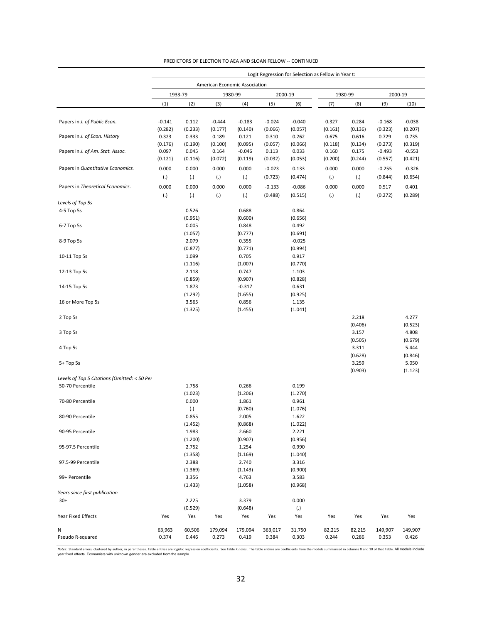|                                              | Logit Regression for Selection as Fellow in Year t: |                  |                               |                   |                  |                  |                 |                 |                  |                  |
|----------------------------------------------|-----------------------------------------------------|------------------|-------------------------------|-------------------|------------------|------------------|-----------------|-----------------|------------------|------------------|
|                                              |                                                     |                  | American Economic Association |                   |                  |                  |                 |                 |                  |                  |
|                                              |                                                     | 1933-79          |                               | 1980-99           | 2000-19          |                  |                 | 1980-99         | 2000-19          |                  |
|                                              | (1)                                                 | (2)              | (3)                           | (4)               | (5)              | (6)              | (7)             | (8)             | (9)              | (10)             |
|                                              |                                                     |                  |                               |                   |                  |                  |                 |                 |                  |                  |
| Papers in J. of Public Econ.                 | $-0.141$                                            | 0.112            | $-0.444$                      | $-0.183$          | $-0.024$         | $-0.040$         | 0.327           | 0.284           | $-0.168$         | $-0.038$         |
|                                              | (0.282)                                             | (0.233)          | (0.177)                       | (0.140)           | (0.066)          | (0.057)          | (0.161)         | (0.136)         | (0.323)          | (0.207)          |
| Papers in J. of Econ. History                | 0.323                                               | 0.333            | 0.189                         | 0.121             | 0.310            | 0.262            | 0.675           | 0.616           | 0.729            | 0.735            |
|                                              | (0.176)                                             | (0.190)          | (0.100)                       | (0.095)           | (0.057)          | (0.066)          | (0.118)         | (0.134)         | (0.273)          | (0.319)          |
| Papers in J. of Am. Stat. Assoc.             | 0.097                                               | 0.045            | 0.164                         | $-0.046$          | 0.113            | 0.033            | 0.160           | 0.175           | $-0.493$         | $-0.553$         |
|                                              | (0.121)                                             | (0.116)          | (0.072)                       | (0.119)           | (0.032)          | (0.053)          | (0.200)         | (0.244)         | (0.557)          | (0.421)          |
| Papers in Quantitative Economics.            | 0.000                                               | 0.000            | 0.000                         | 0.000             | $-0.023$         | 0.133            | 0.000           | 0.000           | $-0.255$         | $-0.326$         |
|                                              | (.)                                                 | (.)              | (.)                           | (.)               | (0.723)          | (0.474)          | (.)             | (.)             | (0.844)          | (0.654)          |
| Papers in Theoretical Economics.             | 0.000                                               | 0.000            | 0.000                         | 0.000             | $-0.133$         | $-0.086$         | 0.000           | 0.000           | 0.517            | 0.401            |
|                                              | $\left( . \right)$                                  | (.)              | (.)                           | $\left( .\right)$ | (0.488)          | (0.515)          | (.)             | (.)             | (0.272)          | (0.289)          |
| Levels of Top 5s                             |                                                     |                  |                               |                   |                  |                  |                 |                 |                  |                  |
| 4-5 Top 5s                                   |                                                     | 0.526            |                               | 0.688             |                  | 0.864            |                 |                 |                  |                  |
|                                              |                                                     | (0.951)          |                               | (0.600)           |                  | (0.656)          |                 |                 |                  |                  |
| 6-7 Top 5s                                   |                                                     | 0.005            |                               | 0.848             |                  | 0.492            |                 |                 |                  |                  |
|                                              |                                                     | (1.057)          |                               | (0.777)           |                  | (0.691)          |                 |                 |                  |                  |
| 8-9 Top 5s                                   |                                                     | 2.079            |                               | 0.355             |                  | $-0.025$         |                 |                 |                  |                  |
|                                              |                                                     | (0.877)          |                               | (0.771)           |                  | (0.994)          |                 |                 |                  |                  |
| 10-11 Top 5s                                 |                                                     | 1.099            |                               | 0.705             |                  | 0.917            |                 |                 |                  |                  |
|                                              |                                                     |                  |                               | (1.007)           |                  | (0.770)          |                 |                 |                  |                  |
|                                              |                                                     | (1.116)<br>2.118 |                               | 0.747             |                  |                  |                 |                 |                  |                  |
| 12-13 Top 5s                                 |                                                     | (0.859)          |                               | (0.907)           |                  | 1.103<br>(0.828) |                 |                 |                  |                  |
| 14-15 Top 5s                                 |                                                     | 1.873            |                               |                   |                  |                  |                 |                 |                  |                  |
|                                              |                                                     |                  |                               | $-0.317$          |                  | 0.631            |                 |                 |                  |                  |
|                                              |                                                     | (1.292)          |                               | (1.655)           |                  | (0.925)          |                 |                 |                  |                  |
| 16 or More Top 5s                            |                                                     | 3.565            |                               | 0.856             |                  | 1.135            |                 |                 |                  |                  |
|                                              |                                                     | (1.325)          |                               | (1.455)           |                  | (1.041)          |                 |                 |                  |                  |
| 2 Top 5s                                     |                                                     |                  |                               |                   |                  |                  |                 | 2.218           |                  | 4.277            |
|                                              |                                                     |                  |                               |                   |                  |                  |                 | (0.406)         |                  | (0.523)          |
| 3 Top 5s                                     |                                                     |                  |                               |                   |                  |                  |                 | 3.157           |                  | 4.808            |
|                                              |                                                     |                  |                               |                   |                  |                  |                 | (0.505)         |                  | (0.679)          |
| 4 Top 5s                                     |                                                     |                  |                               |                   |                  |                  |                 | 3.311           |                  | 5.444            |
|                                              |                                                     |                  |                               |                   |                  |                  |                 | (0.628)         |                  | (0.846)          |
| 5+ Top 5s                                    |                                                     |                  |                               |                   |                  |                  |                 | 3.259           |                  | 5.050            |
|                                              |                                                     |                  |                               |                   |                  |                  |                 | (0.903)         |                  | (1.123)          |
| Levels of Top 5 Citations (Omitted: < 50 Per |                                                     |                  |                               |                   |                  |                  |                 |                 |                  |                  |
| 50-70 Percentile                             |                                                     | 1.758            |                               | 0.266             |                  | 0.199            |                 |                 |                  |                  |
|                                              |                                                     | (1.023)          |                               | (1.206)           |                  | (1.270)          |                 |                 |                  |                  |
| 70-80 Percentile                             |                                                     | 0.000            |                               | 1.861             |                  | 0.961            |                 |                 |                  |                  |
|                                              |                                                     | (.)              |                               | (0.760)           |                  | (1.076)          |                 |                 |                  |                  |
| 80-90 Percentile                             |                                                     | 0.855            |                               | 2.005             |                  | 1.622            |                 |                 |                  |                  |
|                                              |                                                     | (1.452)          |                               | (0.868)           |                  | (1.022)          |                 |                 |                  |                  |
| 90-95 Percentile                             |                                                     | 1.983            |                               | 2.660             |                  | 2.221            |                 |                 |                  |                  |
|                                              |                                                     | (1.200)          |                               | (0.907)           |                  | (0.956)          |                 |                 |                  |                  |
| 95-97.5 Percentile                           |                                                     | 2.752            |                               | 1.254             |                  | 0.990            |                 |                 |                  |                  |
|                                              |                                                     | (1.358)          |                               | (1.169)           |                  | (1.040)          |                 |                 |                  |                  |
| 97.5-99 Percentile                           |                                                     | 2.388            |                               | 2.740             |                  | 3.316            |                 |                 |                  |                  |
|                                              |                                                     | (1.369)          |                               | (1.143)           |                  | (0.900)          |                 |                 |                  |                  |
| 99+ Percentile                               |                                                     | 3.356            |                               | 4.763             |                  | 3.583            |                 |                 |                  |                  |
|                                              |                                                     | (1.433)          |                               | (1.058)           |                  | (0.968)          |                 |                 |                  |                  |
| Years since first publication                |                                                     |                  |                               |                   |                  |                  |                 |                 |                  |                  |
| $30+$                                        |                                                     | 2.225            |                               | 3.379             |                  | 0.000            |                 |                 |                  |                  |
|                                              |                                                     | (0.529)          |                               | (0.648)           |                  | (.)              |                 |                 |                  |                  |
| Year Fixed Effects                           | Yes                                                 | Yes              | Yes                           | Yes               | Yes              | Yes              | Yes             | Yes             | Yes              | Yes              |
| N                                            |                                                     |                  |                               |                   |                  |                  |                 |                 |                  |                  |
| Pseudo R-squared                             | 63,963<br>0.374                                     | 60,506<br>0.446  | 179,094<br>0.273              | 179,094<br>0.419  | 363,017<br>0.384 | 31,750<br>0.303  | 82,215<br>0.244 | 82,215<br>0.286 | 149,907<br>0.353 | 149,907<br>0.426 |
|                                              |                                                     |                  |                               |                   |                  |                  |                 |                 |                  |                  |

Notes: Standard errors, clustered by author, in parentheses. Table entries are logistic regression coefficients. See Table X *notes* . The table entries are coefficients from the models summarized in columns 8 and 10 of th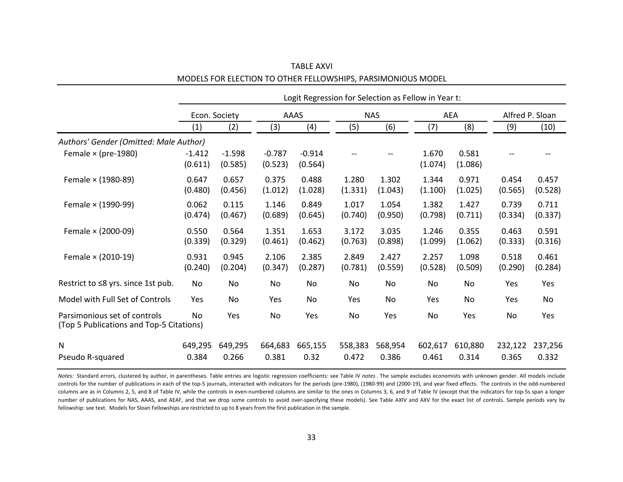|                                                                          | Logit Regression for Selection as Fellow in Year t: |                     |                     |                     |                  |                  |                  |                  |                  |                  |
|--------------------------------------------------------------------------|-----------------------------------------------------|---------------------|---------------------|---------------------|------------------|------------------|------------------|------------------|------------------|------------------|
|                                                                          | Econ. Society                                       |                     | AAAS                |                     | <b>NAS</b>       |                  | <b>AEA</b>       |                  | Alfred P. Sloan  |                  |
|                                                                          | (1)                                                 | (2)                 | (3)                 | (4)                 | (5)              | (6)              | (7)              | (8)              | (9)              | (10)             |
| Authors' Gender (Omitted: Male Author)                                   |                                                     |                     |                     |                     |                  |                  |                  |                  |                  |                  |
| Female $\times$ (pre-1980)                                               | $-1.412$<br>(0.611)                                 | $-1.598$<br>(0.585) | $-0.787$<br>(0.523) | $-0.914$<br>(0.564) |                  |                  | 1.670<br>(1.074) | 0.581<br>(1.086) |                  |                  |
| Female × (1980-89)                                                       | 0.647<br>(0.480)                                    | 0.657<br>(0.456)    | 0.375<br>(1.012)    | 0.488<br>(1.028)    | 1.280<br>(1.331) | 1.302<br>(1.043) | 1.344<br>(1.100) | 0.971<br>(1.025) | 0.454<br>(0.565) | 0.457<br>(0.528) |
| Female × (1990-99)                                                       | 0.062<br>(0.474)                                    | 0.115<br>(0.467)    | 1.146<br>(0.689)    | 0.849<br>(0.645)    | 1.017<br>(0.740) | 1.054<br>(0.950) | 1.382<br>(0.798) | 1.427<br>(0.711) | 0.739<br>(0.334) | 0.711<br>(0.337) |
| Female $\times$ (2000-09)                                                | 0.550<br>(0.339)                                    | 0.564<br>(0.329)    | 1.351<br>(0.461)    | 1.653<br>(0.462)    | 3.172<br>(0.763) | 3.035<br>(0.898) | 1.246<br>(1.099) | 0.355<br>(1.062) | 0.463<br>(0.333) | 0.591<br>(0.316) |
| Female × (2010-19)                                                       | 0.931<br>(0.240)                                    | 0.945<br>(0.204)    | 2.106<br>(0.347)    | 2.385<br>(0.287)    | 2.849<br>(0.781) | 2.427<br>(0.559) | 2.257<br>(0.528) | 1.098<br>(0.509) | 0.518<br>(0.290) | 0.461<br>(0.284) |
| Restrict to ≤8 yrs. since 1st pub.                                       | No                                                  | No                  | No                  | No                  | No               | No               | No               | No               | Yes              | Yes              |
| Model with Full Set of Controls                                          | Yes                                                 | No                  | Yes                 | No                  | Yes              | No               | Yes              | No               | Yes              | No               |
| Parsimonious set of controls<br>(Top 5 Publications and Top-5 Citations) | <b>No</b>                                           | Yes                 | No                  | Yes                 | No               | Yes              | No               | Yes              | No               | Yes              |
| N                                                                        | 649,295                                             | 649,295             | 664,683             | 665,155             | 558,383          | 568,954          | 602,617          | 610,880          | 232,122          | 237,256          |
| Pseudo R-squared                                                         | 0.384                                               | 0.266               | 0.381               | 0.32                | 0.472            | 0.386            | 0.461            | 0.314            | 0.365            | 0.332            |

TABLE AXVI MODELS FOR ELECTION TO OTHER FELLOWSHIPS, PARSIMONIOUS MODEL

*Notes:* Standard errors, clustered by author, in parentheses. Table entries are logistic regression coefficients: see Table IV *notes*. The sample excludes economists with unknown gender. All models include controls for the number of publications in each of the top-5 journals, interacted with indicators for the periods (pre-1980), (1980-99) and (2000-19), and year fixed effects. The controls in the odd-numbered columns are as in Columns 2, 5, and 8 of Table IV, while the controls in even-numbered columns are similar to the ones in Columns 3, 6, and 9 of Table IV (except that the indicators for top-5s span a longer number of publications for NAS, AAAS, and AEAF, and that we drop some controls to avoid over-specifying these models). See Table AXIV and AXV for the exact list of controls. Sample periods vary by fellowship: see text. Models for Sloan Fellowships are restricted to up to 8 years from the first publication in the sample.